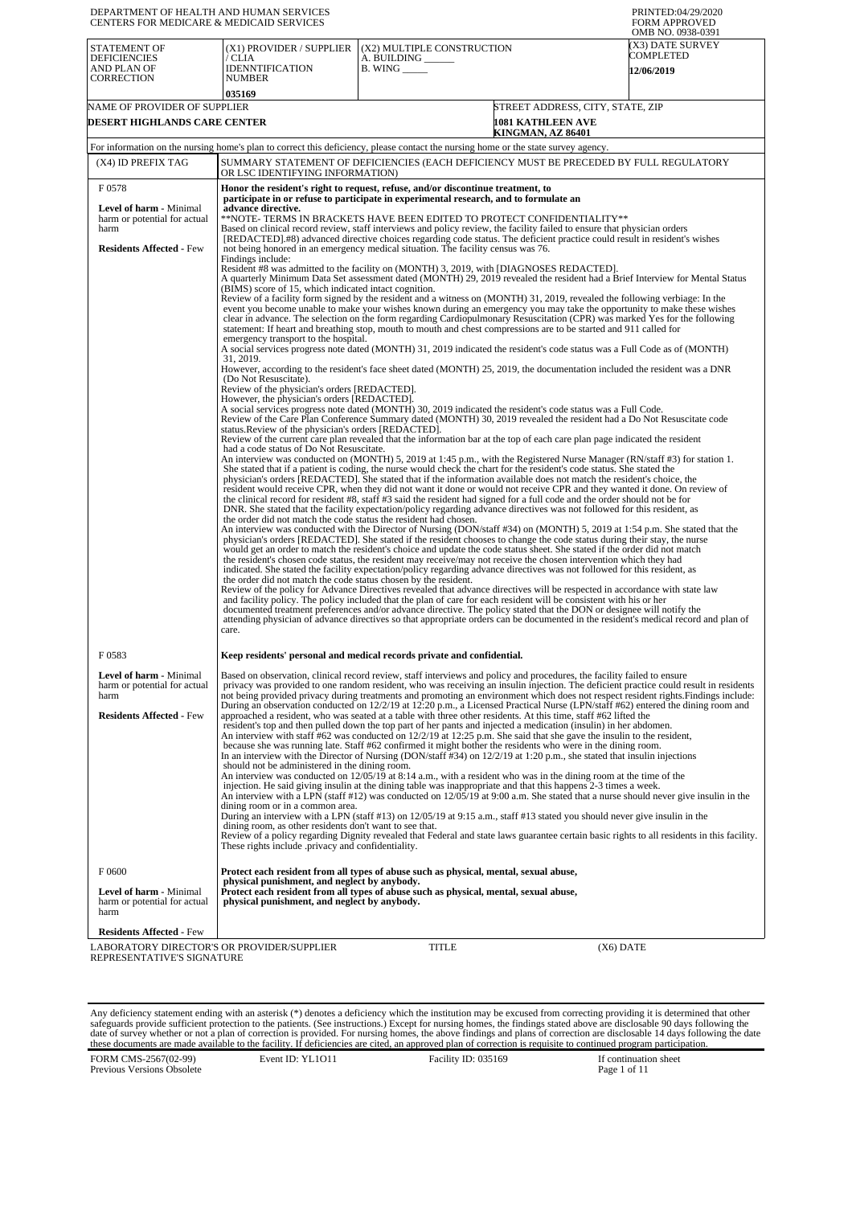| DEPARTMENT OF HEALTH AND HUMAN SERVICES<br><b>CENTERS FOR MEDICARE &amp; MEDICAID SERVICES</b>            |                                                                                                                                                                                                                                                                                                      |                                                                                                                                                                                                                                                                                                                                                                                                                                                                                                                                                                                                                                                                                                                                                                                                                                                                                                                                                                                              |                                        | PRINTED:04/29/2020<br><b>FORM APPROVED</b><br>OMB NO. 0938-0391 |
|-----------------------------------------------------------------------------------------------------------|------------------------------------------------------------------------------------------------------------------------------------------------------------------------------------------------------------------------------------------------------------------------------------------------------|----------------------------------------------------------------------------------------------------------------------------------------------------------------------------------------------------------------------------------------------------------------------------------------------------------------------------------------------------------------------------------------------------------------------------------------------------------------------------------------------------------------------------------------------------------------------------------------------------------------------------------------------------------------------------------------------------------------------------------------------------------------------------------------------------------------------------------------------------------------------------------------------------------------------------------------------------------------------------------------------|----------------------------------------|-----------------------------------------------------------------|
| STATEMENT OF<br><b>DEFICIENCIES</b><br>AND PLAN OF<br><b>CORRECTION</b>                                   | (X1) PROVIDER / SUPPLIER<br>/ CLIA<br><b>IDENNTIFICATION</b><br><b>NUMBER</b>                                                                                                                                                                                                                        | (X2) MULTIPLE CONSTRUCTION<br>A. BUILDING<br>$B.$ WING $\_\_\_\_\_\_\$                                                                                                                                                                                                                                                                                                                                                                                                                                                                                                                                                                                                                                                                                                                                                                                                                                                                                                                       |                                        | (X3) DATE SURVEY<br>COMPLETED<br>12/06/2019                     |
| NAME OF PROVIDER OF SUPPLIER                                                                              | 035169                                                                                                                                                                                                                                                                                               |                                                                                                                                                                                                                                                                                                                                                                                                                                                                                                                                                                                                                                                                                                                                                                                                                                                                                                                                                                                              | STREET ADDRESS, CITY, STATE, ZIP       |                                                                 |
| <b>DESERT HIGHLANDS CARE CENTER</b>                                                                       |                                                                                                                                                                                                                                                                                                      |                                                                                                                                                                                                                                                                                                                                                                                                                                                                                                                                                                                                                                                                                                                                                                                                                                                                                                                                                                                              | 1081 KATHLEEN AVE<br>KINGMAN, AZ 86401 |                                                                 |
|                                                                                                           | For information on the nursing home's plan to correct this deficiency, please contact the nursing home or the state survey agency.                                                                                                                                                                   |                                                                                                                                                                                                                                                                                                                                                                                                                                                                                                                                                                                                                                                                                                                                                                                                                                                                                                                                                                                              |                                        |                                                                 |
| (X4) ID PREFIX TAG                                                                                        | OR LSC IDENTIFYING INFORMATION)                                                                                                                                                                                                                                                                      | SUMMARY STATEMENT OF DEFICIENCIES (EACH DEFICIENCY MUST BE PRECEDED BY FULL REGULATORY                                                                                                                                                                                                                                                                                                                                                                                                                                                                                                                                                                                                                                                                                                                                                                                                                                                                                                       |                                        |                                                                 |
| F0578                                                                                                     |                                                                                                                                                                                                                                                                                                      | Honor the resident's right to request, refuse, and/or discontinue treatment, to<br>participate in or refuse to participate in experimental research, and to formulate an                                                                                                                                                                                                                                                                                                                                                                                                                                                                                                                                                                                                                                                                                                                                                                                                                     |                                        |                                                                 |
| <b>Level of harm - Minimal</b><br>harm or potential for actual<br>harm<br><b>Residents Affected - Few</b> | advance directive.<br>Findings include:                                                                                                                                                                                                                                                              | **NOTE- TERMS IN BRACKETS HAVE BEEN EDITED TO PROTECT CONFIDENTIALITY**<br>Based on clinical record review, staff interviews and policy review, the facility failed to ensure that physician orders<br>[REDACTED].#8) advanced directive choices regarding code status. The deficient practice could result in resident's wishes<br>not being honored in an emergency medical situation. The facility census was 76.<br>Resident #8 was admitted to the facility on (MONTH) 3, 2019, with [DIAGNOSES REDACTED].                                                                                                                                                                                                                                                                                                                                                                                                                                                                              |                                        |                                                                 |
|                                                                                                           | (BIMS) score of 15, which indicated intact cognition.<br>emergency transport to the hospital.                                                                                                                                                                                                        | A quarterly Minimum Data Set assessment dated (MONTH) 29, 2019 revealed the resident had a Brief Interview for Mental Status<br>Review of a facility form signed by the resident and a witness on (MONTH) 31, 2019, revealed the following verbiage: In the<br>event you become unable to make your wishes known during an emergency you may take the opportunity to make these wishes<br>clear in advance. The selection on the form regarding Cardiopulmonary Resuscitation (CPR) was marked Yes for the following<br>statement: If heart and breathing stop, mouth to mouth and chest compressions are to be started and 911 called for<br>A social services progress note dated (MONTH) 31, 2019 indicated the resident's code status was a Full Code as of (MONTH)                                                                                                                                                                                                                      |                                        |                                                                 |
|                                                                                                           | 31, 2019.                                                                                                                                                                                                                                                                                            | However, according to the resident's face sheet dated (MONTH) 25, 2019, the documentation included the resident was a DNR                                                                                                                                                                                                                                                                                                                                                                                                                                                                                                                                                                                                                                                                                                                                                                                                                                                                    |                                        |                                                                 |
|                                                                                                           | (Do Not Resuscitate).<br>Review of the physician's orders [REDACTED].                                                                                                                                                                                                                                |                                                                                                                                                                                                                                                                                                                                                                                                                                                                                                                                                                                                                                                                                                                                                                                                                                                                                                                                                                                              |                                        |                                                                 |
|                                                                                                           | However, the physician's orders [REDACTED].<br>status. Review of the physician's orders [REDACTED].                                                                                                                                                                                                  | A social services progress note dated (MONTH) 30, 2019 indicated the resident's code status was a Full Code.<br>Review of the Care Plan Conference Summary dated (MONTH) 30, 2019 revealed the resident had a Do Not Resuscitate code                                                                                                                                                                                                                                                                                                                                                                                                                                                                                                                                                                                                                                                                                                                                                        |                                        |                                                                 |
|                                                                                                           | Review of the current care plan revealed that the information bar at the top of each care plan page indicated the resident<br>had a code status of Do Not Resuscitate.<br>An interview was conducted on (MONTH) 5, 2019 at 1:45 p.m., with the Registered Nurse Manager (RN/staff #3) for station 1. |                                                                                                                                                                                                                                                                                                                                                                                                                                                                                                                                                                                                                                                                                                                                                                                                                                                                                                                                                                                              |                                        |                                                                 |
|                                                                                                           | the order did not match the code status the resident had chosen.                                                                                                                                                                                                                                     | She stated that if a patient is coding, the nurse would check the chart for the resident's code status. She stated the<br>physician's orders [REDACTED]. She stated that if the information available does not match the resident's choice, the<br>resident would receive CPR, when they did not want it done or would not receive CPR and they wanted it done. On review of<br>the clinical record for resident #8, staff #3 said the resident had signed for a full code and the order should not be for<br>DNR. She stated that the facility expectation/policy regarding advance directives was not followed for this resident, as                                                                                                                                                                                                                                                                                                                                                       |                                        |                                                                 |
|                                                                                                           | the order did not match the code status chosen by the resident.                                                                                                                                                                                                                                      | An interview was conducted with the Director of Nursing (DON/staff #34) on (MONTH) 5, 2019 at 1:54 p.m. She stated that the<br>physician's orders [REDACTED]. She stated if the resident chooses to change the code status during their stay, the nurse<br>would get an order to match the resident's choice and update the code status sheet. She stated if the order did not match<br>the resident's chosen code status, the resident may receive/may not receive the chosen intervention which they had<br>indicated. She stated the facility expectation/policy regarding advance directives was not followed for this resident, as                                                                                                                                                                                                                                                                                                                                                      |                                        |                                                                 |
|                                                                                                           | care.                                                                                                                                                                                                                                                                                                | Review of the policy for Advance Directives revealed that advance directives will be respected in accordance with state law<br>and facility policy. The policy included that the plan of care for each resident will be consistent with his or her<br>documented treatment preferences and/or advance directive. The policy stated that the DON or designee will notify the<br>attending physician of advance directives so that appropriate orders can be documented in the resident's medical record and plan of                                                                                                                                                                                                                                                                                                                                                                                                                                                                           |                                        |                                                                 |
| F0583                                                                                                     |                                                                                                                                                                                                                                                                                                      | Keep residents' personal and medical records private and confidential.                                                                                                                                                                                                                                                                                                                                                                                                                                                                                                                                                                                                                                                                                                                                                                                                                                                                                                                       |                                        |                                                                 |
| Level of harm - Minimal<br>harm or potential for actual<br>harm                                           |                                                                                                                                                                                                                                                                                                      | Based on observation, clinical record review, staff interviews and policy and procedures, the facility failed to ensure<br>privacy was provided to one random resident, who was receiving an insulin injection. The deficient practice could result in residents<br>not being provided privacy during treatments and promoting an environment which does not respect resident rights. Findings include:<br>During an observation conducted on 12/2/19 at 12:20 p.m., a Licensed Practical Nurse (LPN/staff #62) entered the dining room and                                                                                                                                                                                                                                                                                                                                                                                                                                                  |                                        |                                                                 |
| <b>Residents Affected - Few</b>                                                                           | should not be administered in the dining room.                                                                                                                                                                                                                                                       | approached a resident, who was seated at a table with three other residents. At this time, staff #62 lifted the<br>resident's top and then pulled down the top part of her pants and injected a medication (insulin) in her abdomen.<br>An interview with staff #62 was conducted on 12/2/19 at 12:25 p.m. She said that she gave the insulin to the resident,<br>because she was running late. Staff #62 confirmed it might bother the residents who were in the dining room.<br>In an interview with the Director of Nursing (DON/staff #34) on $12/2/19$ at 1:20 p.m., she stated that insulin injections<br>An interview was conducted on 12/05/19 at 8:14 a.m., with a resident who was in the dining room at the time of the<br>injection. He said giving insulin at the dining table was inappropriate and that this happens 2-3 times a week.<br>An interview with a LPN (staff #12) was conducted on 12/05/19 at 9:00 a.m. She stated that a nurse should never give insulin in the |                                        |                                                                 |
|                                                                                                           | dining room or in a common area.<br>dining room, as other residents don't want to see that.<br>These rights include .privacy and confidentiality.                                                                                                                                                    | During an interview with a LPN (staff #13) on 12/05/19 at 9:15 a.m., staff #13 stated you should never give insulin in the<br>Review of a policy regarding Dignity revealed that Federal and state laws guarantee certain basic rights to all residents in this facility.                                                                                                                                                                                                                                                                                                                                                                                                                                                                                                                                                                                                                                                                                                                    |                                        |                                                                 |
| F 0600<br>Level of harm - Minimal<br>harm or potential for actual                                         | physical punishment, and neglect by anybody.<br>physical punishment, and neglect by anybody.                                                                                                                                                                                                         | Protect each resident from all types of abuse such as physical, mental, sexual abuse,<br>Protect each resident from all types of abuse such as physical, mental, sexual abuse,                                                                                                                                                                                                                                                                                                                                                                                                                                                                                                                                                                                                                                                                                                                                                                                                               |                                        |                                                                 |
| harm                                                                                                      |                                                                                                                                                                                                                                                                                                      |                                                                                                                                                                                                                                                                                                                                                                                                                                                                                                                                                                                                                                                                                                                                                                                                                                                                                                                                                                                              |                                        |                                                                 |
| <b>Residents Affected - Few</b><br>LABORATORY DIRECTOR'S OR PROVIDER/SUPPLIER                             |                                                                                                                                                                                                                                                                                                      | <b>TITLE</b>                                                                                                                                                                                                                                                                                                                                                                                                                                                                                                                                                                                                                                                                                                                                                                                                                                                                                                                                                                                 | $(X6)$ DATE                            |                                                                 |
|                                                                                                           |                                                                                                                                                                                                                                                                                                      |                                                                                                                                                                                                                                                                                                                                                                                                                                                                                                                                                                                                                                                                                                                                                                                                                                                                                                                                                                                              |                                        |                                                                 |

LABORATORY DIRECTOR'S OR PROVIDER/SUPPLIER REPRESENTATIVE'S SIGNATURE

Any deficiency statement ending with an asterisk (\*) denotes a deficiency which the institution may be excused from correcting providing it is determined that other safeguards provide sufficient protection to the patients.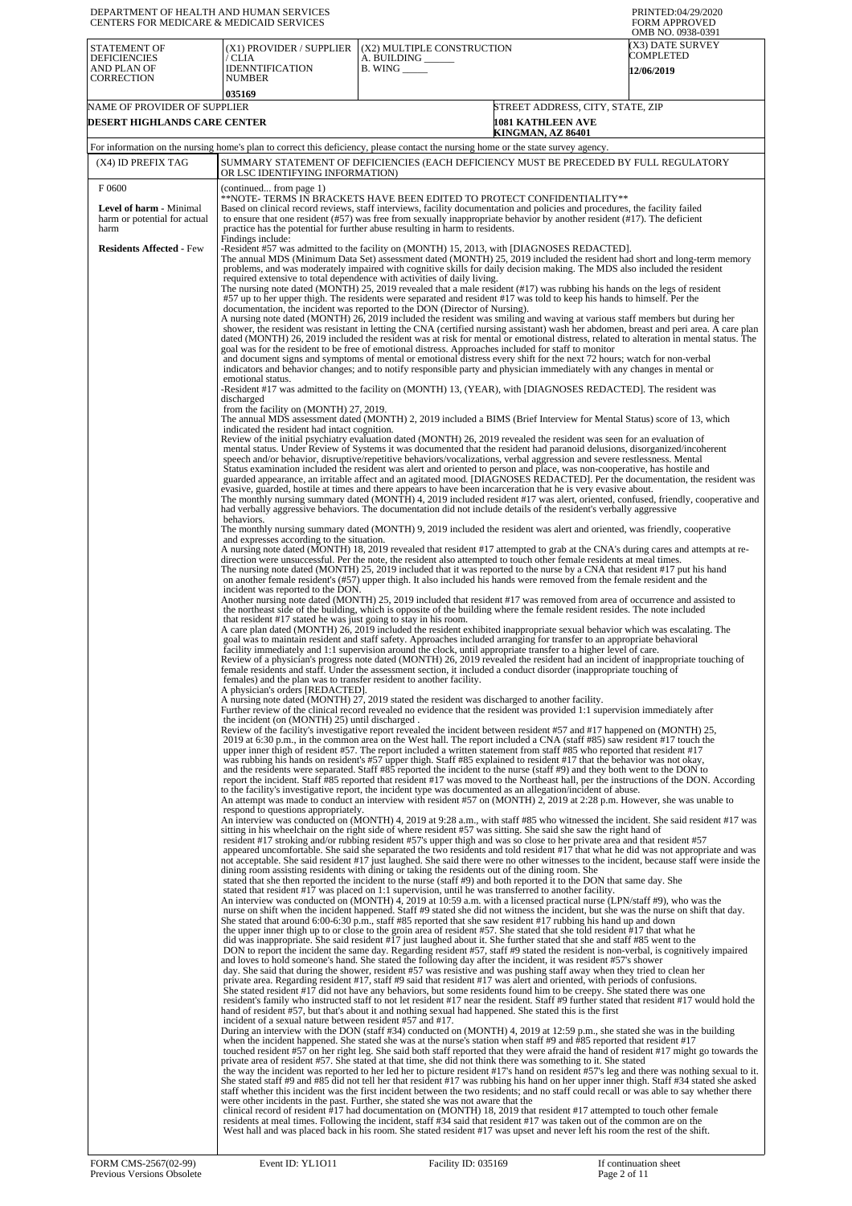| DEPARTMENT OF HEALTH AND HUMAN SERVICES<br>CENTERS FOR MEDICARE & MEDICAID SERVICES                                                                                      |                                                                                                                                                                                                                                                                                                                                                                                                                                                                                                           |                                                                                                                                                                                                                                                                                                                                                                                                                                                                                                                                                                                                                                                                                                                                                                                                                                                                                                                                                                                                                                                                                                                                                                                                                                                                                                                                                                                                                                                                                                                                                                                                                                                                                                                                                                                                                                                                                                                                                                                                                                                                                                                                                                                                                                                                                                                                                                                                                                                                                                                                                                                                                                                                                                                                                                                                                                                                                                                                                                                                                                                                                                                                                                                                                                                                                                                                                                                                                                                                                                                                                                                                                                                                                                                                                                                                                                                                                                                                                                                                                                                                                                                                                                                                                                                                                                                                                                                                                                                                                                                                                                                                                                                                                                                                                                                                                                                                                                                                                                                                                                                                                                                                                                                                                                                                                                                                                                                                                                                                                                                                                                                                                                                                                                                                                                                                                                                                                                                                                                                                                                                                                                                                                                                                                                                                                                                                                          | PRINTED:04/29/2020<br><b>FORM APPROVED</b><br>OMB NO. 0938-0391 |  |
|--------------------------------------------------------------------------------------------------------------------------------------------------------------------------|-----------------------------------------------------------------------------------------------------------------------------------------------------------------------------------------------------------------------------------------------------------------------------------------------------------------------------------------------------------------------------------------------------------------------------------------------------------------------------------------------------------|----------------------------------------------------------------------------------------------------------------------------------------------------------------------------------------------------------------------------------------------------------------------------------------------------------------------------------------------------------------------------------------------------------------------------------------------------------------------------------------------------------------------------------------------------------------------------------------------------------------------------------------------------------------------------------------------------------------------------------------------------------------------------------------------------------------------------------------------------------------------------------------------------------------------------------------------------------------------------------------------------------------------------------------------------------------------------------------------------------------------------------------------------------------------------------------------------------------------------------------------------------------------------------------------------------------------------------------------------------------------------------------------------------------------------------------------------------------------------------------------------------------------------------------------------------------------------------------------------------------------------------------------------------------------------------------------------------------------------------------------------------------------------------------------------------------------------------------------------------------------------------------------------------------------------------------------------------------------------------------------------------------------------------------------------------------------------------------------------------------------------------------------------------------------------------------------------------------------------------------------------------------------------------------------------------------------------------------------------------------------------------------------------------------------------------------------------------------------------------------------------------------------------------------------------------------------------------------------------------------------------------------------------------------------------------------------------------------------------------------------------------------------------------------------------------------------------------------------------------------------------------------------------------------------------------------------------------------------------------------------------------------------------------------------------------------------------------------------------------------------------------------------------------------------------------------------------------------------------------------------------------------------------------------------------------------------------------------------------------------------------------------------------------------------------------------------------------------------------------------------------------------------------------------------------------------------------------------------------------------------------------------------------------------------------------------------------------------------------------------------------------------------------------------------------------------------------------------------------------------------------------------------------------------------------------------------------------------------------------------------------------------------------------------------------------------------------------------------------------------------------------------------------------------------------------------------------------------------------------------------------------------------------------------------------------------------------------------------------------------------------------------------------------------------------------------------------------------------------------------------------------------------------------------------------------------------------------------------------------------------------------------------------------------------------------------------------------------------------------------------------------------------------------------------------------------------------------------------------------------------------------------------------------------------------------------------------------------------------------------------------------------------------------------------------------------------------------------------------------------------------------------------------------------------------------------------------------------------------------------------------------------------------------------------------------------------------------------------------------------------------------------------------------------------------------------------------------------------------------------------------------------------------------------------------------------------------------------------------------------------------------------------------------------------------------------------------------------------------------------------------------------------------------------------------------------------------------------------------------------------------------------------------------------------------------------------------------------------------------------------------------------------------------------------------------------------------------------------------------------------------------------------------------------------------------------------------------------------------------------------------------------------------------------------------------------------------------------------------------|-----------------------------------------------------------------|--|
| STATEMENT OF<br><b>DEFICIENCIES</b><br>AND PLAN OF<br><b>CORRECTION</b>                                                                                                  | (X1) PROVIDER / SUPPLIER<br>/ CLIA<br><b>IDENNTIFICATION</b><br><b>NUMBER</b>                                                                                                                                                                                                                                                                                                                                                                                                                             | (X2) MULTIPLE CONSTRUCTION<br>A. BUILDING _<br>$B.$ WING $\_\_\_\_\_\_\$                                                                                                                                                                                                                                                                                                                                                                                                                                                                                                                                                                                                                                                                                                                                                                                                                                                                                                                                                                                                                                                                                                                                                                                                                                                                                                                                                                                                                                                                                                                                                                                                                                                                                                                                                                                                                                                                                                                                                                                                                                                                                                                                                                                                                                                                                                                                                                                                                                                                                                                                                                                                                                                                                                                                                                                                                                                                                                                                                                                                                                                                                                                                                                                                                                                                                                                                                                                                                                                                                                                                                                                                                                                                                                                                                                                                                                                                                                                                                                                                                                                                                                                                                                                                                                                                                                                                                                                                                                                                                                                                                                                                                                                                                                                                                                                                                                                                                                                                                                                                                                                                                                                                                                                                                                                                                                                                                                                                                                                                                                                                                                                                                                                                                                                                                                                                                                                                                                                                                                                                                                                                                                                                                                                                                                                                                 | (X3) DATE SURVEY<br>COMPLETED<br><b>12/06/2019</b>              |  |
|                                                                                                                                                                          | 035169                                                                                                                                                                                                                                                                                                                                                                                                                                                                                                    |                                                                                                                                                                                                                                                                                                                                                                                                                                                                                                                                                                                                                                                                                                                                                                                                                                                                                                                                                                                                                                                                                                                                                                                                                                                                                                                                                                                                                                                                                                                                                                                                                                                                                                                                                                                                                                                                                                                                                                                                                                                                                                                                                                                                                                                                                                                                                                                                                                                                                                                                                                                                                                                                                                                                                                                                                                                                                                                                                                                                                                                                                                                                                                                                                                                                                                                                                                                                                                                                                                                                                                                                                                                                                                                                                                                                                                                                                                                                                                                                                                                                                                                                                                                                                                                                                                                                                                                                                                                                                                                                                                                                                                                                                                                                                                                                                                                                                                                                                                                                                                                                                                                                                                                                                                                                                                                                                                                                                                                                                                                                                                                                                                                                                                                                                                                                                                                                                                                                                                                                                                                                                                                                                                                                                                                                                                                                                          |                                                                 |  |
|                                                                                                                                                                          | DESERT HIGHLANDS CARE CENTER<br>1081 KATHLEEN AVE                                                                                                                                                                                                                                                                                                                                                                                                                                                         |                                                                                                                                                                                                                                                                                                                                                                                                                                                                                                                                                                                                                                                                                                                                                                                                                                                                                                                                                                                                                                                                                                                                                                                                                                                                                                                                                                                                                                                                                                                                                                                                                                                                                                                                                                                                                                                                                                                                                                                                                                                                                                                                                                                                                                                                                                                                                                                                                                                                                                                                                                                                                                                                                                                                                                                                                                                                                                                                                                                                                                                                                                                                                                                                                                                                                                                                                                                                                                                                                                                                                                                                                                                                                                                                                                                                                                                                                                                                                                                                                                                                                                                                                                                                                                                                                                                                                                                                                                                                                                                                                                                                                                                                                                                                                                                                                                                                                                                                                                                                                                                                                                                                                                                                                                                                                                                                                                                                                                                                                                                                                                                                                                                                                                                                                                                                                                                                                                                                                                                                                                                                                                                                                                                                                                                                                                                                                          |                                                                 |  |
|                                                                                                                                                                          |                                                                                                                                                                                                                                                                                                                                                                                                                                                                                                           | KINGMAN, AZ 86401                                                                                                                                                                                                                                                                                                                                                                                                                                                                                                                                                                                                                                                                                                                                                                                                                                                                                                                                                                                                                                                                                                                                                                                                                                                                                                                                                                                                                                                                                                                                                                                                                                                                                                                                                                                                                                                                                                                                                                                                                                                                                                                                                                                                                                                                                                                                                                                                                                                                                                                                                                                                                                                                                                                                                                                                                                                                                                                                                                                                                                                                                                                                                                                                                                                                                                                                                                                                                                                                                                                                                                                                                                                                                                                                                                                                                                                                                                                                                                                                                                                                                                                                                                                                                                                                                                                                                                                                                                                                                                                                                                                                                                                                                                                                                                                                                                                                                                                                                                                                                                                                                                                                                                                                                                                                                                                                                                                                                                                                                                                                                                                                                                                                                                                                                                                                                                                                                                                                                                                                                                                                                                                                                                                                                                                                                                                                        |                                                                 |  |
|                                                                                                                                                                          |                                                                                                                                                                                                                                                                                                                                                                                                                                                                                                           |                                                                                                                                                                                                                                                                                                                                                                                                                                                                                                                                                                                                                                                                                                                                                                                                                                                                                                                                                                                                                                                                                                                                                                                                                                                                                                                                                                                                                                                                                                                                                                                                                                                                                                                                                                                                                                                                                                                                                                                                                                                                                                                                                                                                                                                                                                                                                                                                                                                                                                                                                                                                                                                                                                                                                                                                                                                                                                                                                                                                                                                                                                                                                                                                                                                                                                                                                                                                                                                                                                                                                                                                                                                                                                                                                                                                                                                                                                                                                                                                                                                                                                                                                                                                                                                                                                                                                                                                                                                                                                                                                                                                                                                                                                                                                                                                                                                                                                                                                                                                                                                                                                                                                                                                                                                                                                                                                                                                                                                                                                                                                                                                                                                                                                                                                                                                                                                                                                                                                                                                                                                                                                                                                                                                                                                                                                                                                          |                                                                 |  |
|                                                                                                                                                                          | OR LSC IDENTIFYING INFORMATION)                                                                                                                                                                                                                                                                                                                                                                                                                                                                           |                                                                                                                                                                                                                                                                                                                                                                                                                                                                                                                                                                                                                                                                                                                                                                                                                                                                                                                                                                                                                                                                                                                                                                                                                                                                                                                                                                                                                                                                                                                                                                                                                                                                                                                                                                                                                                                                                                                                                                                                                                                                                                                                                                                                                                                                                                                                                                                                                                                                                                                                                                                                                                                                                                                                                                                                                                                                                                                                                                                                                                                                                                                                                                                                                                                                                                                                                                                                                                                                                                                                                                                                                                                                                                                                                                                                                                                                                                                                                                                                                                                                                                                                                                                                                                                                                                                                                                                                                                                                                                                                                                                                                                                                                                                                                                                                                                                                                                                                                                                                                                                                                                                                                                                                                                                                                                                                                                                                                                                                                                                                                                                                                                                                                                                                                                                                                                                                                                                                                                                                                                                                                                                                                                                                                                                                                                                                                          |                                                                 |  |
| NAME OF PROVIDER OF SUPPLIER<br>(X4) ID PREFIX TAG<br>F0600<br><b>Level of harm - Minimal</b><br>harm or potential for actual<br>harm<br><b>Residents Affected - Few</b> | (continued from page 1)<br>Findings include:<br>emotional status.<br>discharged<br>from the facility on (MONTH) 27, 2019.<br>indicated the resident had intact cognition.<br>behaviors.<br>and expresses according to the situation.<br>incident was reported to the DON.<br>that resident #17 stated he was just going to stay in his room.<br>females) and the plan was to transfer resident to another facility.<br>A physician's orders [REDACTED].<br>the incident (on (MONTH) 25) until discharged. | STREET ADDRESS, CITY, STATE, ZIP<br>For information on the nursing home's plan to correct this deficiency, please contact the nursing home or the state survey agency.<br>SUMMARY STATEMENT OF DEFICIENCIES (EACH DEFICIENCY MUST BE PRECEDED BY FULL REGULATORY<br>**NOTE- TERMS IN BRACKETS HAVE BEEN EDITED TO PROTECT CONFIDENTIALITY**<br>Based on clinical record reviews, staff interviews, facility documentation and policies and procedures, the facility failed<br>to ensure that one resident $(\#57)$ was free from sexually inappropriate behavior by another resident $(\#17)$ . The deficient<br>practice has the potential for further abuse resulting in harm to residents.<br>-Resident #57 was admitted to the facility on (MONTH) 15, 2013, with [DIAGNOSES REDACTED].<br>The annual MDS (Minimum Data Set) assessment dated (MONTH) 25, 2019 included the resident had short and long-term memory<br>problems, and was moderately impaired with cognitive skills for daily decision making. The MDS also included the resident<br>required extensive to total dependence with activities of daily living.<br>The nursing note dated (MONTH) 25, 2019 revealed that a male resident (#17) was rubbing his hands on the legs of resident<br>#57 up to her upper thigh. The residents were separated and resident #17 was told to keep his hands to himself. Per the<br>documentation, the incident was reported to the DON (Director of Nursing).<br>A nursing note dated (MONTH) 26, 2019 included the resident was smiling and waving at various staff members but during her<br>shower, the resident was resistant in letting the CNA (certified nursing assistant) wash her abdomen, breast and peri area. A care plan<br>dated (MONTH) 26, 2019 included the resident was at risk for mental or emotional distress, related to alteration in mental status. The<br>goal was for the resident to be free of emotional distress. Approaches included for staff to monitor<br>and document signs and symptoms of mental or emotional distress every shift for the next 72 hours; watch for non-verbal<br>indicators and behavior changes; and to notify responsible party and physician immediately with any changes in mental or<br>-Resident #17 was admitted to the facility on (MONTH) 13, (YEAR), with [DIAGNOSES REDACTED]. The resident was<br>The annual MDS assessment dated (MONTH) 2, 2019 included a BIMS (Brief Interview for Mental Status) score of 13, which<br>Review of the initial psychiatry evaluation dated (MONTH) 26, 2019 revealed the resident was seen for an evaluation of<br>mental status. Under Review of Systems it was documented that the resident had paranoid delusions, disorganized/incoherent<br>speech and/or behavior, disruptive/repetitive behaviors/vocalizations, verbal aggression and severe restlessness. Mental<br>Status examination included the resident was alert and oriented to person and place, was non-cooperative, has hostile and<br>guarded appearance, an irritable affect and an agitated mood. [DIAGNOSES REDACTED]. Per the documentation, the resident was<br>evasive, guarded, hostile at times and there appears to have been incarceration that he is very evasive about.<br>The monthly nursing summary dated (MONTH) 4, 2019 included resident #17 was alert, oriented, confused, friendly, cooperative and<br>had verbally aggressive behaviors. The documentation did not include details of the resident's verbally aggressive<br>The monthly nursing summary dated (MONTH) 9, 2019 included the resident was alert and oriented, was friendly, cooperative<br>A nursing note dated (MONTH) 18, 2019 revealed that resident #17 attempted to grab at the CNA's during cares and attempts at re-<br>direction were unsuccessful. Per the note, the resident also attempted to touch other female residents at meal times.<br>The nursing note dated (MONTH) 25, 2019 included that it was reported to the nurse by a CNA that resident #17 put his hand<br>on another female resident's (#57) upper thigh. It also included his hands were removed from the female resident and the<br>Another nursing note dated (MONTH) 25, 2019 included that resident #17 was removed from area of occurrence and assisted to<br>the northeast side of the building, which is opposite of the building where the female resident resides. The note included<br>A care plan dated (MONTH) 26, 2019 included the resident exhibited inappropriate sexual behavior which was escalating. The<br>goal was to maintain resident and staff safety. Approaches included arranging for transfer to an appropriate behavioral<br>facility immediately and 1:1 supervision around the clock, until appropriate transfer to a higher level of care.<br>Review of a physician's progress note dated (MONTH) 26, 2019 revealed the resident had an incident of inappropriate touching of<br>female residents and staff. Under the assessment section, it included a conduct disorder (inappropriate touching of<br>A nursing note dated (MONTH) 27, 2019 stated the resident was discharged to another facility.<br>Further review of the clinical record revealed no evidence that the resident was provided 1:1 supervision immediately after<br>Review of the facility's investigative report revealed the incident between resident #57 and #17 happened on (MONTH) 25,<br>2019 at 6:30 p.m., in the common area on the West hall. The report included a CNA (staff #85) saw resident #17 touch the<br>upper inner thigh of resident #57. The report included a written statement from staff #85 who reported that resident #17<br>was rubbing his hands on resident's #57 upper thigh. Staff #85 explained to resident #17 that the behavior was not okay,<br>and the residents were separated. Staff #85 reported the incident to the nurse (staff #9) and they both went to the DON to<br>report the incident. Staff #85 reported that resident #17 was moved to the Northeast hall, per the instructions of the DON. According<br>to the facility's investigative report, the incident type was documented as an allegation/incident of abuse.<br>An attempt was made to conduct an interview with resident #57 on (MONTH) 2, 2019 at 2:28 p.m. However, she was unable to |                                                                 |  |
|                                                                                                                                                                          | respond to questions appropriately.<br>incident of a sexual nature between resident #57 and #17.                                                                                                                                                                                                                                                                                                                                                                                                          | An interview was conducted on (MONTH) 4, 2019 at 9:28 a.m., with staff #85 who witnessed the incident. She said resident #17 was<br>sitting in his wheelchair on the right side of where resident #57 was sitting. She said she saw the right hand of<br>resident #17 stroking and/or rubbing resident #57's upper thigh and was so close to her private area and that resident #57<br>appeared uncomfortable. She said she separated the two residents and told resident #17 that what he did was not appropriate and was<br>not acceptable. She said resident #17 just laughed. She said there were no other witnesses to the incident, because staff were inside the<br>dining room assisting residents with dining or taking the residents out of the dining room. She<br>stated that she then reported the incident to the nurse (staff #9) and both reported it to the DON that same day. She<br>stated that resident #17 was placed on 1:1 supervision, until he was transferred to another facility.<br>An interview was conducted on (MONTH) 4, 2019 at 10:59 a.m. with a licensed practical nurse (LPN/staff #9), who was the<br>nurse on shift when the incident happened. Staff #9 stated she did not witness the incident, but she was the nurse on shift that day.<br>She stated that around 6:00-6:30 p.m., staff #85 reported that she saw resident #17 rubbing his hand up and down<br>the upper inner thigh up to or close to the groin area of resident #57. She stated that she told resident #17 that what he<br>did was inappropriate. She said resident #17 just laughed about it. She further stated that she and staff #85 went to the<br>DON to report the incident the same day. Regarding resident #57, staff #9 stated the resident is non-verbal, is cognitively impaired<br>and loves to hold someone's hand. She stated the following day after the incident, it was resident #57's shower<br>day. She said that during the shower, resident #57 was resistive and was pushing staff away when they tried to clean her<br>private area. Regarding resident #17, staff #9 said that resident #17 was alert and oriented, with periods of confusions.<br>She stated resident #17 did not have any behaviors, but some residents found him to be creepy. She stated there was one<br>resident's family who instructed staff to not let resident #17 near the resident. Staff #9 further stated that resident #17 would hold the<br>hand of resident #57, but that's about it and nothing sexual had happened. She stated this is the first<br>During an interview with the DON (staff #34) conducted on (MONTH) 4, 2019 at 12:59 p.m., she stated she was in the building<br>when the incident happened. She stated she was at the nurse's station when staff #9 and #85 reported that resident #17<br>touched resident #57 on her right leg. She said both staff reported that they were afraid the hand of resident #17 might go towards the<br>private area of resident #57. She stated at that time, she did not think there was something to it. She stated<br>the way the incident was reported to her led her to picture resident #17's hand on resident #57's leg and there was nothing sexual to it.<br>She stated staff #9 and #85 did not tell her that resident #17 was rubbing his hand on her upper inner thigh. Staff #34 stated she asked<br>staff whether this incident was the first incident between the two residents; and no staff could recall or was able to say whether there<br>were other incidents in the past. Further, she stated she was not aware that the<br>clinical record of resident #17 had documentation on (MONTH) 18, 2019 that resident #17 attempted to touch other female<br>residents at meal times. Following the incident, staff #34 said that resident #17 was taken out of the common are on the<br>West hall and was placed back in his room. She stated resident #17 was upset and never left his room the rest of the shift.                                                                                                                                                                                                                                                                                                                                                                                                                                                                                                                                                                                                                                                                                                                                                                                                                                                                                                                                                                                                                                                                                                                                                                                                                                                                                                                                                                                                                                                                                                                                                                                                                                                                                                                                                                                                                                                                                                                                                                                                                                                                                                                                                                                                                                                                                                                                             |                                                                 |  |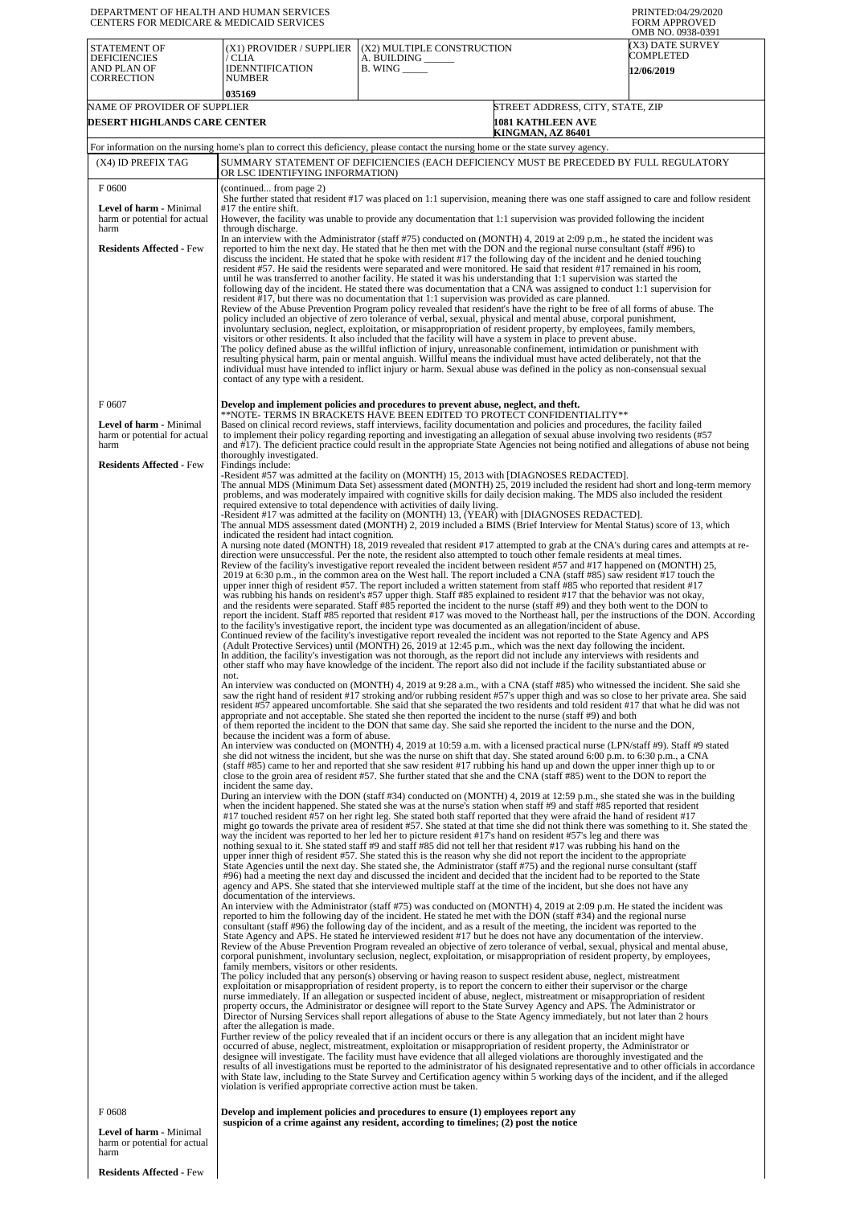| DEPARTMENT OF HEALTH AND HUMAN SERVICES<br>CENTERS FOR MEDICARE & MEDICAID SERVICES                |                                                                                                                                                                                                                                                                                                                                                                         |                                                                                                                                                                                                                                                                                                                                                                                                                                                                                                                                                                                                                                                                                                                                                                                                                                                                                                                                                                                                                                                                                                                                                                                                                                                                                                                                                                                                                                                                                                                                                                                                                                                                                 | PRINTED:04/29/2020<br><b>FORM APPROVED</b><br>OMB NO. 0938-0391 |
|----------------------------------------------------------------------------------------------------|-------------------------------------------------------------------------------------------------------------------------------------------------------------------------------------------------------------------------------------------------------------------------------------------------------------------------------------------------------------------------|---------------------------------------------------------------------------------------------------------------------------------------------------------------------------------------------------------------------------------------------------------------------------------------------------------------------------------------------------------------------------------------------------------------------------------------------------------------------------------------------------------------------------------------------------------------------------------------------------------------------------------------------------------------------------------------------------------------------------------------------------------------------------------------------------------------------------------------------------------------------------------------------------------------------------------------------------------------------------------------------------------------------------------------------------------------------------------------------------------------------------------------------------------------------------------------------------------------------------------------------------------------------------------------------------------------------------------------------------------------------------------------------------------------------------------------------------------------------------------------------------------------------------------------------------------------------------------------------------------------------------------------------------------------------------------|-----------------------------------------------------------------|
| <b>STATEMENT OF</b><br><b>DEFICIENCIES</b><br>AND PLAN OF<br>CORRECTION                            | (X1) PROVIDER / SUPPLIER<br>/ CLIA<br><b>IDENNTIFICATION</b><br><b>NUMBER</b>                                                                                                                                                                                                                                                                                           | (X2) MULTIPLE CONSTRUCTION<br>A. BUILDING<br>$B.$ WING $\_\_\_\_\_\_\$                                                                                                                                                                                                                                                                                                                                                                                                                                                                                                                                                                                                                                                                                                                                                                                                                                                                                                                                                                                                                                                                                                                                                                                                                                                                                                                                                                                                                                                                                                                                                                                                          | X3) DATE SURVEY<br>COMPLETED<br><b>12/06/2019</b>               |
|                                                                                                    | 035169                                                                                                                                                                                                                                                                                                                                                                  |                                                                                                                                                                                                                                                                                                                                                                                                                                                                                                                                                                                                                                                                                                                                                                                                                                                                                                                                                                                                                                                                                                                                                                                                                                                                                                                                                                                                                                                                                                                                                                                                                                                                                 |                                                                 |
| NAME OF PROVIDER OF SUPPLIER<br>DESERT HIGHLANDS CARE CENTER                                       |                                                                                                                                                                                                                                                                                                                                                                         | 1081 KATHLEEN AVE                                                                                                                                                                                                                                                                                                                                                                                                                                                                                                                                                                                                                                                                                                                                                                                                                                                                                                                                                                                                                                                                                                                                                                                                                                                                                                                                                                                                                                                                                                                                                                                                                                                               | STREET ADDRESS, CITY, STATE, ZIP                                |
|                                                                                                    |                                                                                                                                                                                                                                                                                                                                                                         | KINGMAN, AZ 86401<br>For information on the nursing home's plan to correct this deficiency, please contact the nursing home or the state survey agency.                                                                                                                                                                                                                                                                                                                                                                                                                                                                                                                                                                                                                                                                                                                                                                                                                                                                                                                                                                                                                                                                                                                                                                                                                                                                                                                                                                                                                                                                                                                         |                                                                 |
| (X4) ID PREFIX TAG                                                                                 |                                                                                                                                                                                                                                                                                                                                                                         | SUMMARY STATEMENT OF DEFICIENCIES (EACH DEFICIENCY MUST BE PRECEDED BY FULL REGULATORY                                                                                                                                                                                                                                                                                                                                                                                                                                                                                                                                                                                                                                                                                                                                                                                                                                                                                                                                                                                                                                                                                                                                                                                                                                                                                                                                                                                                                                                                                                                                                                                          |                                                                 |
| F 0600                                                                                             | OR LSC IDENTIFYING INFORMATION)<br>(continued from page 2)                                                                                                                                                                                                                                                                                                              |                                                                                                                                                                                                                                                                                                                                                                                                                                                                                                                                                                                                                                                                                                                                                                                                                                                                                                                                                                                                                                                                                                                                                                                                                                                                                                                                                                                                                                                                                                                                                                                                                                                                                 |                                                                 |
| Level of harm - Minimal<br>harm or potential for actual<br>harm<br><b>Residents Affected - Few</b> | $#17$ the entire shift.<br>through discharge.                                                                                                                                                                                                                                                                                                                           | She further stated that resident #17 was placed on 1:1 supervision, meaning there was one staff assigned to care and follow resident<br>However, the facility was unable to provide any documentation that 1:1 supervision was provided following the incident<br>In an interview with the Administrator (staff #75) conducted on (MONTH) 4, 2019 at 2:09 p.m., he stated the incident was<br>reported to him the next day. He stated that he then met with the DON and the regional nurse consultant (staff #96) to<br>discuss the incident. He stated that he spoke with resident #17 the following day of the incident and he denied touching<br>resident #57. He said the residents were separated and were monitored. He said that resident #17 remained in his room,<br>until he was transferred to another facility. He stated it was his understanding that 1:1 supervision was started the<br>following day of the incident. He stated there was documentation that a CNA was assigned to conduct 1:1 supervision for<br>resident #17, but there was no documentation that 1:1 supervision was provided as care planned.                                                                                                                                                                                                                                                                                                                                                                                                                                                                                                                                               |                                                                 |
|                                                                                                    | contact of any type with a resident.                                                                                                                                                                                                                                                                                                                                    | Review of the Abuse Prevention Program policy revealed that resident's have the right to be free of all forms of abuse. The<br>policy included an objective of zero tolerance of verbal, sexual, physical and mental abuse, corporal punishment,<br>involuntary seclusion, neglect, exploitation, or misappropriation of resident property, by employees, family members,<br>visitors or other residents. It also included that the facility will have a system in place to prevent abuse.<br>The policy defined abuse as the willful infliction of injury, unreasonable confinement, intimidation or punishment with<br>resulting physical harm, pain or mental anguish. Willful means the individual must have acted deliberately, not that the<br>individual must have intended to inflict injury or harm. Sexual abuse was defined in the policy as non-consensual sexual                                                                                                                                                                                                                                                                                                                                                                                                                                                                                                                                                                                                                                                                                                                                                                                                   |                                                                 |
| F 0607                                                                                             |                                                                                                                                                                                                                                                                                                                                                                         | Develop and implement policies and procedures to prevent abuse, neglect, and theft.<br>**NOTE- TERMS IN BRACKETS HAVE BEEN EDITED TO PROTECT CONFIDENTIALITY**                                                                                                                                                                                                                                                                                                                                                                                                                                                                                                                                                                                                                                                                                                                                                                                                                                                                                                                                                                                                                                                                                                                                                                                                                                                                                                                                                                                                                                                                                                                  |                                                                 |
| Level of harm - Minimal<br>harm or potential for actual<br>harm                                    | thoroughly investigated.                                                                                                                                                                                                                                                                                                                                                | Based on clinical record reviews, staff interviews, facility documentation and policies and procedures, the facility failed<br>to implement their policy regarding reporting and investigating an allegation of sexual abuse involving two residents (#57)<br>and #17). The deficient practice could result in the appropriate State Agencies not being notified and allegations of abuse not being                                                                                                                                                                                                                                                                                                                                                                                                                                                                                                                                                                                                                                                                                                                                                                                                                                                                                                                                                                                                                                                                                                                                                                                                                                                                             |                                                                 |
| <b>Residents Affected - Few</b>                                                                    | Findings include:<br>-Resident #57 was admitted at the facility on (MONTH) 15, 2013 with [DIAGNOSES REDACTED].<br>The annual MDS (Minimum Data Set) assessment dated (MONTH) 25, 2019 included the resident had short and long-term memory<br>problems, and was moderately impaired with cognitive skills for daily decision making. The MDS also included the resident |                                                                                                                                                                                                                                                                                                                                                                                                                                                                                                                                                                                                                                                                                                                                                                                                                                                                                                                                                                                                                                                                                                                                                                                                                                                                                                                                                                                                                                                                                                                                                                                                                                                                                 |                                                                 |
|                                                                                                    | indicated the resident had intact cognition.                                                                                                                                                                                                                                                                                                                            | required extensive to total dependence with activities of daily living.<br>-Resident #17 was admitted at the facility on (MONTH) 13, (YEAR) with [DIAGNOSES REDACTED].<br>The annual MDS assessment dated (MONTH) 2, 2019 included a BIMS (Brief Interview for Mental Status) score of 13, which                                                                                                                                                                                                                                                                                                                                                                                                                                                                                                                                                                                                                                                                                                                                                                                                                                                                                                                                                                                                                                                                                                                                                                                                                                                                                                                                                                                |                                                                 |
|                                                                                                    |                                                                                                                                                                                                                                                                                                                                                                         | A nursing note dated (MONTH) 18, 2019 revealed that resident #17 attempted to grab at the CNA's during cares and attempts at re-<br>direction were unsuccessful. Per the note, the resident also attempted to touch other female residents at meal times.<br>Review of the facility's investigative report revealed the incident between resident #57 and #17 happened on (MONTH) 25,<br>2019 at 6:30 p.m., in the common area on the West hall. The report included a CNA (staff #85) saw resident #17 touch the<br>upper inner thigh of resident #57. The report included a written statement from staff #85 who reported that resident #17<br>was rubbing his hands on resident's #57 upper thigh. Staff #85 explained to resident #17 that the behavior was not okay,<br>and the residents were separated. Staff #85 reported the incident to the nurse (staff #9) and they both went to the DON to<br>report the incident. Staff #85 reported that resident #17 was moved to the Northeast hall, per the instructions of the DON. According<br>to the facility's investigative report, the incident type was documented as an allegation/incident of abuse.<br>Continued review of the facility's investigative report revealed the incident was not reported to the State Agency and APS<br>(Adult Protective Services) until (MONTH) 26, 2019 at 12:45 p.m., which was the next day following the incident.<br>In addition, the facility's investigation was not thorough, as the report did not include any interviews with residents and<br>other staff who may have knowledge of the incident. The report also did not include if the facility substantiated abuse or |                                                                 |
|                                                                                                    | not.<br>because the incident was a form of abuse.                                                                                                                                                                                                                                                                                                                       | An interview was conducted on (MONTH) 4, 2019 at 9:28 a.m., with a CNA (staff #85) who witnessed the incident. She said she<br>saw the right hand of resident #17 stroking and/or rubbing resident #57's upper thigh and was so close to her private area. She said<br>resident #57 appeared uncomfortable. She said that she separated the two residents and told resident #17 that what he did was not<br>appropriate and not acceptable. She stated she then reported the incident to the nurse (staff $#9$ ) and both<br>of them reported the incident to the DON that same day. She said she reported the incident to the nurse and the DON,                                                                                                                                                                                                                                                                                                                                                                                                                                                                                                                                                                                                                                                                                                                                                                                                                                                                                                                                                                                                                               |                                                                 |
|                                                                                                    |                                                                                                                                                                                                                                                                                                                                                                         | An interview was conducted on (MONTH) 4, 2019 at 10:59 a.m. with a licensed practical nurse (LPN/staff #9). Staff #9 stated<br>she did not witness the incident, but she was the nurse on shift that day. She stated around 6:00 p.m. to 6:30 p.m., a CNA<br>(staff #85) came to her and reported that she saw resident #17 rubbing his hand up and down the upper inner thigh up to or<br>close to the groin area of resident #57. She further stated that she and the CNA (staff #85) went to the DON to report the                                                                                                                                                                                                                                                                                                                                                                                                                                                                                                                                                                                                                                                                                                                                                                                                                                                                                                                                                                                                                                                                                                                                                           |                                                                 |
|                                                                                                    | incident the same day.                                                                                                                                                                                                                                                                                                                                                  | During an interview with the DON (staff #34) conducted on (MONTH) 4, 2019 at 12:59 p.m., she stated she was in the building<br>when the incident happened. She stated she was at the nurse's station when staff #9 and staff #85 reported that resident<br>#17 touched resident #57 on her right leg. She stated both staff reported that they were afraid the hand of resident #17<br>might go towards the private area of resident #57. She stated at that time she did not think there was something to it. She stated the<br>way the incident was reported to her led her to picture resident #17's hand on resident #57's leg and there was<br>nothing sexual to it. She stated staff #9 and staff #85 did not tell her that resident #17 was rubbing his hand on the<br>upper inner thigh of resident #57. She stated this is the reason why she did not report the incident to the appropriate<br>State Agencies until the next day. She stated she, the Administrator (staff #75) and the regional nurse consultant (staff<br>#96) had a meeting the next day and discussed the incident and decided that the incident had to be reported to the State<br>agency and APS. She stated that she interviewed multiple staff at the time of the incident, but she does not have any                                                                                                                                                                                                                                                                                                                                                                                         |                                                                 |
|                                                                                                    | documentation of the interviews.<br>family members, visitors or other residents.                                                                                                                                                                                                                                                                                        | An interview with the Administrator (staff #75) was conducted on (MONTH) 4, 2019 at 2:09 p.m. He stated the incident was<br>reported to him the following day of the incident. He stated he met with the DON (staff #34) and the regional nurse<br>consultant (staff #96) the following day of the incident, and as a result of the meeting, the incident was reported to the<br>State Agency and APS. He stated he interviewed resident #17 but he does not have any documentation of the interview.<br>Review of the Abuse Prevention Program revealed an objective of zero tolerance of verbal, sexual, physical and mental abuse,<br>corporal punishment, involuntary seclusion, neglect, exploitation, or misappropriation of resident property, by employees,                                                                                                                                                                                                                                                                                                                                                                                                                                                                                                                                                                                                                                                                                                                                                                                                                                                                                                             |                                                                 |
|                                                                                                    | after the allegation is made.                                                                                                                                                                                                                                                                                                                                           | The policy included that any person(s) observing or having reason to suspect resident abuse, neglect, mistreatment<br>exploitation or misappropriation of resident property, is to report the concern to either their supervisor or the charge<br>nurse immediately. If an allegation or suspected incident of abuse, neglect, mistreatment or misappropriation of resident<br>property occurs, the Administrator or designee will report to the State Survey Agency and APS. The Administrator or<br>Director of Nursing Services shall report allegations of abuse to the State Agency immediately, but not later than 2 hours                                                                                                                                                                                                                                                                                                                                                                                                                                                                                                                                                                                                                                                                                                                                                                                                                                                                                                                                                                                                                                                |                                                                 |
|                                                                                                    | violation is verified appropriate corrective action must be taken.                                                                                                                                                                                                                                                                                                      | Further review of the policy revealed that if an incident occurs or there is any allegation that an incident might have<br>occurred of abuse, neglect, mistreatment, exploitation or misappropriation of resident property, the Administrator or<br>designee will investigate. The facility must have evidence that all alleged violations are thoroughly investigated and the<br>results of all investigations must be reported to the administrator of his designated representative and to other officials in accordance<br>with State law, including to the State Survey and Certification agency within 5 working days of the incident, and if the alleged                                                                                                                                                                                                                                                                                                                                                                                                                                                                                                                                                                                                                                                                                                                                                                                                                                                                                                                                                                                                                 |                                                                 |
| F0608                                                                                              |                                                                                                                                                                                                                                                                                                                                                                         | Develop and implement policies and procedures to ensure (1) employees report any                                                                                                                                                                                                                                                                                                                                                                                                                                                                                                                                                                                                                                                                                                                                                                                                                                                                                                                                                                                                                                                                                                                                                                                                                                                                                                                                                                                                                                                                                                                                                                                                |                                                                 |
| Level of harm - Minimal<br>harm or potential for actual<br>harm                                    |                                                                                                                                                                                                                                                                                                                                                                         | suspicion of a crime against any resident, according to timelines; (2) post the notice                                                                                                                                                                                                                                                                                                                                                                                                                                                                                                                                                                                                                                                                                                                                                                                                                                                                                                                                                                                                                                                                                                                                                                                                                                                                                                                                                                                                                                                                                                                                                                                          |                                                                 |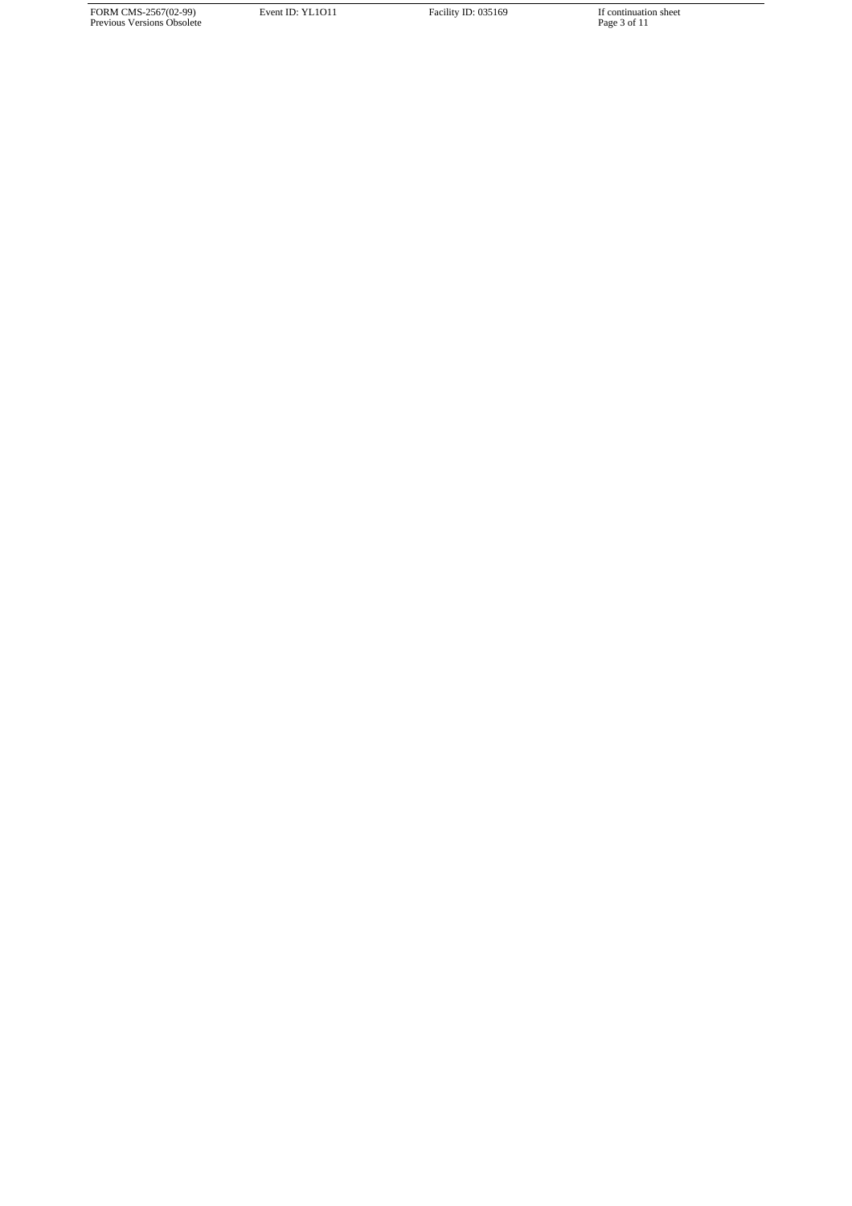FORM CMS-2567(02-99) Previous Versions Obsolete

Event ID: YL1O11 Facility ID: 035169 If continuation sheet<br>Page 3 of 11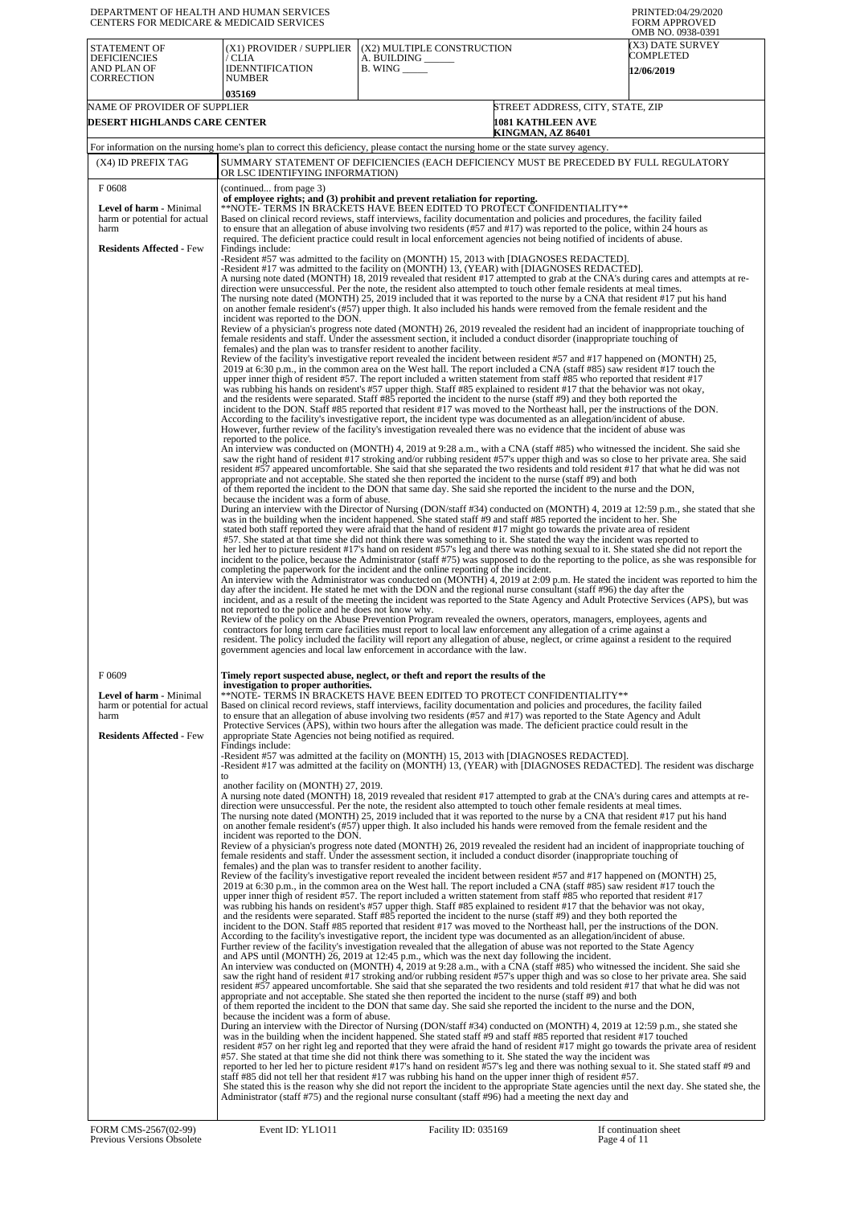| DEPARTMENT OF HEALTH AND HUMAN SERVICES<br>CENTERS FOR MEDICARE & MEDICAID SERVICES                |                                                                                                                                                                                                                                                                                                                                                                                                                                                                                                                                                                                                                                                                                                                                                                                                                                                                                                                                                                                                                                                                                                                                                                                                                                                                                                                                                                                                                                                                                                                                                                                                                                                                                                                                                                                                                                                                                                                                                                                                                                                                                                                                                                                                                                                                                                                                                                                                                                                                                                                                                                                                                                                                                                                                                                                                                                                                                                                                                                                                                                                                                                                                                                                                                                                                                                                                                                                                                                                                                                                                                                                                                                                                                                                                                                                                                                                                                                                                                                                                                               |                                                                             |                                                                                                                                                                                                                                                                                                                                                                                                                                                                                                                                                                                                                                         | PRINTED:04/29/2020<br><b>FORM APPROVED</b>                                                                                                  |
|----------------------------------------------------------------------------------------------------|-------------------------------------------------------------------------------------------------------------------------------------------------------------------------------------------------------------------------------------------------------------------------------------------------------------------------------------------------------------------------------------------------------------------------------------------------------------------------------------------------------------------------------------------------------------------------------------------------------------------------------------------------------------------------------------------------------------------------------------------------------------------------------------------------------------------------------------------------------------------------------------------------------------------------------------------------------------------------------------------------------------------------------------------------------------------------------------------------------------------------------------------------------------------------------------------------------------------------------------------------------------------------------------------------------------------------------------------------------------------------------------------------------------------------------------------------------------------------------------------------------------------------------------------------------------------------------------------------------------------------------------------------------------------------------------------------------------------------------------------------------------------------------------------------------------------------------------------------------------------------------------------------------------------------------------------------------------------------------------------------------------------------------------------------------------------------------------------------------------------------------------------------------------------------------------------------------------------------------------------------------------------------------------------------------------------------------------------------------------------------------------------------------------------------------------------------------------------------------------------------------------------------------------------------------------------------------------------------------------------------------------------------------------------------------------------------------------------------------------------------------------------------------------------------------------------------------------------------------------------------------------------------------------------------------------------------------------------------------------------------------------------------------------------------------------------------------------------------------------------------------------------------------------------------------------------------------------------------------------------------------------------------------------------------------------------------------------------------------------------------------------------------------------------------------------------------------------------------------------------------------------------------------------------------------------------------------------------------------------------------------------------------------------------------------------------------------------------------------------------------------------------------------------------------------------------------------------------------------------------------------------------------------------------------------------------------------------------------------------------------------------------------------|-----------------------------------------------------------------------------|-----------------------------------------------------------------------------------------------------------------------------------------------------------------------------------------------------------------------------------------------------------------------------------------------------------------------------------------------------------------------------------------------------------------------------------------------------------------------------------------------------------------------------------------------------------------------------------------------------------------------------------------|---------------------------------------------------------------------------------------------------------------------------------------------|
| STATEMENT OF<br><b>DEFICIENCIES</b><br>AND PLAN OF<br><b>CORRECTION</b>                            | (X1) PROVIDER / SUPPLIER<br>/ CLIA<br><b>IDENNTIFICATION</b><br>NUMBER<br>035169                                                                                                                                                                                                                                                                                                                                                                                                                                                                                                                                                                                                                                                                                                                                                                                                                                                                                                                                                                                                                                                                                                                                                                                                                                                                                                                                                                                                                                                                                                                                                                                                                                                                                                                                                                                                                                                                                                                                                                                                                                                                                                                                                                                                                                                                                                                                                                                                                                                                                                                                                                                                                                                                                                                                                                                                                                                                                                                                                                                                                                                                                                                                                                                                                                                                                                                                                                                                                                                                                                                                                                                                                                                                                                                                                                                                                                                                                                                                              | (X2) MULTIPLE CONSTRUCTION<br>A. BUILDING<br><b>B.</b> WING ______          |                                                                                                                                                                                                                                                                                                                                                                                                                                                                                                                                                                                                                                         | OMB NO. 0938-0391<br>(X3) DATE SURVEY<br>COMPLETED<br>12/06/2019                                                                            |
| NAME OF PROVIDER OF SUPPLIER<br>DESERT HIGHLANDS CARE CENTER                                       |                                                                                                                                                                                                                                                                                                                                                                                                                                                                                                                                                                                                                                                                                                                                                                                                                                                                                                                                                                                                                                                                                                                                                                                                                                                                                                                                                                                                                                                                                                                                                                                                                                                                                                                                                                                                                                                                                                                                                                                                                                                                                                                                                                                                                                                                                                                                                                                                                                                                                                                                                                                                                                                                                                                                                                                                                                                                                                                                                                                                                                                                                                                                                                                                                                                                                                                                                                                                                                                                                                                                                                                                                                                                                                                                                                                                                                                                                                                                                                                                                               |                                                                             | STREET ADDRESS, CITY, STATE, ZIP<br>1081 KATHLEEN AVE                                                                                                                                                                                                                                                                                                                                                                                                                                                                                                                                                                                   |                                                                                                                                             |
|                                                                                                    | For information on the nursing home's plan to correct this deficiency, please contact the nursing home or the state survey agency.                                                                                                                                                                                                                                                                                                                                                                                                                                                                                                                                                                                                                                                                                                                                                                                                                                                                                                                                                                                                                                                                                                                                                                                                                                                                                                                                                                                                                                                                                                                                                                                                                                                                                                                                                                                                                                                                                                                                                                                                                                                                                                                                                                                                                                                                                                                                                                                                                                                                                                                                                                                                                                                                                                                                                                                                                                                                                                                                                                                                                                                                                                                                                                                                                                                                                                                                                                                                                                                                                                                                                                                                                                                                                                                                                                                                                                                                                            |                                                                             | KINGMAN, AZ 86401                                                                                                                                                                                                                                                                                                                                                                                                                                                                                                                                                                                                                       |                                                                                                                                             |
| (X4) ID PREFIX TAG                                                                                 | SUMMARY STATEMENT OF DEFICIENCIES (EACH DEFICIENCY MUST BE PRECEDED BY FULL REGULATORY                                                                                                                                                                                                                                                                                                                                                                                                                                                                                                                                                                                                                                                                                                                                                                                                                                                                                                                                                                                                                                                                                                                                                                                                                                                                                                                                                                                                                                                                                                                                                                                                                                                                                                                                                                                                                                                                                                                                                                                                                                                                                                                                                                                                                                                                                                                                                                                                                                                                                                                                                                                                                                                                                                                                                                                                                                                                                                                                                                                                                                                                                                                                                                                                                                                                                                                                                                                                                                                                                                                                                                                                                                                                                                                                                                                                                                                                                                                                        |                                                                             |                                                                                                                                                                                                                                                                                                                                                                                                                                                                                                                                                                                                                                         |                                                                                                                                             |
| F0608                                                                                              | OR LSC IDENTIFYING INFORMATION)<br>(continued from page 3)                                                                                                                                                                                                                                                                                                                                                                                                                                                                                                                                                                                                                                                                                                                                                                                                                                                                                                                                                                                                                                                                                                                                                                                                                                                                                                                                                                                                                                                                                                                                                                                                                                                                                                                                                                                                                                                                                                                                                                                                                                                                                                                                                                                                                                                                                                                                                                                                                                                                                                                                                                                                                                                                                                                                                                                                                                                                                                                                                                                                                                                                                                                                                                                                                                                                                                                                                                                                                                                                                                                                                                                                                                                                                                                                                                                                                                                                                                                                                                    |                                                                             |                                                                                                                                                                                                                                                                                                                                                                                                                                                                                                                                                                                                                                         |                                                                                                                                             |
| Level of harm - Minimal<br>harm or potential for actual<br>harm<br><b>Residents Affected - Few</b> | **NOTE- TERMS IN BRACKETS HAVE BEEN EDITED TO PROTECT CONFIDENTIALITY**<br>Based on clinical record reviews, staff interviews, facility documentation and policies and procedures, the facility failed<br>to ensure that an allegation of abuse involving two residents (#57 and #17) was reported to the police, within 24 hours as<br>required. The deficient practice could result in local enforcement agencies not being notified of incidents of abuse.<br>Findings include:                                                                                                                                                                                                                                                                                                                                                                                                                                                                                                                                                                                                                                                                                                                                                                                                                                                                                                                                                                                                                                                                                                                                                                                                                                                                                                                                                                                                                                                                                                                                                                                                                                                                                                                                                                                                                                                                                                                                                                                                                                                                                                                                                                                                                                                                                                                                                                                                                                                                                                                                                                                                                                                                                                                                                                                                                                                                                                                                                                                                                                                                                                                                                                                                                                                                                                                                                                                                                                                                                                                                            | of employee rights; and (3) prohibit and prevent retaliation for reporting. |                                                                                                                                                                                                                                                                                                                                                                                                                                                                                                                                                                                                                                         |                                                                                                                                             |
|                                                                                                    | -Resident #57 was admitted to the facility on (MONTH) 15, 2013 with [DIAGNOSES REDACTED].<br>-Resident #17 was admitted to the facility on (MONTH) 13, (YEAR) with [DIAGNOSES REDACTED].<br>A nursing note dated (MONTH) 18, 2019 revealed that resident #17 attempted to grab at the CNA's during cares and attempts at re-<br>direction were unsuccessful. Per the note, the resident also attempted to touch other female residents at meal times.<br>The nursing note dated (MONTH) 25, 2019 included that it was reported to the nurse by a CNA that resident #17 put his hand<br>on another female resident's (#57) upper thigh. It also included his hands were removed from the female resident and the<br>incident was reported to the DON.<br>Review of a physician's progress note dated (MONTH) 26, 2019 revealed the resident had an incident of inappropriate touching of<br>female residents and staff. Under the assessment section, it included a conduct disorder (inappropriate touching of<br>females) and the plan was to transfer resident to another facility.<br>Review of the facility's investigative report revealed the incident between resident #57 and #17 happened on (MONTH) 25,<br>According to the facility's investigative report, the incident type was documented as an allegation/incident of abuse.<br>However, further review of the facility's investigation revealed there was no evidence that the incident of abuse was<br>reported to the police.<br>An interview was conducted on (MONTH) 4, 2019 at 9:28 a.m., with a CNA (staff #85) who witnessed the incident. She said she<br>saw the right hand of resident #17 stroking and/or rubbing resident #57's upper thigh and was so close to her private area. She said<br>resident #57 appeared uncomfortable. She said that she separated the two residents and told resident #17 that what he did was not<br>appropriate and not acceptable. She stated she then reported the incident to the nurse (staff #9) and both<br>of them reported the incident to the DON that same day. She said she reported the incident to the nurse and the DON,<br>because the incident was a form of abuse.<br>During an interview with the Director of Nursing (DON/staff #34) conducted on (MONTH) 4, 2019 at 12:59 p.m., she stated that she<br>was in the building when the incident happened. She stated staff #9 and staff #85 reported the incident to her. She<br>stated both staff reported they were afraid that the hand of resident #17 might go towards the private area of resident<br>#57. She stated at that time she did not think there was something to it. She stated the way the incident was reported to<br>her led her to picture resident #17's hand on resident #57's leg and there was nothing sexual to it. She stated she did not report the<br>incident to the police, because the Administrator (staff #75) was supposed to do the reporting to the police, as she was responsible for<br>completing the paperwork for the incident and the online reporting of the incident.<br>An interview with the Administrator was conducted on (MONTH) 4, 2019 at 2:09 p.m. He stated the incident was reported to him the<br>day after the incident. He stated he met with the DON and the regional nurse consultant (staff #96) the day after the<br>incident, and as a result of the meeting the incident was reported to the State Agency and Adult Protective Services (APS), but was<br>not reported to the police and he does not know why.<br>Review of the policy on the Abuse Prevention Program revealed the owners, operators, managers, employees, agents and<br>contractors for long term care facilities must report to local law enforcement any allegation of a crime against a<br>resident. The policy included the facility will report any allegation of abuse, neglect, or crime against a resident to the required<br>government agencies and local law enforcement in accordance with the law. |                                                                             | 2019 at 6:30 p.m., in the common area on the West hall. The report included a CNA (staff #85) saw resident #17 touch the<br>upper inner thigh of resident #57. The report included a written statement from staff #85 who reported that resident #17<br>was rubbing his hands on resident's #57 upper thigh. Staff #85 explained to resident #17 that the behavior was not okay,<br>and the residents were separated. Staff #85 reported the incident to the nurse (staff #9) and they both reported the<br>incident to the DON. Staff #85 reported that resident #17 was moved to the Northeast hall, per the instructions of the DON. |                                                                                                                                             |
| F0609                                                                                              | Timely report suspected abuse, neglect, or theft and report the results of the                                                                                                                                                                                                                                                                                                                                                                                                                                                                                                                                                                                                                                                                                                                                                                                                                                                                                                                                                                                                                                                                                                                                                                                                                                                                                                                                                                                                                                                                                                                                                                                                                                                                                                                                                                                                                                                                                                                                                                                                                                                                                                                                                                                                                                                                                                                                                                                                                                                                                                                                                                                                                                                                                                                                                                                                                                                                                                                                                                                                                                                                                                                                                                                                                                                                                                                                                                                                                                                                                                                                                                                                                                                                                                                                                                                                                                                                                                                                                |                                                                             |                                                                                                                                                                                                                                                                                                                                                                                                                                                                                                                                                                                                                                         |                                                                                                                                             |
| Level of harm - Minimal<br>harm or potential for actual<br>harm<br><b>Residents Affected - Few</b> | investigation to proper authorities.<br>**NOTE- TERMS IN BRACKETS HAVE BEEN EDITED TO PROTECT CONFIDENTIALITY**<br>Based on clinical record reviews, staff interviews, facility documentation and policies and procedures, the facility failed<br>to ensure that an allegation of abuse involving two residents (#57 and #17) was reported to the State Agency and Adult<br>Protective Services (APS), within two hours after the allegation was made. The deficient practice could result in the<br>appropriate State Agencies not being notified as required.<br>Findings include:                                                                                                                                                                                                                                                                                                                                                                                                                                                                                                                                                                                                                                                                                                                                                                                                                                                                                                                                                                                                                                                                                                                                                                                                                                                                                                                                                                                                                                                                                                                                                                                                                                                                                                                                                                                                                                                                                                                                                                                                                                                                                                                                                                                                                                                                                                                                                                                                                                                                                                                                                                                                                                                                                                                                                                                                                                                                                                                                                                                                                                                                                                                                                                                                                                                                                                                                                                                                                                          |                                                                             |                                                                                                                                                                                                                                                                                                                                                                                                                                                                                                                                                                                                                                         |                                                                                                                                             |
|                                                                                                    | -Resident #57 was admitted at the facility on (MONTH) 15, 2013 with [DIAGNOSES REDACTED].<br>-Resident #17 was admitted at the facility on (MONTH) 13, (YEAR) with [DIAGNOSES REDACTED]. The resident was discharge<br>to<br>another facility on (MONTH) 27, 2019.<br>A nursing note dated (MONTH) 18, 2019 revealed that resident #17 attempted to grab at the CNA's during cares and attempts at re-<br>direction were unsuccessful. Per the note, the resident also attempted to touch other female residents at meal times.<br>The nursing note dated (MONTH) 25, 2019 included that it was reported to the nurse by a CNA that resident #17 put his hand<br>on another female resident's (#57) upper thigh. It also included his hands were removed from the female resident and the<br>incident was reported to the DON.<br>Review of a physician's progress note dated (MONTH) 26, 2019 revealed the resident had an incident of inappropriate touching of<br>female residents and staff. Under the assessment section, it included a conduct disorder (inappropriate touching of<br>females) and the plan was to transfer resident to another facility.<br>Review of the facility's investigative report revealed the incident between resident #57 and #17 happened on (MONTH) 25,<br>2019 at 6:30 p.m., in the common area on the West hall. The report included a CNA (staff #85) saw resident #17 touch the<br>According to the facility's investigative report, the incident type was documented as an allegation/incident of abuse.<br>Further review of the facility's investigation revealed that the allegation of abuse was not reported to the State Agency<br>and APS until (MONTH) 26, 2019 at 12:45 p.m., which was the next day following the incident.<br>An interview was conducted on (MONTH) 4, 2019 at 9:28 a.m., with a CNA (staff #85) who witnessed the incident. She said she<br>saw the right hand of resident #17 stroking and/or rubbing resident #57's upper thigh and was so close to her private area. She said<br>resident #57 appeared uncomfortable. She said that she separated the two residents and told resident #17 that what he did was not<br>appropriate and not acceptable. She stated she then reported the incident to the nurse (staff #9) and both<br>of them reported the incident to the DON that same day. She said she reported the incident to the nurse and the DON,<br>because the incident was a form of abuse.<br>During an interview with the Director of Nursing (DON/staff #34) conducted on (MONTH) 4, 2019 at 12:59 p.m., she stated she<br>resident #57 on her right leg and reported that they were afraid the hand of resident #17 might go towards the private area of resident<br>#57. She stated at that time she did not think there was something to it. She stated the way the incident was<br>reported to her led her to picture resident #17's hand on resident #57's leg and there was nothing sexual to it. She stated staff #9 and<br>staff #85 did not tell her that resident #17 was rubbing his hand on the upper inner thigh of resident #57.<br>Administrator (staff #75) and the regional nurse consultant (staff #96) had a meeting the next day and                                                                                                                                                                                                                                                                                                                                                                                                                                                                                                                                                                                                                                                                                                                                                                                 |                                                                             | upper inner thigh of resident #57. The report included a written statement from staff #85 who reported that resident #17<br>was rubbing his hands on resident's #57 upper thigh. Staff #85 explained to resident #17 that the behavior was not okay,<br>and the residents were separated. Staff #85 reported the incident to the nurse (staff #9) and they both reported the<br>incident to the DON. Staff #85 reported that resident #17 was moved to the Northeast hall, per the instructions of the DON.<br>was in the building when the incident happened. She stated staff #9 and staff #85 reported that resident #17 touched     | She stated this is the reason why she did not report the incident to the appropriate State agencies until the next day. She stated she, the |
| FORM CMS-2567(02-99)<br>Previous Versions Obsolete                                                 | Event ID: YL1011                                                                                                                                                                                                                                                                                                                                                                                                                                                                                                                                                                                                                                                                                                                                                                                                                                                                                                                                                                                                                                                                                                                                                                                                                                                                                                                                                                                                                                                                                                                                                                                                                                                                                                                                                                                                                                                                                                                                                                                                                                                                                                                                                                                                                                                                                                                                                                                                                                                                                                                                                                                                                                                                                                                                                                                                                                                                                                                                                                                                                                                                                                                                                                                                                                                                                                                                                                                                                                                                                                                                                                                                                                                                                                                                                                                                                                                                                                                                                                                                              | Facility ID: 035169                                                         | Page 4 of 11                                                                                                                                                                                                                                                                                                                                                                                                                                                                                                                                                                                                                            | If continuation sheet                                                                                                                       |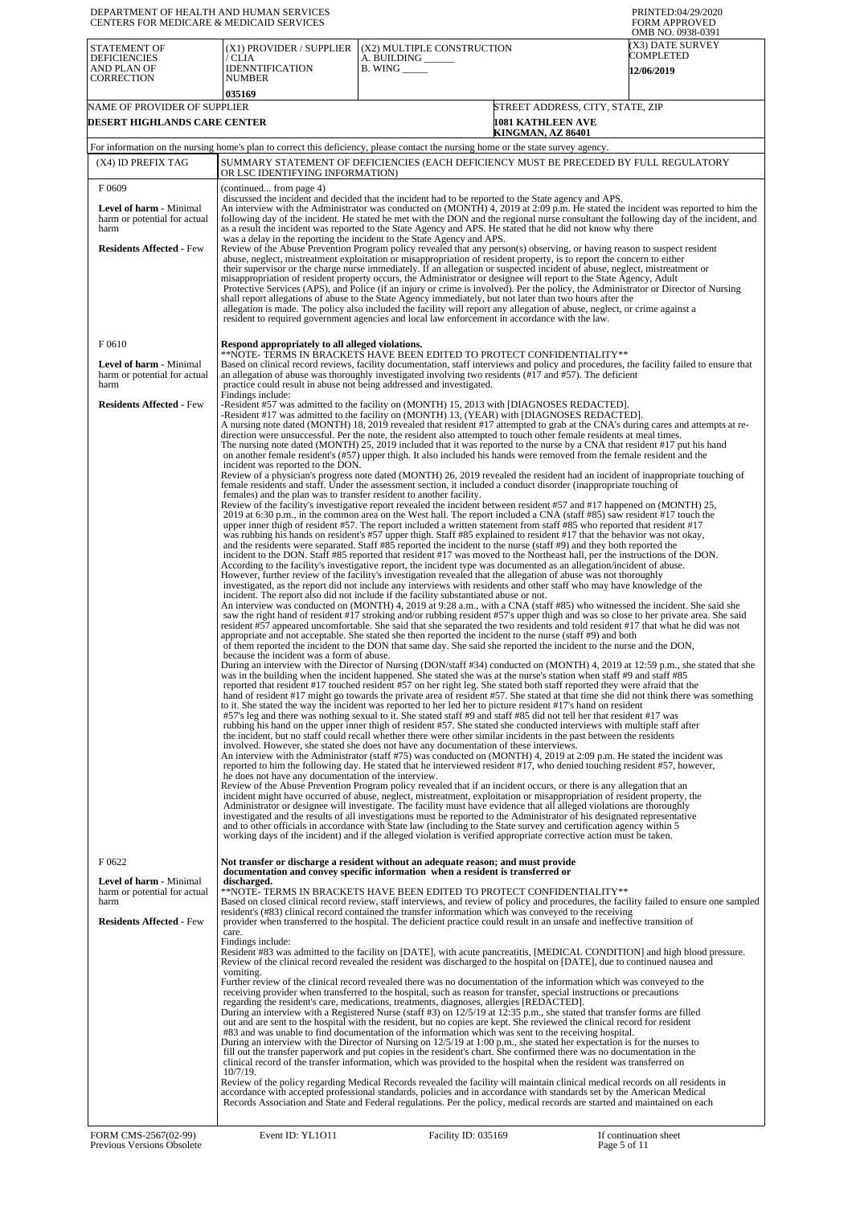| DEPARTMENT OF HEALTH AND HUMAN SERVICES<br>CENTERS FOR MEDICARE & MEDICAID SERVICES                |                                                                                                                                                                                                                                    |                                                                                                                                                                                                                                                                                                                                                                                                                                                                                                                                                                                                                                                                                                                                                                                                                                                                                                                                                                                                                                                                                                                                                                                                                                                                                                                                                                                                                                                                                                                                                                                                                                                                                                                                                                                                                                                                                                                                                                                                                                                                                                                                                                                                                                                                                                                                                                                                                                                                                                                                                                                                                                                                                                                                                                                                                                                                                                                                                                                                                                                                                                                                                                                                                                                                                                                                                                                                                                                                                                                                                                                                                                                                                                                                                                                                                                                                                                                                                                                                                                                                                                                                                                                                                                                                                                                                                                                                                                                                                                                                                                                                                                                                                                                                                                                                                                                                                                                                                                                                                       | PRINTED:04/29/2020<br><b>FORM APPROVED</b><br>OMB NO. 0938-0391 |
|----------------------------------------------------------------------------------------------------|------------------------------------------------------------------------------------------------------------------------------------------------------------------------------------------------------------------------------------|-----------------------------------------------------------------------------------------------------------------------------------------------------------------------------------------------------------------------------------------------------------------------------------------------------------------------------------------------------------------------------------------------------------------------------------------------------------------------------------------------------------------------------------------------------------------------------------------------------------------------------------------------------------------------------------------------------------------------------------------------------------------------------------------------------------------------------------------------------------------------------------------------------------------------------------------------------------------------------------------------------------------------------------------------------------------------------------------------------------------------------------------------------------------------------------------------------------------------------------------------------------------------------------------------------------------------------------------------------------------------------------------------------------------------------------------------------------------------------------------------------------------------------------------------------------------------------------------------------------------------------------------------------------------------------------------------------------------------------------------------------------------------------------------------------------------------------------------------------------------------------------------------------------------------------------------------------------------------------------------------------------------------------------------------------------------------------------------------------------------------------------------------------------------------------------------------------------------------------------------------------------------------------------------------------------------------------------------------------------------------------------------------------------------------------------------------------------------------------------------------------------------------------------------------------------------------------------------------------------------------------------------------------------------------------------------------------------------------------------------------------------------------------------------------------------------------------------------------------------------------------------------------------------------------------------------------------------------------------------------------------------------------------------------------------------------------------------------------------------------------------------------------------------------------------------------------------------------------------------------------------------------------------------------------------------------------------------------------------------------------------------------------------------------------------------------------------------------------------------------------------------------------------------------------------------------------------------------------------------------------------------------------------------------------------------------------------------------------------------------------------------------------------------------------------------------------------------------------------------------------------------------------------------------------------------------------------------------------------------------------------------------------------------------------------------------------------------------------------------------------------------------------------------------------------------------------------------------------------------------------------------------------------------------------------------------------------------------------------------------------------------------------------------------------------------------------------------------------------------------------------------------------------------------------------------------------------------------------------------------------------------------------------------------------------------------------------------------------------------------------------------------------------------------------------------------------------------------------------------------------------------------------------------------------------------------------------------------------------------------------------------------------|-----------------------------------------------------------------|
| <b>STATEMENT OF</b><br><b>DEFICIENCIES</b><br>AND PLAN OF<br><b>CORRECTION</b>                     | (X1) PROVIDER / SUPPLIER<br>/ CLIA<br><b>IDENNTIFICATION</b><br><b>NUMBER</b>                                                                                                                                                      | (X2) MULTIPLE CONSTRUCTION<br>A. BUILDING ______<br>$B.$ WING $\_\_\_\_\_\_\_\$                                                                                                                                                                                                                                                                                                                                                                                                                                                                                                                                                                                                                                                                                                                                                                                                                                                                                                                                                                                                                                                                                                                                                                                                                                                                                                                                                                                                                                                                                                                                                                                                                                                                                                                                                                                                                                                                                                                                                                                                                                                                                                                                                                                                                                                                                                                                                                                                                                                                                                                                                                                                                                                                                                                                                                                                                                                                                                                                                                                                                                                                                                                                                                                                                                                                                                                                                                                                                                                                                                                                                                                                                                                                                                                                                                                                                                                                                                                                                                                                                                                                                                                                                                                                                                                                                                                                                                                                                                                                                                                                                                                                                                                                                                                                                                                                                                                                                                                                       | X3) DATE SURVEY<br>COMPLETED<br><b>12/06/2019</b>               |
| NAME OF PROVIDER OF SUPPLIER                                                                       | 035169                                                                                                                                                                                                                             |                                                                                                                                                                                                                                                                                                                                                                                                                                                                                                                                                                                                                                                                                                                                                                                                                                                                                                                                                                                                                                                                                                                                                                                                                                                                                                                                                                                                                                                                                                                                                                                                                                                                                                                                                                                                                                                                                                                                                                                                                                                                                                                                                                                                                                                                                                                                                                                                                                                                                                                                                                                                                                                                                                                                                                                                                                                                                                                                                                                                                                                                                                                                                                                                                                                                                                                                                                                                                                                                                                                                                                                                                                                                                                                                                                                                                                                                                                                                                                                                                                                                                                                                                                                                                                                                                                                                                                                                                                                                                                                                                                                                                                                                                                                                                                                                                                                                                                                                                                                                                       | STREET ADDRESS, CITY, STATE, ZIP                                |
| DESERT HIGHLANDS CARE CENTER                                                                       |                                                                                                                                                                                                                                    | 1081 KATHLEEN AVE                                                                                                                                                                                                                                                                                                                                                                                                                                                                                                                                                                                                                                                                                                                                                                                                                                                                                                                                                                                                                                                                                                                                                                                                                                                                                                                                                                                                                                                                                                                                                                                                                                                                                                                                                                                                                                                                                                                                                                                                                                                                                                                                                                                                                                                                                                                                                                                                                                                                                                                                                                                                                                                                                                                                                                                                                                                                                                                                                                                                                                                                                                                                                                                                                                                                                                                                                                                                                                                                                                                                                                                                                                                                                                                                                                                                                                                                                                                                                                                                                                                                                                                                                                                                                                                                                                                                                                                                                                                                                                                                                                                                                                                                                                                                                                                                                                                                                                                                                                                                     |                                                                 |
|                                                                                                    |                                                                                                                                                                                                                                    | KINGMAN, AZ 86401<br>For information on the nursing home's plan to correct this deficiency, please contact the nursing home or the state survey agency.                                                                                                                                                                                                                                                                                                                                                                                                                                                                                                                                                                                                                                                                                                                                                                                                                                                                                                                                                                                                                                                                                                                                                                                                                                                                                                                                                                                                                                                                                                                                                                                                                                                                                                                                                                                                                                                                                                                                                                                                                                                                                                                                                                                                                                                                                                                                                                                                                                                                                                                                                                                                                                                                                                                                                                                                                                                                                                                                                                                                                                                                                                                                                                                                                                                                                                                                                                                                                                                                                                                                                                                                                                                                                                                                                                                                                                                                                                                                                                                                                                                                                                                                                                                                                                                                                                                                                                                                                                                                                                                                                                                                                                                                                                                                                                                                                                                               |                                                                 |
| (X4) ID PREFIX TAG                                                                                 |                                                                                                                                                                                                                                    | SUMMARY STATEMENT OF DEFICIENCIES (EACH DEFICIENCY MUST BE PRECEDED BY FULL REGULATORY                                                                                                                                                                                                                                                                                                                                                                                                                                                                                                                                                                                                                                                                                                                                                                                                                                                                                                                                                                                                                                                                                                                                                                                                                                                                                                                                                                                                                                                                                                                                                                                                                                                                                                                                                                                                                                                                                                                                                                                                                                                                                                                                                                                                                                                                                                                                                                                                                                                                                                                                                                                                                                                                                                                                                                                                                                                                                                                                                                                                                                                                                                                                                                                                                                                                                                                                                                                                                                                                                                                                                                                                                                                                                                                                                                                                                                                                                                                                                                                                                                                                                                                                                                                                                                                                                                                                                                                                                                                                                                                                                                                                                                                                                                                                                                                                                                                                                                                                |                                                                 |
| F0609                                                                                              | OR LSC IDENTIFYING INFORMATION)<br>(continued from page 4)                                                                                                                                                                         |                                                                                                                                                                                                                                                                                                                                                                                                                                                                                                                                                                                                                                                                                                                                                                                                                                                                                                                                                                                                                                                                                                                                                                                                                                                                                                                                                                                                                                                                                                                                                                                                                                                                                                                                                                                                                                                                                                                                                                                                                                                                                                                                                                                                                                                                                                                                                                                                                                                                                                                                                                                                                                                                                                                                                                                                                                                                                                                                                                                                                                                                                                                                                                                                                                                                                                                                                                                                                                                                                                                                                                                                                                                                                                                                                                                                                                                                                                                                                                                                                                                                                                                                                                                                                                                                                                                                                                                                                                                                                                                                                                                                                                                                                                                                                                                                                                                                                                                                                                                                                       |                                                                 |
| Level of harm - Minimal<br>harm or potential for actual<br>harm<br><b>Residents Affected - Few</b> |                                                                                                                                                                                                                                    | discussed the incident and decided that the incident had to be reported to the State agency and APS.<br>An interview with the Administrator was conducted on (MONTH) 4, 2019 at 2:09 p.m. He stated the incident was reported to him the<br>following day of the incident. He stated he met with the DON and the regional nurse consultant the following day of the incident, and<br>as a result the incident was reported to the State Agency and APS. He stated that he did not know why there<br>was a delay in the reporting the incident to the State Agency and APS.<br>Review of the Abuse Prevention Program policy revealed that any person(s) observing, or having reason to suspect resident<br>abuse, neglect, mistreatment exploitation or misappropriation of resident property, is to report the concern to either<br>their supervisor or the charge nurse immediately. If an allegation or suspected incident of abuse, neglect, mistreatment or<br>misappropriation of resident property occurs, the Administrator or designee will report to the State Agency, Adult<br>Protective Services (APS), and Police (if an injury or crime is involved). Per the policy, the Administrator or Director of Nursing<br>shall report allegations of abuse to the State Agency immediately, but not later than two hours after the<br>allegation is made. The policy also included the facility will report any allegation of abuse, neglect, or crime against a<br>resident to required government agencies and local law enforcement in accordance with the law.                                                                                                                                                                                                                                                                                                                                                                                                                                                                                                                                                                                                                                                                                                                                                                                                                                                                                                                                                                                                                                                                                                                                                                                                                                                                                                                                                                                                                                                                                                                                                                                                                                                                                                                                                                                                                                                                                                                                                                                                                                                                                                                                                                                                                                                                                                                                                                                                                                                                                                                                                                                                                                                                                                                                                                                                                                                                                                                                                                                                                                                                                                                                                                                                                                                                                                                                                                                                                                            |                                                                 |
| F0610<br><b>Level of harm - Minimal</b><br>harm or potential for actual<br>harm                    | Respond appropriately to all alleged violations.                                                                                                                                                                                   | **NOTE- TERMS IN BRACKETS HAVE BEEN EDITED TO PROTECT CONFIDENTIALITY**<br>Based on clinical record reviews, facility documentation, staff interviews and policy and procedures, the facility failed to ensure that<br>an allegation of abuse was thoroughly investigated involving two residents (#17 and #57). The deficient<br>practice could result in abuse not being addressed and investigated.                                                                                                                                                                                                                                                                                                                                                                                                                                                                                                                                                                                                                                                                                                                                                                                                                                                                                                                                                                                                                                                                                                                                                                                                                                                                                                                                                                                                                                                                                                                                                                                                                                                                                                                                                                                                                                                                                                                                                                                                                                                                                                                                                                                                                                                                                                                                                                                                                                                                                                                                                                                                                                                                                                                                                                                                                                                                                                                                                                                                                                                                                                                                                                                                                                                                                                                                                                                                                                                                                                                                                                                                                                                                                                                                                                                                                                                                                                                                                                                                                                                                                                                                                                                                                                                                                                                                                                                                                                                                                                                                                                                                                |                                                                 |
| <b>Residents Affected - Few</b>                                                                    | Findings include:<br>incident was reported to the DON.<br>females) and the plan was to transfer resident to another facility.<br>because the incident was a form of abuse.<br>he does not have any documentation of the interview. | -Resident #57 was admitted to the facility on (MONTH) 15, 2013 with [DIAGNOSES REDACTED].<br>-Resident #17 was admitted to the facility on (MONTH) 13, (YEAR) with [DIAGNOSES REDACTED].<br>A nursing note dated (MONTH) 18, 2019 revealed that resident #17 attempted to grab at the CNA's during cares and attempts at re-<br>direction were unsuccessful. Per the note, the resident also attempted to touch other female residents at meal times.<br>The nursing note dated (MONTH) 25, 2019 included that it was reported to the nurse by a CNA that resident #17 put his hand<br>on another female resident's (#57) upper thigh. It also included his hands were removed from the female resident and the<br>Review of a physician's progress note dated (MONTH) 26, 2019 revealed the resident had an incident of inappropriate touching of<br>female residents and staff. Under the assessment section, it included a conduct disorder (inappropriate touching of<br>Review of the facility's investigative report revealed the incident between resident #57 and #17 happened on (MONTH) 25,<br>2019 at 6:30 p.m., in the common area on the West hall. The report included a CNA (staff #85) saw resident #17 touch the<br>upper inner thigh of resident #57. The report included a written statement from staff #85 who reported that resident #17<br>was rubbing his hands on resident's #57 upper thigh. Staff #85 explained to resident #17 that the behavior was not okay,<br>and the residents were separated. Staff #85 reported the incident to the nurse (staff #9) and they both reported the<br>incident to the DON. Staff #85 reported that resident #17 was moved to the Northeast hall, per the instructions of the DON.<br>According to the facility's investigative report, the incident type was documented as an allegation/incident of abuse.<br>However, further review of the facility's investigation revealed that the allegation of abuse was not thoroughly<br>investigated, as the report did not include any interviews with residents and other staff who may have knowledge of the<br>incident. The report also did not include if the facility substantiated abuse or not.<br>An interview was conducted on (MONTH) 4, 2019 at 9:28 a.m., with a CNA (staff #85) who witnessed the incident. She said she<br>saw the right hand of resident #17 stroking and/or rubbing resident #57's upper thigh and was so close to her private area. She said<br>resident #57 appeared uncomfortable. She said that she separated the two residents and told resident #17 that what he did was not<br>appropriate and not acceptable. She stated she then reported the incident to the nurse (staff #9) and both<br>of them reported the incident to the DON that same day. She said she reported the incident to the nurse and the DON,<br>During an interview with the Director of Nursing (DON/staff #34) conducted on (MONTH) 4, 2019 at 12:59 p.m., she stated that she<br>was in the building when the incident happened. She stated she was at the nurse's station when staff #9 and staff #85<br>reported that resident #17 touched resident #57 on her right leg. She stated both staff reported they were afraid that the<br>hand of resident #17 might go towards the private area of resident #57. She stated at that time she did not think there was something<br>to it. She stated the way the incident was reported to her led her to picture resident #17's hand on resident<br>#57's leg and there was nothing sexual to it. She stated staff #9 and staff #85 did not tell her that resident #17 was<br>rubbing his hand on the upper inner thigh of resident #57. She stated she conducted interviews with multiple staff after<br>the incident, but no staff could recall whether there were other similar incidents in the past between the residents<br>involved. However, she stated she does not have any documentation of these interviews.<br>An interview with the Administrator (staff #75) was conducted on (MONTH) 4, 2019 at 2:09 p.m. He stated the incident was<br>reported to him the following day. He stated that he interviewed resident #17, who denied touching resident #57, however,<br>Review of the Abuse Prevention Program policy revealed that if an incident occurs, or there is any allegation that an<br>incident might have occurred of abuse, neglect, mistreatment, exploitation or misappropriation of resident property, the<br>Administrator or designee will investigate. The facility must have evidence that all alleged violations are thoroughly<br>investigated and the results of all investigations must be reported to the Administrator of his designated representative<br>and to other officials in accordance with State law (including to the State survey and certification agency within 5<br>working days of the incident) and if the alleged violation is verified appropriate corrective action must be taken. |                                                                 |
| F0622<br>Level of harm - Minimal<br>harm or potential for actual<br>harm                           | discharged.                                                                                                                                                                                                                        | Not transfer or discharge a resident without an adequate reason; and must provide<br>documentation and convey specific information when a resident is transferred or<br>**NOTE- TERMS IN BRACKETS HAVE BEEN EDITED TO PROTECT CONFIDENTIALITY**<br>Based on closed clinical record review, staff interviews, and review of policy and procedures, the facility failed to ensure one sampled                                                                                                                                                                                                                                                                                                                                                                                                                                                                                                                                                                                                                                                                                                                                                                                                                                                                                                                                                                                                                                                                                                                                                                                                                                                                                                                                                                                                                                                                                                                                                                                                                                                                                                                                                                                                                                                                                                                                                                                                                                                                                                                                                                                                                                                                                                                                                                                                                                                                                                                                                                                                                                                                                                                                                                                                                                                                                                                                                                                                                                                                                                                                                                                                                                                                                                                                                                                                                                                                                                                                                                                                                                                                                                                                                                                                                                                                                                                                                                                                                                                                                                                                                                                                                                                                                                                                                                                                                                                                                                                                                                                                                           |                                                                 |
| <b>Residents Affected - Few</b>                                                                    | care.<br>Findings include:                                                                                                                                                                                                         | resident's (#83) clinical record contained the transfer information which was conveyed to the receiving<br>provider when transferred to the hospital. The deficient practice could result in an unsafe and ineffective transition of<br>Resident #83 was admitted to the facility on [DATE], with acute pancreatitis, [MEDICAL CONDITION] and high blood pressure.<br>Review of the clinical record revealed the resident was discharged to the hospital on [DATE], due to continued nausea and                                                                                                                                                                                                                                                                                                                                                                                                                                                                                                                                                                                                                                                                                                                                                                                                                                                                                                                                                                                                                                                                                                                                                                                                                                                                                                                                                                                                                                                                                                                                                                                                                                                                                                                                                                                                                                                                                                                                                                                                                                                                                                                                                                                                                                                                                                                                                                                                                                                                                                                                                                                                                                                                                                                                                                                                                                                                                                                                                                                                                                                                                                                                                                                                                                                                                                                                                                                                                                                                                                                                                                                                                                                                                                                                                                                                                                                                                                                                                                                                                                                                                                                                                                                                                                                                                                                                                                                                                                                                                                                       |                                                                 |
|                                                                                                    | vomiting.<br>$10/7/19$ .                                                                                                                                                                                                           | Further review of the clinical record revealed there was no documentation of the information which was conveyed to the<br>receiving provider when transferred to the hospital, such as reason for transfer, special instructions or precautions<br>regarding the resident's care, medications, treatments, diagnoses, allergies [REDACTED].<br>During an interview with a Registered Nurse (staff #3) on 12/5/19 at 12:35 p.m., she stated that transfer forms are filled<br>out and are sent to the hospital with the resident, but no copies are kept. She reviewed the clinical record for resident<br>#83 and was unable to find documentation of the information which was sent to the receiving hospital.<br>During an interview with the Director of Nursing on 12/5/19 at 1:00 p.m., she stated her expectation is for the nurses to<br>fill out the transfer paperwork and put copies in the resident's chart. She confirmed there was no documentation in the<br>clinical record of the transfer information, which was provided to the hospital when the resident was transferred on<br>Review of the policy regarding Medical Records revealed the facility will maintain clinical medical records on all residents in<br>accordance with accepted professional standards, policies and in accordance with standards set by the American Medical<br>Records Association and State and Federal regulations. Per the policy, medical records are started and maintained on each                                                                                                                                                                                                                                                                                                                                                                                                                                                                                                                                                                                                                                                                                                                                                                                                                                                                                                                                                                                                                                                                                                                                                                                                                                                                                                                                                                                                                                                                                                                                                                                                                                                                                                                                                                                                                                                                                                                                                                                                                                                                                                                                                                                                                                                                                                                                                                                                                                                                                                                                                                                                                                                                                                                                                                                                                                                                                                                                                                                                                                                                                                                                                                                                                                                                                                                                                                                                                                                                                                                             |                                                                 |
| FORM CMS-2567(02-99)<br>Previous Versions Obsolete                                                 | Event ID: YL1011                                                                                                                                                                                                                   | Facility ID: 035169                                                                                                                                                                                                                                                                                                                                                                                                                                                                                                                                                                                                                                                                                                                                                                                                                                                                                                                                                                                                                                                                                                                                                                                                                                                                                                                                                                                                                                                                                                                                                                                                                                                                                                                                                                                                                                                                                                                                                                                                                                                                                                                                                                                                                                                                                                                                                                                                                                                                                                                                                                                                                                                                                                                                                                                                                                                                                                                                                                                                                                                                                                                                                                                                                                                                                                                                                                                                                                                                                                                                                                                                                                                                                                                                                                                                                                                                                                                                                                                                                                                                                                                                                                                                                                                                                                                                                                                                                                                                                                                                                                                                                                                                                                                                                                                                                                                                                                                                                                                                   | If continuation sheet<br>Page 5 of 11                           |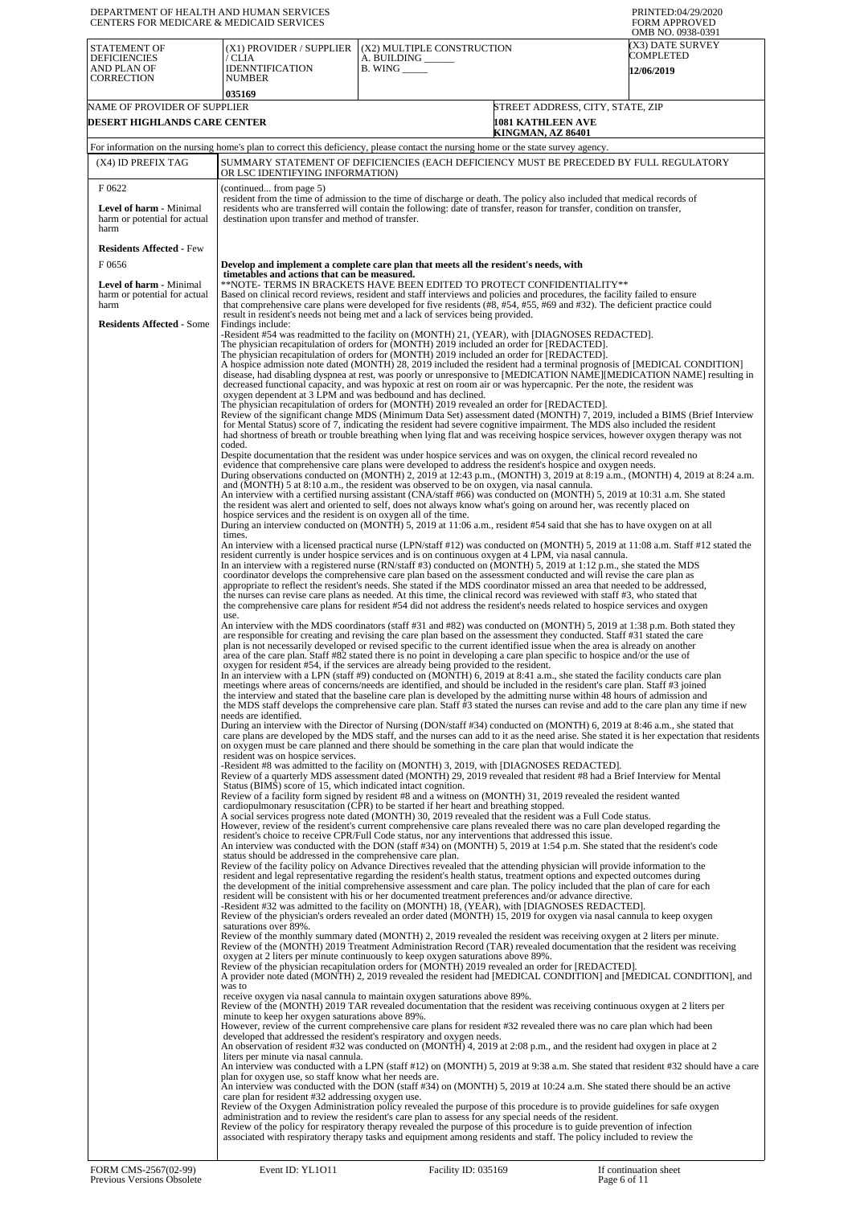| STATEMENT OF<br>(X1) PROVIDER / SUPPLIER<br>(X2) MULTIPLE CONSTRUCTION<br><b>DEFICIENCIES</b><br>A. BUILDING _____<br>/ CLIA<br>AND PLAN OF<br><b>IDENNTIFICATION</b><br>$B.$ WING $\_\_\_\_\_\_\$<br>12/06/2019<br>CORRECTION<br>NUMBER<br>035169<br>NAME OF PROVIDER OF SUPPLIER<br>STREET ADDRESS, CITY, STATE, ZIP<br>DESERT HIGHLANDS CARE CENTER<br><b>1081 KATHLEEN AVE</b><br>KINGMAN, AZ 86401<br>For information on the nursing home's plan to correct this deficiency, please contact the nursing home or the state survey agency.<br>(X4) ID PREFIX TAG<br>SUMMARY STATEMENT OF DEFICIENCIES (EACH DEFICIENCY MUST BE PRECEDED BY FULL REGULATORY<br>OR LSC IDENTIFYING INFORMATION)<br>F0622<br>(continued from page 5)<br>resident from the time of admission to the time of discharge or death. The policy also included that medical records of<br>residents who are transferred will contain the following: date of transfer, reason for transfer, condition on transfer,<br><b>Level of harm - Minimal</b><br>destination upon transfer and method of transfer.<br>harm or potential for actual<br>harm<br><b>Residents Affected - Few</b><br>F0656<br>Develop and implement a complete care plan that meets all the resident's needs, with | OMB NO. 0938-0391<br>(X3) DATE SURVEY<br>COMPLETED |
|---------------------------------------------------------------------------------------------------------------------------------------------------------------------------------------------------------------------------------------------------------------------------------------------------------------------------------------------------------------------------------------------------------------------------------------------------------------------------------------------------------------------------------------------------------------------------------------------------------------------------------------------------------------------------------------------------------------------------------------------------------------------------------------------------------------------------------------------------------------------------------------------------------------------------------------------------------------------------------------------------------------------------------------------------------------------------------------------------------------------------------------------------------------------------------------------------------------------------------------------------------------|----------------------------------------------------|
|                                                                                                                                                                                                                                                                                                                                                                                                                                                                                                                                                                                                                                                                                                                                                                                                                                                                                                                                                                                                                                                                                                                                                                                                                                                               |                                                    |
|                                                                                                                                                                                                                                                                                                                                                                                                                                                                                                                                                                                                                                                                                                                                                                                                                                                                                                                                                                                                                                                                                                                                                                                                                                                               |                                                    |
|                                                                                                                                                                                                                                                                                                                                                                                                                                                                                                                                                                                                                                                                                                                                                                                                                                                                                                                                                                                                                                                                                                                                                                                                                                                               |                                                    |
|                                                                                                                                                                                                                                                                                                                                                                                                                                                                                                                                                                                                                                                                                                                                                                                                                                                                                                                                                                                                                                                                                                                                                                                                                                                               |                                                    |
|                                                                                                                                                                                                                                                                                                                                                                                                                                                                                                                                                                                                                                                                                                                                                                                                                                                                                                                                                                                                                                                                                                                                                                                                                                                               |                                                    |
|                                                                                                                                                                                                                                                                                                                                                                                                                                                                                                                                                                                                                                                                                                                                                                                                                                                                                                                                                                                                                                                                                                                                                                                                                                                               |                                                    |
|                                                                                                                                                                                                                                                                                                                                                                                                                                                                                                                                                                                                                                                                                                                                                                                                                                                                                                                                                                                                                                                                                                                                                                                                                                                               |                                                    |
|                                                                                                                                                                                                                                                                                                                                                                                                                                                                                                                                                                                                                                                                                                                                                                                                                                                                                                                                                                                                                                                                                                                                                                                                                                                               |                                                    |
| timetables and actions that can be measured.<br>**NOTE- TERMS IN BRACKETS HAVE BEEN EDITED TO PROTECT CONFIDENTIALITY**<br><b>Level of harm - Minimal</b><br>Based on clinical record reviews, resident and staff interviews and policies and procedures, the facility failed to ensure<br>harm or potential for actual<br>that comprehensive care plans were developed for five residents (#8, #54, #55, #69 and #32). The deficient practice could<br>harm                                                                                                                                                                                                                                                                                                                                                                                                                                                                                                                                                                                                                                                                                                                                                                                                  |                                                    |
| result in resident's needs not being met and a lack of services being provided.<br>Findings include:<br><b>Residents Affected - Some</b><br>-Resident #54 was readmitted to the facility on (MONTH) 21, (YEAR), with [DIAGNOSES REDACTED].<br>The physician recapitulation of orders for (MONTH) 2019 included an order for [REDACTED].                                                                                                                                                                                                                                                                                                                                                                                                                                                                                                                                                                                                                                                                                                                                                                                                                                                                                                                       |                                                    |
| The physician recapitulation of orders for (MONTH) 2019 included an order for [REDACTED].<br>A hospice admission note dated (MONTH) 28, 2019 included the resident had a terminal prognosis of [MEDICAL CONDITION]<br>disease, had disabling dyspnea at rest, was poorly or unresponsive to [MEDICATION NAME][MEDICATION NAME] resulting in<br>decreased functional capacity, and was hypoxic at rest on room air or was hypercapnic. Per the note, the resident was<br>oxygen dependent at 3 LPM and was bedbound and has declined.                                                                                                                                                                                                                                                                                                                                                                                                                                                                                                                                                                                                                                                                                                                          |                                                    |
| The physician recapitulation of orders for (MONTH) 2019 revealed an order for [REDACTED].<br>Review of the significant change MDS (Minimum Data Set) assessment dated (MONTH) 7, 2019, included a BIMS (Brief Interview<br>for Mental Status) score of 7, indicating the resident had severe cognitive impairment. The MDS also included the resident<br>had shortness of breath or trouble breathing when lying flat and was receiving hospice services, however oxygen therapy was not<br>coded.                                                                                                                                                                                                                                                                                                                                                                                                                                                                                                                                                                                                                                                                                                                                                            |                                                    |
| Despite documentation that the resident was under hospice services and was on oxygen, the clinical record revealed no<br>evidence that comprehensive care plans were developed to address the resident's hospice and oxygen needs.<br>During observations conducted on (MONTH) 2, 2019 at 12:43 p.m., (MONTH) 3, 2019 at 8:19 a.m., (MONTH) 4, 2019 at 8:24 a.m.<br>and (MONTH) 5 at 8:10 a.m., the resident was observed to be on oxygen, via nasal cannula.<br>An interview with a certified nursing assistant (CNA/staff #66) was conducted on (MONTH) 5, 2019 at 10:31 a.m. She stated<br>the resident was alert and oriented to self, does not always know what's going on around her, was recently placed on                                                                                                                                                                                                                                                                                                                                                                                                                                                                                                                                            |                                                    |
| hospice services and the resident is on oxygen all of the time.<br>During an interview conducted on (MONTH) 5, 2019 at 11:06 a.m., resident #54 said that she has to have oxygen on at all<br>times.                                                                                                                                                                                                                                                                                                                                                                                                                                                                                                                                                                                                                                                                                                                                                                                                                                                                                                                                                                                                                                                          |                                                    |
| An interview with a licensed practical nurse (LPN/staff #12) was conducted on (MONTH) 5, 2019 at 11:08 a.m. Staff #12 stated the<br>resident currently is under hospice services and is on continuous oxygen at 4 LPM, via nasal cannula.<br>In an interview with a registered nurse (RN/staff #3) conducted on (MONTH) 5, 2019 at 1:12 p.m., she stated the MDS<br>coordinator develops the comprehensive care plan based on the assessment conducted and will revise the care plan as<br>appropriate to reflect the resident's needs. She stated if the MDS coordinator missed an area that needed to be addressed,<br>the nurses can revise care plans as needed. At this time, the clinical record was reviewed with staff #3, who stated that<br>the comprehensive care plans for resident #54 did not address the resident's needs related to hospice services and oxygen                                                                                                                                                                                                                                                                                                                                                                               |                                                    |
| use.<br>An interview with the MDS coordinators (staff #31 and #82) was conducted on (MONTH) 5, 2019 at 1:38 p.m. Both stated they<br>are responsible for creating and revising the care plan based on the assessment they conducted. Staff #31 stated the care<br>plan is not necessarily developed or revised specific to the current identified issue when the area is already on another<br>area of the care plan. Staff #82 stated there is no point in developing a care plan specific to hospice and/or the use of<br>oxygen for resident #54, if the services are already being provided to the resident.<br>In an interview with a LPN (staff #9) conducted on (MONTH) 6, 2019 at 8:41 a.m., she stated the facility conducts care plan                                                                                                                                                                                                                                                                                                                                                                                                                                                                                                               |                                                    |
| meetings where areas of concerns/needs are identified, and should be included in the resident's care plan. Staff #3 joined<br>the interview and stated that the baseline care plan is developed by the admitting nurse within 48 hours of admission and<br>the MDS staff develops the comprehensive care plan. Staff $#3$ stated the nurses can revise and add to the care plan any time if new<br>needs are identified.<br>During an interview with the Director of Nursing (DON/staff #34) conducted on (MONTH) 6, 2019 at 8:46 a.m., she stated that                                                                                                                                                                                                                                                                                                                                                                                                                                                                                                                                                                                                                                                                                                       |                                                    |
| care plans are developed by the MDS staff, and the nurses can add to it as the need arise. She stated it is her expectation that residents<br>on oxygen must be care planned and there should be something in the care plan that would indicate the<br>resident was on hospice services.<br>-Resident #8 was admitted to the facility on (MONTH) 3, 2019, with [DIAGNOSES REDACTED].                                                                                                                                                                                                                                                                                                                                                                                                                                                                                                                                                                                                                                                                                                                                                                                                                                                                          |                                                    |
| Review of a quarterly MDS assessment dated (MONTH) 29, 2019 revealed that resident #8 had a Brief Interview for Mental<br>Status (BIMS) score of 15, which indicated intact cognition.<br>Review of a facility form signed by resident #8 and a witness on (MONTH) 31, 2019 revealed the resident wanted<br>cardiopulmonary resuscitation (CPR) to be started if her heart and breathing stopped.                                                                                                                                                                                                                                                                                                                                                                                                                                                                                                                                                                                                                                                                                                                                                                                                                                                             |                                                    |
| A social services progress note dated (MONTH) 30, 2019 revealed that the resident was a Full Code status.<br>However, review of the resident's current comprehensive care plans revealed there was no care plan developed regarding the<br>resident's choice to receive CPR/Full Code status, nor any interventions that addressed this issue.<br>An interview was conducted with the DON (staff #34) on (MONTH) 5, 2019 at 1:54 p.m. She stated that the resident's code                                                                                                                                                                                                                                                                                                                                                                                                                                                                                                                                                                                                                                                                                                                                                                                     |                                                    |
| status should be addressed in the comprehensive care plan.<br>Review of the facility policy on Advance Directives revealed that the attending physician will provide information to the<br>resident and legal representative regarding the resident's health status, treatment options and expected outcomes during<br>the development of the initial comprehensive assessment and care plan. The policy included that the plan of care for each<br>resident will be consistent with his or her documented treatment preferences and/or advance directive.                                                                                                                                                                                                                                                                                                                                                                                                                                                                                                                                                                                                                                                                                                    |                                                    |
| -Resident #32 was admitted to the facility on (MONTH) 18, (YEAR), with [DIAGNOSES REDACTED].<br>Review of the physician's orders revealed an order dated (MONTH) 15, 2019 for oxygen via nasal cannula to keep oxygen<br>saturations over 89%.<br>Review of the monthly summary dated (MONTH) 2, 2019 revealed the resident was receiving oxygen at 2 liters per minute.                                                                                                                                                                                                                                                                                                                                                                                                                                                                                                                                                                                                                                                                                                                                                                                                                                                                                      |                                                    |
| Review of the (MONTH) 2019 Treatment Administration Record (TAR) revealed documentation that the resident was receiving<br>oxygen at 2 liters per minute continuously to keep oxygen saturations above 89%.<br>Review of the physician recapitulation orders for (MONTH) 2019 revealed an order for [REDACTED].<br>A provider note dated (MONTH) 2, 2019 revealed the resident had [MEDICAL CONDITION] and [MEDICAL CONDITION], and                                                                                                                                                                                                                                                                                                                                                                                                                                                                                                                                                                                                                                                                                                                                                                                                                           |                                                    |
| was to<br>receive oxygen via nasal cannula to maintain oxygen saturations above 89%.<br>Review of the (MONTH) 2019 TAR revealed documentation that the resident was receiving continuous oxygen at 2 liters per<br>minute to keep her oxygen saturations above 89%.                                                                                                                                                                                                                                                                                                                                                                                                                                                                                                                                                                                                                                                                                                                                                                                                                                                                                                                                                                                           |                                                    |
| However, review of the current comprehensive care plans for resident #32 revealed there was no care plan which had been<br>developed that addressed the resident's respiratory and oxygen needs.<br>An observation of resident #32 was conducted on (MONTH) 4, 2019 at 2:08 p.m., and the resident had oxygen in place at 2<br>liters per minute via nasal cannula.                                                                                                                                                                                                                                                                                                                                                                                                                                                                                                                                                                                                                                                                                                                                                                                                                                                                                           |                                                    |
| An interview was conducted with a LPN (staff #12) on (MONTH) 5, 2019 at 9:38 a.m. She stated that resident #32 should have a care<br>plan for oxygen use, so staff know what her needs are.<br>An interview was conducted with the DON (staff #34) on (MONTH) 5, 2019 at 10:24 a.m. She stated there should be an active<br>care plan for resident #32 addressing oxygen use.                                                                                                                                                                                                                                                                                                                                                                                                                                                                                                                                                                                                                                                                                                                                                                                                                                                                                 |                                                    |
| Review of the Oxygen Administration policy revealed the purpose of this procedure is to provide guidelines for safe oxygen<br>administration and to review the resident's care plan to assess for any special needs of the resident.<br>Review of the policy for respiratory therapy revealed the purpose of this procedure is to guide prevention of infection<br>associated with respiratory therapy tasks and equipment among residents and staff. The policy included to review the                                                                                                                                                                                                                                                                                                                                                                                                                                                                                                                                                                                                                                                                                                                                                                       |                                                    |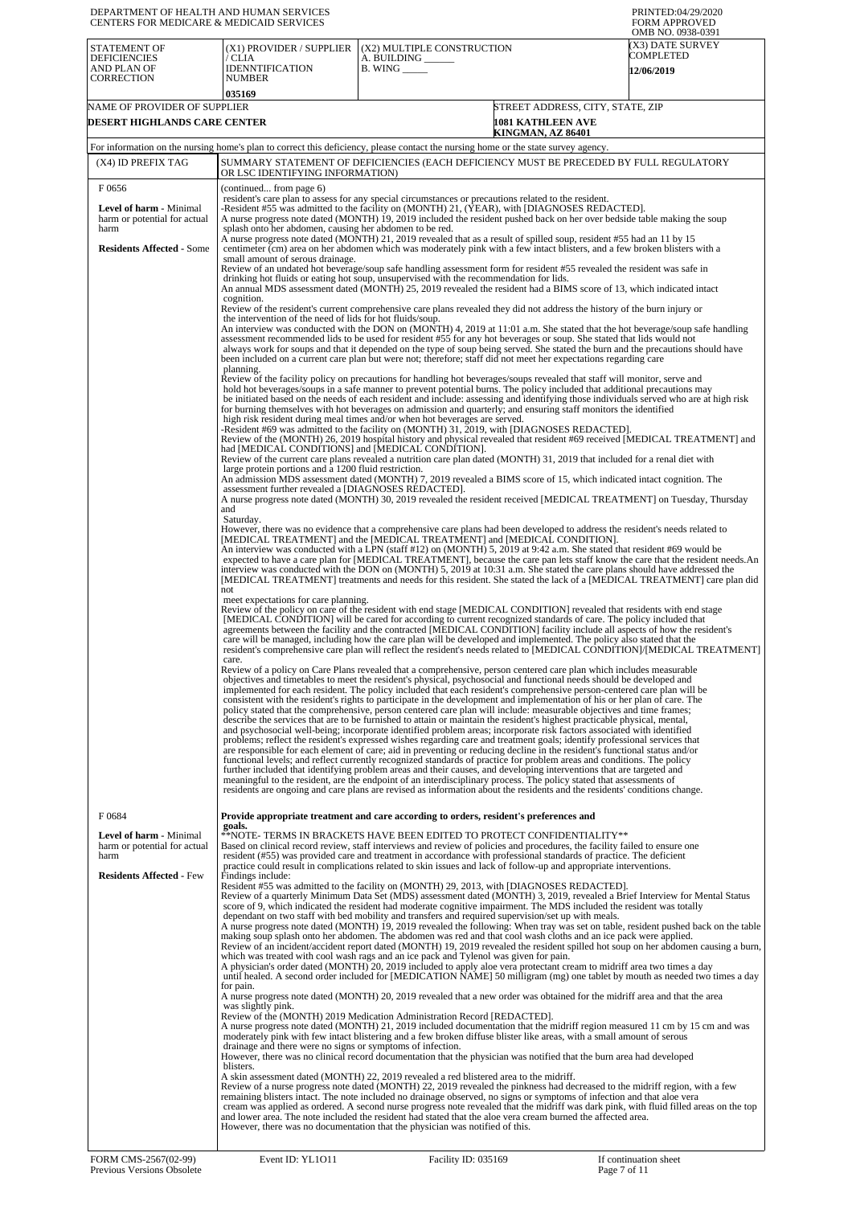| DEPARTMENT OF HEALTH AND HUMAN SERVICES<br><b>CENTERS FOR MEDICARE &amp; MEDICAID SERVICES</b> |                                                                                                                                                                                                                                                                                                                                                                          |                                                                                                                                                                                                                                                                                                                                                                                                                                                                                                                                                                                                                                                                                                                                                                                                                                                                                                                                                                                                                                                                                                                                                                                                                                                                                                                                                                                                                                                                                                                                                                                                                                                                                                                                                                                                                                                                                                                                                                                                                                                                                                                                                                                                                                                                                                                                                                                                                                                                                                                                                                                                                                                                                                                                                                                                                                                                                                                                                                                                                                                                                                                                                                                                                                                                                                                                                                                                                                                                                                                                                                                                                                                                                                                                                                                                                                                                                                                                                                                                                                                                                                                                                                                                                                                                                                                                                                                                                                                                                                                                                                                                                                                                                                                                                                                                                                       | PRINTED:04/29/2020<br>FORM APPROVED<br>OMB NO. 0938-0391                                                                                                                                                                                                                                                                                                                            |
|------------------------------------------------------------------------------------------------|--------------------------------------------------------------------------------------------------------------------------------------------------------------------------------------------------------------------------------------------------------------------------------------------------------------------------------------------------------------------------|---------------------------------------------------------------------------------------------------------------------------------------------------------------------------------------------------------------------------------------------------------------------------------------------------------------------------------------------------------------------------------------------------------------------------------------------------------------------------------------------------------------------------------------------------------------------------------------------------------------------------------------------------------------------------------------------------------------------------------------------------------------------------------------------------------------------------------------------------------------------------------------------------------------------------------------------------------------------------------------------------------------------------------------------------------------------------------------------------------------------------------------------------------------------------------------------------------------------------------------------------------------------------------------------------------------------------------------------------------------------------------------------------------------------------------------------------------------------------------------------------------------------------------------------------------------------------------------------------------------------------------------------------------------------------------------------------------------------------------------------------------------------------------------------------------------------------------------------------------------------------------------------------------------------------------------------------------------------------------------------------------------------------------------------------------------------------------------------------------------------------------------------------------------------------------------------------------------------------------------------------------------------------------------------------------------------------------------------------------------------------------------------------------------------------------------------------------------------------------------------------------------------------------------------------------------------------------------------------------------------------------------------------------------------------------------------------------------------------------------------------------------------------------------------------------------------------------------------------------------------------------------------------------------------------------------------------------------------------------------------------------------------------------------------------------------------------------------------------------------------------------------------------------------------------------------------------------------------------------------------------------------------------------------------------------------------------------------------------------------------------------------------------------------------------------------------------------------------------------------------------------------------------------------------------------------------------------------------------------------------------------------------------------------------------------------------------------------------------------------------------------------------------------------------------------------------------------------------------------------------------------------------------------------------------------------------------------------------------------------------------------------------------------------------------------------------------------------------------------------------------------------------------------------------------------------------------------------------------------------------------------------------------------------------------------------------------------------------------------------------------------------------------------------------------------------------------------------------------------------------------------------------------------------------------------------------------------------------------------------------------------------------------------------------------------------------------------------------------------------------------------------------------------------------------------------------------------------|-------------------------------------------------------------------------------------------------------------------------------------------------------------------------------------------------------------------------------------------------------------------------------------------------------------------------------------------------------------------------------------|
| <b>STATEMENT OF</b><br><b>DEFICIENCIES</b><br>AND PLAN OF<br><b>CORRECTION</b>                 | (X1) PROVIDER / SUPPLIER<br>/ CLIA<br><b>IDENNTIFICATION</b><br><b>NUMBER</b><br>035169                                                                                                                                                                                                                                                                                  | (X2) MULTIPLE CONSTRUCTION<br>A. BUILDING _<br>$B.$ WING $\_\_\_\_\_\_\$                                                                                                                                                                                                                                                                                                                                                                                                                                                                                                                                                                                                                                                                                                                                                                                                                                                                                                                                                                                                                                                                                                                                                                                                                                                                                                                                                                                                                                                                                                                                                                                                                                                                                                                                                                                                                                                                                                                                                                                                                                                                                                                                                                                                                                                                                                                                                                                                                                                                                                                                                                                                                                                                                                                                                                                                                                                                                                                                                                                                                                                                                                                                                                                                                                                                                                                                                                                                                                                                                                                                                                                                                                                                                                                                                                                                                                                                                                                                                                                                                                                                                                                                                                                                                                                                                                                                                                                                                                                                                                                                                                                                                                                                                                                                                              | (X3) DATE SURVEY<br>COMPLETED<br><b>12/06/2019</b>                                                                                                                                                                                                                                                                                                                                  |
| NAME OF PROVIDER OF SUPPLIER<br>DESERT HIGHLANDS CARE CENTER                                   |                                                                                                                                                                                                                                                                                                                                                                          | 1081 KATHLEEN AVE                                                                                                                                                                                                                                                                                                                                                                                                                                                                                                                                                                                                                                                                                                                                                                                                                                                                                                                                                                                                                                                                                                                                                                                                                                                                                                                                                                                                                                                                                                                                                                                                                                                                                                                                                                                                                                                                                                                                                                                                                                                                                                                                                                                                                                                                                                                                                                                                                                                                                                                                                                                                                                                                                                                                                                                                                                                                                                                                                                                                                                                                                                                                                                                                                                                                                                                                                                                                                                                                                                                                                                                                                                                                                                                                                                                                                                                                                                                                                                                                                                                                                                                                                                                                                                                                                                                                                                                                                                                                                                                                                                                                                                                                                                                                                                                                                     | STREET ADDRESS, CITY, STATE, ZIP                                                                                                                                                                                                                                                                                                                                                    |
|                                                                                                |                                                                                                                                                                                                                                                                                                                                                                          | <b>KINGMAN, AZ 86401</b>                                                                                                                                                                                                                                                                                                                                                                                                                                                                                                                                                                                                                                                                                                                                                                                                                                                                                                                                                                                                                                                                                                                                                                                                                                                                                                                                                                                                                                                                                                                                                                                                                                                                                                                                                                                                                                                                                                                                                                                                                                                                                                                                                                                                                                                                                                                                                                                                                                                                                                                                                                                                                                                                                                                                                                                                                                                                                                                                                                                                                                                                                                                                                                                                                                                                                                                                                                                                                                                                                                                                                                                                                                                                                                                                                                                                                                                                                                                                                                                                                                                                                                                                                                                                                                                                                                                                                                                                                                                                                                                                                                                                                                                                                                                                                                                                              |                                                                                                                                                                                                                                                                                                                                                                                     |
| (X4) ID PREFIX TAG                                                                             |                                                                                                                                                                                                                                                                                                                                                                          | For information on the nursing home's plan to correct this deficiency, please contact the nursing home or the state survey agency.<br>SUMMARY STATEMENT OF DEFICIENCIES (EACH DEFICIENCY MUST BE PRECEDED BY FULL REGULATORY                                                                                                                                                                                                                                                                                                                                                                                                                                                                                                                                                                                                                                                                                                                                                                                                                                                                                                                                                                                                                                                                                                                                                                                                                                                                                                                                                                                                                                                                                                                                                                                                                                                                                                                                                                                                                                                                                                                                                                                                                                                                                                                                                                                                                                                                                                                                                                                                                                                                                                                                                                                                                                                                                                                                                                                                                                                                                                                                                                                                                                                                                                                                                                                                                                                                                                                                                                                                                                                                                                                                                                                                                                                                                                                                                                                                                                                                                                                                                                                                                                                                                                                                                                                                                                                                                                                                                                                                                                                                                                                                                                                                          |                                                                                                                                                                                                                                                                                                                                                                                     |
|                                                                                                | OR LSC IDENTIFYING INFORMATION)                                                                                                                                                                                                                                                                                                                                          |                                                                                                                                                                                                                                                                                                                                                                                                                                                                                                                                                                                                                                                                                                                                                                                                                                                                                                                                                                                                                                                                                                                                                                                                                                                                                                                                                                                                                                                                                                                                                                                                                                                                                                                                                                                                                                                                                                                                                                                                                                                                                                                                                                                                                                                                                                                                                                                                                                                                                                                                                                                                                                                                                                                                                                                                                                                                                                                                                                                                                                                                                                                                                                                                                                                                                                                                                                                                                                                                                                                                                                                                                                                                                                                                                                                                                                                                                                                                                                                                                                                                                                                                                                                                                                                                                                                                                                                                                                                                                                                                                                                                                                                                                                                                                                                                                                       |                                                                                                                                                                                                                                                                                                                                                                                     |
| F0656<br>Level of harm - Minimal<br>harm or potential for actual<br>harm                       | (continued from page 6)<br>splash onto her abdomen, causing her abdomen to be red.                                                                                                                                                                                                                                                                                       | resident's care plan to assess for any special circumstances or precautions related to the resident.<br>-Resident #55 was admitted to the facility on (MONTH) 21, (YEAR), with [DIAGNOSES REDACTED].<br>A nurse progress note dated (MONTH) 19, 2019 included the resident pushed back on her over bedside table making the soup<br>A nurse progress note dated (MONTH) 21, 2019 revealed that as a result of spilled soup, resident #55 had an 11 by 15                                                                                                                                                                                                                                                                                                                                                                                                                                                                                                                                                                                                                                                                                                                                                                                                                                                                                                                                                                                                                                                                                                                                                                                                                                                                                                                                                                                                                                                                                                                                                                                                                                                                                                                                                                                                                                                                                                                                                                                                                                                                                                                                                                                                                                                                                                                                                                                                                                                                                                                                                                                                                                                                                                                                                                                                                                                                                                                                                                                                                                                                                                                                                                                                                                                                                                                                                                                                                                                                                                                                                                                                                                                                                                                                                                                                                                                                                                                                                                                                                                                                                                                                                                                                                                                                                                                                                                              |                                                                                                                                                                                                                                                                                                                                                                                     |
| <b>Residents Affected - Some</b>                                                               | small amount of serous drainage.<br>cognition.<br>the intervention of the need of lids for hot fluids/soup.<br>planning.<br>had [MEDICAL CONDITIONS] and [MEDICAL CONDITION].<br>large protein portions and a 1200 fluid restriction.<br>assessment further revealed a [DIAGNOSES REDACTED].<br>and<br>Saturday.<br>not<br>meet expectations for care planning.<br>care. | centimeter (cm) area on her abdomen which was moderately pink with a few intact blisters, and a few broken blisters with a<br>Review of an undated hot beverage/soup safe handling assessment form for resident #55 revealed the resident was safe in<br>drinking hot fluids or eating hot soup, unsupervised with the recommendation for lids.<br>An annual MDS assessment dated (MONTH) 25, 2019 revealed the resident had a BIMS score of 13, which indicated intact<br>Review of the resident's current comprehensive care plans revealed they did not address the history of the burn injury or<br>An interview was conducted with the DON on (MONTH) 4, 2019 at 11:01 a.m. She stated that the hot beverage/soup safe handling<br>assessment recommended lids to be used for resident #55 for any hot beverages or soup. She stated that lids would not<br>always work for soups and that it depended on the type of soup being served. She stated the burn and the precautions should have<br>been included on a current care plan but were not; therefore; staff did not meet her expectations regarding care<br>Review of the facility policy on precautions for handling hot beverages/soups revealed that staff will monitor, serve and<br>hold hot beverages/soups in a safe manner to prevent potential burns. The policy included that additional precautions may<br>be initiated based on the needs of each resident and include: assessing and identifying those individuals served who are at high risk<br>for burning themselves with hot beverages on admission and quarterly; and ensuring staff monitors the identified<br>high risk resident during meal times and/or when hot beverages are served.<br>-Resident #69 was admitted to the facility on (MONTH) 31, 2019, with [DIAGNOSES REDACTED].<br>Review of the (MONTH) 26, 2019 hospital history and physical revealed that resident #69 received [MEDICAL TREATMENT] and<br>Review of the current care plans revealed a nutrition care plan dated (MONTH) 31, 2019 that included for a renal diet with<br>An admission MDS assessment dated (MONTH) 7, 2019 revealed a BIMS score of 15, which indicated intact cognition. The<br>A nurse progress note dated (MONTH) 30, 2019 revealed the resident received [MEDICAL TREATMENT] on Tuesday, Thursday<br>However, there was no evidence that a comprehensive care plans had been developed to address the resident's needs related to<br>[MEDICAL TREATMENT] and the [MEDICAL TREATMENT] and [MEDICAL CONDITION].<br>An interview was conducted with a LPN (staff #12) on (MONTH) 5, 2019 at 9:42 a.m. She stated that resident #69 would be<br>interview was conducted with the DON on (MONTH) 5, 2019 at 10:31 a.m. She stated the care plans should have addressed the<br>Review of the policy on care of the resident with end stage [MEDICAL CONDITION] revealed that residents with end stage<br>[MEDICAL CONDITION] will be cared for according to current recognized standards of care. The policy included that<br>agreements between the facility and the contracted [MEDICAL CONDITION] facility include all aspects of how the resident's<br>care will be managed, including how the care plan will be developed and implemented. The policy also stated that the<br>Review of a policy on Care Plans revealed that a comprehensive, person centered care plan which includes measurable<br>objectives and timetables to meet the resident's physical, psychosocial and functional needs should be developed and<br>implemented for each resident. The policy included that each resident's comprehensive person-centered care plan will be<br>consistent with the resident's rights to participate in the development and implementation of his or her plan of care. The<br>policy stated that the comprehensive, person centered care plan will include: measurable objectives and time frames;<br>describe the services that are to be furnished to attain or maintain the resident's highest practicable physical, mental,<br>and psychosocial well-being; incorporate identified problem areas; incorporate risk factors associated with identified<br>problems; reflect the resident's expressed wishes regarding care and treatment goals; identify professional services that<br>are responsible for each element of care; aid in preventing or reducing decline in the resident's functional status and/or<br>functional levels; and reflect currently recognized standards of practice for problem areas and conditions. The policy<br>further included that identifying problem areas and their causes, and developing interventions that are targeted and<br>meaningful to the resident, are the endpoint of an interdisciplinary process. The policy stated that assessments of | expected to have a care plan for [MEDICAL TREATMENT], because the care pan lets staff know the care that the resident needs.An<br>[MEDICAL TREATMENT] treatments and needs for this resident. She stated the lack of a [MEDICAL TREATMENT] care plan did<br>resident's comprehensive care plan will reflect the resident's needs related to [MEDICAL CONDITION]/[MEDICAL TREATMENT] |
| F0684<br>Level of harm - Minimal<br>harm or potential for actual                               | goals.                                                                                                                                                                                                                                                                                                                                                                   | residents are ongoing and care plans are revised as information about the residents and the residents' conditions change.<br>Provide appropriate treatment and care according to orders, resident's preferences and<br>**NOTE- TERMS IN BRACKETS HAVE BEEN EDITED TO PROTECT CONFIDENTIALITY**<br>Based on clinical record review, staff interviews and review of policies and procedures, the facility failed to ensure one                                                                                                                                                                                                                                                                                                                                                                                                                                                                                                                                                                                                                                                                                                                                                                                                                                                                                                                                                                                                                                                                                                                                                                                                                                                                                                                                                                                                                                                                                                                                                                                                                                                                                                                                                                                                                                                                                                                                                                                                                                                                                                                                                                                                                                                                                                                                                                                                                                                                                                                                                                                                                                                                                                                                                                                                                                                                                                                                                                                                                                                                                                                                                                                                                                                                                                                                                                                                                                                                                                                                                                                                                                                                                                                                                                                                                                                                                                                                                                                                                                                                                                                                                                                                                                                                                                                                                                                                          |                                                                                                                                                                                                                                                                                                                                                                                     |
| harm<br><b>Residents Affected - Few</b>                                                        | Findings include:<br>for pain.<br>was slightly pink.<br>drainage and there were no signs or symptoms of infection.<br>blisters.                                                                                                                                                                                                                                          | resident (#55) was provided care and treatment in accordance with professional standards of practice. The deficient<br>practice could result in complications related to skin issues and lack of follow-up and appropriate interventions.<br>Resident #55 was admitted to the facility on (MONTH) 29, 2013, with [DIAGNOSES REDACTED].<br>Review of a quarterly Minimum Data Set (MDS) assessment dated (MONTH) 3, 2019, revealed a Brief Interview for Mental Status<br>score of 9, which indicated the resident had moderate cognitive impairment. The MDS included the resident was totally<br>dependant on two staff with bed mobility and transfers and required supervision/set up with meals.<br>making soup splash onto her abdomen. The abdomen was red and that cool wash cloths and an ice pack were applied.<br>which was treated with cool wash rags and an ice pack and Tylenol was given for pain.<br>A physician's order dated (MONTH) 20, 2019 included to apply aloe vera protectant cream to midriff area two times a day<br>until healed. A second order included for [MEDICATION NAME] 50 milligram (mg) one tablet by mouth as needed two times a day<br>A nurse progress note dated (MONTH) 20, 2019 revealed that a new order was obtained for the midriff area and that the area<br>Review of the (MONTH) 2019 Medication Administration Record [REDACTED].<br>A nurse progress note dated (MONTH) 21, 2019 included documentation that the midriff region measured 11 cm by 15 cm and was<br>moderately pink with few intact blistering and a few broken diffuse blister like areas, with a small amount of serous<br>However, there was no clinical record documentation that the physician was notified that the burn area had developed<br>A skin assessment dated (MONTH) 22, 2019 revealed a red blistered area to the midriff.<br>Review of a nurse progress note dated (MONTH) 22, 2019 revealed the pinkness had decreased to the midriff region, with a few<br>remaining blisters intact. The note included no drainage observed, no signs or symptoms of infection and that aloe vera<br>cream was applied as ordered. A second nurse progress note revealed that the midriff was dark pink, with fluid filled areas on the top<br>and lower area. The note included the resident had stated that the aloe vera cream burned the affected area.<br>However, there was no documentation that the physician was notified of this.                                                                                                                                                                                                                                                                                                                                                                                                                                                                                                                                                                                                                                                                                                                                                                                                                                                                                                                                                                                                                                                                                                                                                                                                                                                                                                                                                                                                                                                                                                                                                                                                                                                                                                                                                                                                                                                                                                                                                                                                                                                                                                                                                                                                                                                                                                                                                                   | A nurse progress note dated (MONTH) 19, 2019 revealed the following: When tray was set on table, resident pushed back on the table<br>Review of an incident/accident report dated (MONTH) 19, 2019 revealed the resident spilled hot soup on her abdomen causing a burn,                                                                                                            |
| FORM CMS-2567(02-99)                                                                           | Event ID: $YL1O11$                                                                                                                                                                                                                                                                                                                                                       | Facility ID: 035169                                                                                                                                                                                                                                                                                                                                                                                                                                                                                                                                                                                                                                                                                                                                                                                                                                                                                                                                                                                                                                                                                                                                                                                                                                                                                                                                                                                                                                                                                                                                                                                                                                                                                                                                                                                                                                                                                                                                                                                                                                                                                                                                                                                                                                                                                                                                                                                                                                                                                                                                                                                                                                                                                                                                                                                                                                                                                                                                                                                                                                                                                                                                                                                                                                                                                                                                                                                                                                                                                                                                                                                                                                                                                                                                                                                                                                                                                                                                                                                                                                                                                                                                                                                                                                                                                                                                                                                                                                                                                                                                                                                                                                                                                                                                                                                                                   | If continuation sheet                                                                                                                                                                                                                                                                                                                                                               |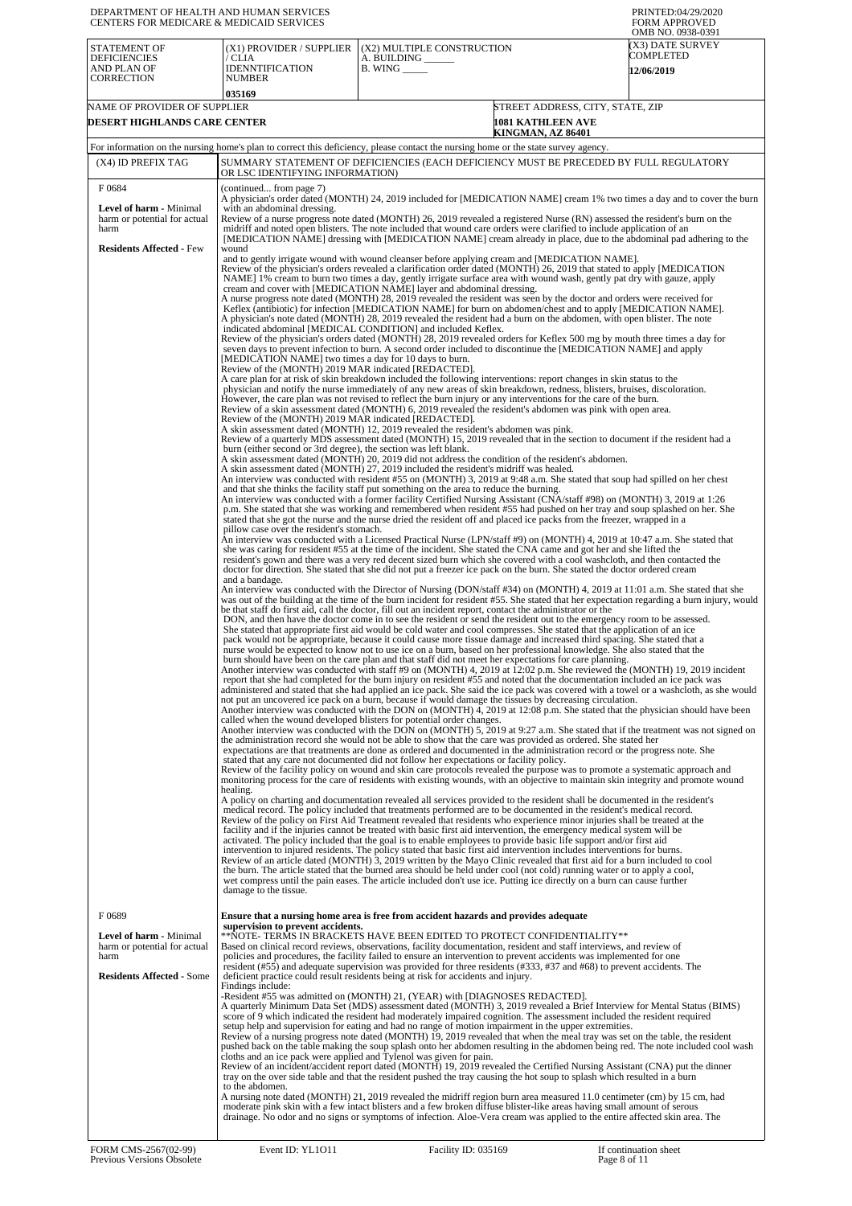| DEPARTMENT OF HEALTH AND HUMAN SERVICES<br>CENTERS FOR MEDICARE & MEDICAID SERVICES                                 |                                                                                                                                                                                                                                                                                                                                              |                                                                                                                                                                                                                                                                                                                                                                                                                                                                                                                                                                                                                                                                                                                                                                                                                                                                                                                                                                                                                                                                                                                                                                                                                                                                                                                                                                                                                                                                                                                                                                                                                                                                                                                                                                                                                                                                                                                                                                                                                                                                                                                                                                                                                                                                                                                                                                                                                                                                                                                                                                                                                                                                                                                                                                                                                                                                                                                                                                                                                                                                                                                                                                                                                                                                                                                                                                                                                                                                                                                                                                                                                                                                                                                                                                                                                                                                                                                                                                                                                                                                                                                                                                                                                                                                                                                                                                                                                                                                                                                                                                                                                                                                                                                                                                                                                                                                                                                                                                                                                                                                                                                                                                                                                                                                                                                                                                                                                                                                                                                                                                                                                                                                                                                                                                                                                                                                                                                                                                                                                                                                                                                                                                                                                                                                                                                                                                                            | PRINTED:04/29/2020<br>FORM APPROVED<br>OMB NO. 0938-0391                                                                                                                                                                                                                                                                                                                                                              |
|---------------------------------------------------------------------------------------------------------------------|----------------------------------------------------------------------------------------------------------------------------------------------------------------------------------------------------------------------------------------------------------------------------------------------------------------------------------------------|--------------------------------------------------------------------------------------------------------------------------------------------------------------------------------------------------------------------------------------------------------------------------------------------------------------------------------------------------------------------------------------------------------------------------------------------------------------------------------------------------------------------------------------------------------------------------------------------------------------------------------------------------------------------------------------------------------------------------------------------------------------------------------------------------------------------------------------------------------------------------------------------------------------------------------------------------------------------------------------------------------------------------------------------------------------------------------------------------------------------------------------------------------------------------------------------------------------------------------------------------------------------------------------------------------------------------------------------------------------------------------------------------------------------------------------------------------------------------------------------------------------------------------------------------------------------------------------------------------------------------------------------------------------------------------------------------------------------------------------------------------------------------------------------------------------------------------------------------------------------------------------------------------------------------------------------------------------------------------------------------------------------------------------------------------------------------------------------------------------------------------------------------------------------------------------------------------------------------------------------------------------------------------------------------------------------------------------------------------------------------------------------------------------------------------------------------------------------------------------------------------------------------------------------------------------------------------------------------------------------------------------------------------------------------------------------------------------------------------------------------------------------------------------------------------------------------------------------------------------------------------------------------------------------------------------------------------------------------------------------------------------------------------------------------------------------------------------------------------------------------------------------------------------------------------------------------------------------------------------------------------------------------------------------------------------------------------------------------------------------------------------------------------------------------------------------------------------------------------------------------------------------------------------------------------------------------------------------------------------------------------------------------------------------------------------------------------------------------------------------------------------------------------------------------------------------------------------------------------------------------------------------------------------------------------------------------------------------------------------------------------------------------------------------------------------------------------------------------------------------------------------------------------------------------------------------------------------------------------------------------------------------------------------------------------------------------------------------------------------------------------------------------------------------------------------------------------------------------------------------------------------------------------------------------------------------------------------------------------------------------------------------------------------------------------------------------------------------------------------------------------------------------------------------------------------------------------------------------------------------------------------------------------------------------------------------------------------------------------------------------------------------------------------------------------------------------------------------------------------------------------------------------------------------------------------------------------------------------------------------------------------------------------------------------------------------------------------------------------------------------------------------------------------------------------------------------------------------------------------------------------------------------------------------------------------------------------------------------------------------------------------------------------------------------------------------------------------------------------------------------------------------------------------------------------------------------------------------------------------------------------------------------------------------------------------------------------------------------------------------------------------------------------------------------------------------------------------------------------------------------------------------------------------------------------------------------------------------------------------------------------------------------------------------------------------------------------------------------------------------------------------------|-----------------------------------------------------------------------------------------------------------------------------------------------------------------------------------------------------------------------------------------------------------------------------------------------------------------------------------------------------------------------------------------------------------------------|
| <b>STATEMENT OF</b><br><b>DEFICIENCIES</b><br>AND PLAN OF<br><b>CORRECTION</b>                                      | (X1) PROVIDER / SUPPLIER<br>/ CLIA<br><b>IDENNTIFICATION</b><br><b>NUMBER</b><br>035169                                                                                                                                                                                                                                                      | (X2) MULTIPLE CONSTRUCTION<br>A. BUILDING _<br>$B.$ WING $\_\_\_\_\_\_\_\$                                                                                                                                                                                                                                                                                                                                                                                                                                                                                                                                                                                                                                                                                                                                                                                                                                                                                                                                                                                                                                                                                                                                                                                                                                                                                                                                                                                                                                                                                                                                                                                                                                                                                                                                                                                                                                                                                                                                                                                                                                                                                                                                                                                                                                                                                                                                                                                                                                                                                                                                                                                                                                                                                                                                                                                                                                                                                                                                                                                                                                                                                                                                                                                                                                                                                                                                                                                                                                                                                                                                                                                                                                                                                                                                                                                                                                                                                                                                                                                                                                                                                                                                                                                                                                                                                                                                                                                                                                                                                                                                                                                                                                                                                                                                                                                                                                                                                                                                                                                                                                                                                                                                                                                                                                                                                                                                                                                                                                                                                                                                                                                                                                                                                                                                                                                                                                                                                                                                                                                                                                                                                                                                                                                                                                                                                                                 | (X3) DATE SURVEY<br>COMPLETED<br><b>12/06/2019</b>                                                                                                                                                                                                                                                                                                                                                                    |
| NAME OF PROVIDER OF SUPPLIER                                                                                        |                                                                                                                                                                                                                                                                                                                                              |                                                                                                                                                                                                                                                                                                                                                                                                                                                                                                                                                                                                                                                                                                                                                                                                                                                                                                                                                                                                                                                                                                                                                                                                                                                                                                                                                                                                                                                                                                                                                                                                                                                                                                                                                                                                                                                                                                                                                                                                                                                                                                                                                                                                                                                                                                                                                                                                                                                                                                                                                                                                                                                                                                                                                                                                                                                                                                                                                                                                                                                                                                                                                                                                                                                                                                                                                                                                                                                                                                                                                                                                                                                                                                                                                                                                                                                                                                                                                                                                                                                                                                                                                                                                                                                                                                                                                                                                                                                                                                                                                                                                                                                                                                                                                                                                                                                                                                                                                                                                                                                                                                                                                                                                                                                                                                                                                                                                                                                                                                                                                                                                                                                                                                                                                                                                                                                                                                                                                                                                                                                                                                                                                                                                                                                                                                                                                                                            | STREET ADDRESS, CITY, STATE, ZIP                                                                                                                                                                                                                                                                                                                                                                                      |
| DESERT HIGHLANDS CARE CENTER                                                                                        |                                                                                                                                                                                                                                                                                                                                              | 1081 KATHLEEN AVE<br>KINGMAN, AZ 86401                                                                                                                                                                                                                                                                                                                                                                                                                                                                                                                                                                                                                                                                                                                                                                                                                                                                                                                                                                                                                                                                                                                                                                                                                                                                                                                                                                                                                                                                                                                                                                                                                                                                                                                                                                                                                                                                                                                                                                                                                                                                                                                                                                                                                                                                                                                                                                                                                                                                                                                                                                                                                                                                                                                                                                                                                                                                                                                                                                                                                                                                                                                                                                                                                                                                                                                                                                                                                                                                                                                                                                                                                                                                                                                                                                                                                                                                                                                                                                                                                                                                                                                                                                                                                                                                                                                                                                                                                                                                                                                                                                                                                                                                                                                                                                                                                                                                                                                                                                                                                                                                                                                                                                                                                                                                                                                                                                                                                                                                                                                                                                                                                                                                                                                                                                                                                                                                                                                                                                                                                                                                                                                                                                                                                                                                                                                                                     |                                                                                                                                                                                                                                                                                                                                                                                                                       |
|                                                                                                                     |                                                                                                                                                                                                                                                                                                                                              | For information on the nursing home's plan to correct this deficiency, please contact the nursing home or the state survey agency.                                                                                                                                                                                                                                                                                                                                                                                                                                                                                                                                                                                                                                                                                                                                                                                                                                                                                                                                                                                                                                                                                                                                                                                                                                                                                                                                                                                                                                                                                                                                                                                                                                                                                                                                                                                                                                                                                                                                                                                                                                                                                                                                                                                                                                                                                                                                                                                                                                                                                                                                                                                                                                                                                                                                                                                                                                                                                                                                                                                                                                                                                                                                                                                                                                                                                                                                                                                                                                                                                                                                                                                                                                                                                                                                                                                                                                                                                                                                                                                                                                                                                                                                                                                                                                                                                                                                                                                                                                                                                                                                                                                                                                                                                                                                                                                                                                                                                                                                                                                                                                                                                                                                                                                                                                                                                                                                                                                                                                                                                                                                                                                                                                                                                                                                                                                                                                                                                                                                                                                                                                                                                                                                                                                                                                                         |                                                                                                                                                                                                                                                                                                                                                                                                                       |
| (X4) ID PREFIX TAG                                                                                                  | OR LSC IDENTIFYING INFORMATION)                                                                                                                                                                                                                                                                                                              | SUMMARY STATEMENT OF DEFICIENCIES (EACH DEFICIENCY MUST BE PRECEDED BY FULL REGULATORY                                                                                                                                                                                                                                                                                                                                                                                                                                                                                                                                                                                                                                                                                                                                                                                                                                                                                                                                                                                                                                                                                                                                                                                                                                                                                                                                                                                                                                                                                                                                                                                                                                                                                                                                                                                                                                                                                                                                                                                                                                                                                                                                                                                                                                                                                                                                                                                                                                                                                                                                                                                                                                                                                                                                                                                                                                                                                                                                                                                                                                                                                                                                                                                                                                                                                                                                                                                                                                                                                                                                                                                                                                                                                                                                                                                                                                                                                                                                                                                                                                                                                                                                                                                                                                                                                                                                                                                                                                                                                                                                                                                                                                                                                                                                                                                                                                                                                                                                                                                                                                                                                                                                                                                                                                                                                                                                                                                                                                                                                                                                                                                                                                                                                                                                                                                                                                                                                                                                                                                                                                                                                                                                                                                                                                                                                                     |                                                                                                                                                                                                                                                                                                                                                                                                                       |
| F0684<br>Level of harm - Minimal<br>harm or potential for actual<br>harm<br><b>Residents Affected - Few</b>         | (continued from page 7)<br>with an abdominal dressing.<br>wound                                                                                                                                                                                                                                                                              | Review of a nurse progress note dated (MONTH) 26, 2019 revealed a registered Nurse (RN) assessed the resident's burn on the<br>midriff and noted open blisters. The note included that wound care orders were clarified to include application of an<br>[MEDICATION NAME] dressing with [MEDICATION NAME] cream already in place, due to the abdominal pad adhering to the                                                                                                                                                                                                                                                                                                                                                                                                                                                                                                                                                                                                                                                                                                                                                                                                                                                                                                                                                                                                                                                                                                                                                                                                                                                                                                                                                                                                                                                                                                                                                                                                                                                                                                                                                                                                                                                                                                                                                                                                                                                                                                                                                                                                                                                                                                                                                                                                                                                                                                                                                                                                                                                                                                                                                                                                                                                                                                                                                                                                                                                                                                                                                                                                                                                                                                                                                                                                                                                                                                                                                                                                                                                                                                                                                                                                                                                                                                                                                                                                                                                                                                                                                                                                                                                                                                                                                                                                                                                                                                                                                                                                                                                                                                                                                                                                                                                                                                                                                                                                                                                                                                                                                                                                                                                                                                                                                                                                                                                                                                                                                                                                                                                                                                                                                                                                                                                                                                                                                                                                                 | A physician's order dated (MONTH) 24, 2019 included for [MEDICATION NAME] cream 1% two times a day and to cover the burn                                                                                                                                                                                                                                                                                              |
|                                                                                                                     | [MEDICATION NAME] two times a day for 10 days to burn.<br>Review of the (MONTH) 2019 MAR indicated [REDACTED].<br>Review of the (MONTH) 2019 MAR indicated [REDACTED].<br>burn (either second or 3rd degree), the section was left blank.<br>pillow case over the resident's stomach.<br>and a bandage.<br>healing.<br>damage to the tissue. | and to gently irrigate wound with wound cleanser before applying cream and [MEDICATION NAME].<br>Review of the physician's orders revealed a clarification order dated (MONTH) 26, 2019 that stated to apply [MEDICATION<br>NAME] 1% cream to burn two times a day, gently irrigate surface area with wound wash, gently pat dry with gauze, apply<br>cream and cover with [MEDICATION NAME] layer and abdominal dressing.<br>A nurse progress note dated (MONTH) 28, 2019 revealed the resident was seen by the doctor and orders were received for<br>Keflex (antibiotic) for infection [MEDICATION NAME] for burn on abdomen/chest and to apply [MEDICATION NAME].<br>A physician's note dated (MONTH) 28, 2019 revealed the resident had a burn on the abdomen, with open blister. The note<br>indicated abdominal [MEDICAL CONDITION] and included Keflex.<br>Review of the physician's orders dated (MONTH) 28, 2019 revealed orders for Keflex 500 mg by mouth three times a day for<br>seven days to prevent infection to burn. A second order included to discontinue the [MEDICATION NAME] and apply<br>A care plan for at risk of skin breakdown included the following interventions: report changes in skin status to the<br>physician and notify the nurse immediately of any new areas of skin breakdown, redness, blisters, bruises, discoloration.<br>However, the care plan was not revised to reflect the burn injury or any interventions for the care of the burn.<br>Review of a skin assessment dated (MONTH) 6, 2019 revealed the resident's abdomen was pink with open area.<br>A skin assessment dated (MONTH) 12, 2019 revealed the resident's abdomen was pink.<br>Review of a quarterly MDS assessment dated (MONTH) 15, 2019 revealed that in the section to document if the resident had a<br>A skin assessment dated (MONTH) 20, 2019 did not address the condition of the resident's abdomen.<br>A skin assessment dated (MONTH) 27, 2019 included the resident's midriff was healed.<br>An interview was conducted with resident #55 on (MONTH) 3, 2019 at 9:48 a.m. She stated that soup had spilled on her chest<br>and that she thinks the facility staff put something on the area to reduce the burning.<br>An interview was conducted with a former facility Certified Nursing Assistant (CNA/staff #98) on (MONTH) 3, 2019 at 1:26<br>p.m. She stated that she was working and remembered when resident #55 had pushed on her tray and soup splashed on her. She<br>stated that she got the nurse and the nurse dried the resident off and placed ice packs from the freezer, wrapped in a<br>An interview was conducted with a Licensed Practical Nurse (LPN/staff #9) on (MONTH) 4, 2019 at 10:47 a.m. She stated that<br>she was caring for resident #55 at the time of the incident. She stated the CNA came and got her and she lifted the<br>resident's gown and there was a very red decent sized burn which she covered with a cool washcloth, and then contacted the<br>doctor for direction. She stated that she did not put a freezer ice pack on the burn. She stated the doctor ordered cream<br>An interview was conducted with the Director of Nursing (DON/staff #34) on (MONTH) 4, 2019 at 11:01 a.m. She stated that she<br>be that staff do first aid, call the doctor, fill out an incident report, contact the administrator or the<br>DON, and then have the doctor come in to see the resident or send the resident out to the emergency room to be assessed.<br>She stated that appropriate first aid would be cold water and cool compresses. She stated that the application of an ice<br>pack would not be appropriate, because it could cause more tissue damage and increased third spacing. She stated that a<br>nurse would be expected to know not to use ice on a burn, based on her professional knowledge. She also stated that the<br>burn should have been on the care plan and that staff did not meet her expectations for care planning.<br>Another interview was conducted with staff #9 on (MONTH) 4, 2019 at 12:02 p.m. She reviewed the (MONTH) 19, 2019 incident<br>report that she had completed for the burn injury on resident #55 and noted that the documentation included an ice pack was<br>not put an uncovered ice pack on a burn, because if would damage the tissues by decreasing circulation.<br>Another interview was conducted with the DON on (MONTH) $\overline{4}$ , 2019 at 12:08 p.m. She stated that the physician should have been<br>called when the wound developed blisters for potential order changes.<br>the administration record she would not be able to show that the care was provided as ordered. She stated her<br>expectations are that treatments are done as ordered and documented in the administration record or the progress note. She<br>stated that any care not documented did not follow her expectations or facility policy.<br>Review of the facility policy on wound and skin care protocols revealed the purpose was to promote a systematic approach and<br>monitoring process for the care of residents with existing wounds, with an objective to maintain skin integrity and promote wound<br>A policy on charting and documentation revealed all services provided to the resident shall be documented in the resident's<br>medical record. The policy included that treatments performed are to be documented in the resident's medical record.<br>Review of the policy on First Aid Treatment revealed that residents who experience minor injuries shall be treated at the<br>facility and if the injuries cannot be treated with basic first aid intervention, the emergency medical system will be<br>activated. The policy included that the goal is to enable employees to provide basic life support and/or first aid<br>intervention to injured residents. The policy stated that basic first aid intervention includes interventions for burns.<br>Review of an article dated (MONTH) 3, 2019 written by the Mayo Clinic revealed that first aid for a burn included to cool<br>the burn. The article stated that the burned area should be held under cool (not cold) running water or to apply a cool,<br>wet compress until the pain eases. The article included don't use ice. Putting ice directly on a burn can cause further | was out of the building at the time of the burn incident for resident #55. She stated that her expectation regarding a burn injury, would<br>administered and stated that she had applied an ice pack. She said the ice pack was covered with a towel or a washcloth, as she would<br>Another interview was conducted with the DON on (MONTH) 5, 2019 at 9:27 a.m. She stated that if the treatment was not signed on |
| F0689<br><b>Level of harm - Minimal</b><br>harm or potential for actual<br>harm<br><b>Residents Affected - Some</b> | supervision to prevent accidents.                                                                                                                                                                                                                                                                                                            | Ensure that a nursing home area is free from accident hazards and provides adequate<br>**NOTE- TERMS IN BRACKETS HAVE BEEN EDITED TO PROTECT CONFIDENTIALITY**<br>Based on clinical record reviews, observations, facility documentation, resident and staff interviews, and review of<br>policies and procedures, the facility failed to ensure an intervention to prevent accidents was implemented for one<br>resident (#55) and adequate supervision was provided for three residents (#333, #37 and #68) to prevent accidents. The<br>deficient practice could result residents being at risk for accidents and injury.                                                                                                                                                                                                                                                                                                                                                                                                                                                                                                                                                                                                                                                                                                                                                                                                                                                                                                                                                                                                                                                                                                                                                                                                                                                                                                                                                                                                                                                                                                                                                                                                                                                                                                                                                                                                                                                                                                                                                                                                                                                                                                                                                                                                                                                                                                                                                                                                                                                                                                                                                                                                                                                                                                                                                                                                                                                                                                                                                                                                                                                                                                                                                                                                                                                                                                                                                                                                                                                                                                                                                                                                                                                                                                                                                                                                                                                                                                                                                                                                                                                                                                                                                                                                                                                                                                                                                                                                                                                                                                                                                                                                                                                                                                                                                                                                                                                                                                                                                                                                                                                                                                                                                                                                                                                                                                                                                                                                                                                                                                                                                                                                                                                                                                                                                               |                                                                                                                                                                                                                                                                                                                                                                                                                       |
|                                                                                                                     | Findings include:<br>to the abdomen.                                                                                                                                                                                                                                                                                                         | -Resident #55 was admitted on (MONTH) 21, (YEAR) with [DIAGNOSES REDACTED].<br>A quarterly Minimum Data Set (MDS) assessment dated (MONTH) 3, 2019 revealed a Brief Interview for Mental Status (BIMS)<br>score of 9 which indicated the resident had moderately impaired cognition. The assessment included the resident required<br>setup help and supervision for eating and had no range of motion impairment in the upper extremities.<br>Review of a nursing progress note dated (MONTH) 19, 2019 revealed that when the meal tray was set on the table, the resident<br>cloths and an ice pack were applied and Tylenol was given for pain.<br>Review of an incident/accident report dated (MONTH) 19, 2019 revealed the Certified Nursing Assistant (CNA) put the dinner<br>tray on the over side table and that the resident pushed the tray causing the hot soup to splash which resulted in a burn<br>A nursing note dated (MONTH) 21, 2019 revealed the midriff region burn area measured 11.0 centimeter (cm) by 15 cm, had<br>moderate pink skin with a few intact blisters and a few broken diffuse blister-like areas having small amount of serous<br>drainage. No odor and no signs or symptoms of infection. Aloe-Vera cream was applied to the entire affected skin area. The                                                                                                                                                                                                                                                                                                                                                                                                                                                                                                                                                                                                                                                                                                                                                                                                                                                                                                                                                                                                                                                                                                                                                                                                                                                                                                                                                                                                                                                                                                                                                                                                                                                                                                                                                                                                                                                                                                                                                                                                                                                                                                                                                                                                                                                                                                                                                                                                                                                                                                                                                                                                                                                                                                                                                                                                                                                                                                                                                                                                                                                                                                                                                                                                                                                                                                                                                                                                                                                                                                                                                                                                                                                                                                                                                                                                                                                                                                                                                                                                                                                                                                                                                                                                                                                                                                                                                                                                                                                                                                                                                                                                                                                                                                                                                                                                                                                                                                                                                                                                                                                                                          | pushed back on the table making the soup splash onto her abdomen resulting in the abdomen being red. The note included cool wash                                                                                                                                                                                                                                                                                      |
| FORM CMS-2567(02-99)                                                                                                | Event ID: YL1011                                                                                                                                                                                                                                                                                                                             | Facility ID: 035169                                                                                                                                                                                                                                                                                                                                                                                                                                                                                                                                                                                                                                                                                                                                                                                                                                                                                                                                                                                                                                                                                                                                                                                                                                                                                                                                                                                                                                                                                                                                                                                                                                                                                                                                                                                                                                                                                                                                                                                                                                                                                                                                                                                                                                                                                                                                                                                                                                                                                                                                                                                                                                                                                                                                                                                                                                                                                                                                                                                                                                                                                                                                                                                                                                                                                                                                                                                                                                                                                                                                                                                                                                                                                                                                                                                                                                                                                                                                                                                                                                                                                                                                                                                                                                                                                                                                                                                                                                                                                                                                                                                                                                                                                                                                                                                                                                                                                                                                                                                                                                                                                                                                                                                                                                                                                                                                                                                                                                                                                                                                                                                                                                                                                                                                                                                                                                                                                                                                                                                                                                                                                                                                                                                                                                                                                                                                                                        | If continuation sheet                                                                                                                                                                                                                                                                                                                                                                                                 |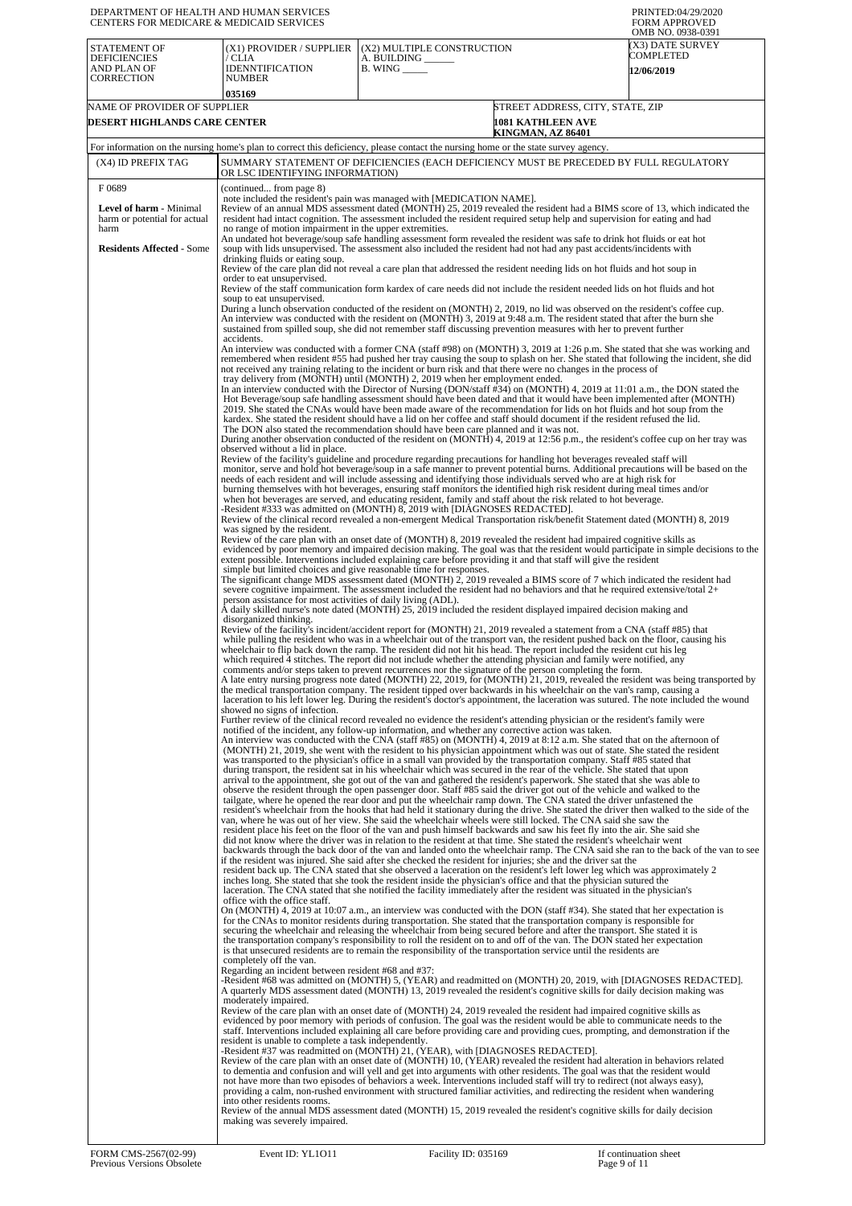| DEPARTMENT OF HEALTH AND HUMAN SERVICES<br><b>CENTERS FOR MEDICARE &amp; MEDICAID SERVICES</b> |                                                                                                                                                                                                                                                                                                                                                                                                                                                                                                                                                                                                                                                                                                                                                                                                                                                                                                                                                                                                                                                                                                                                                                                                                                                                |                                                                                                                                                                                                                                                                                                                                                                                                                                                                                                                                                                                                                                                                                                                                                                                                                                                               | PRINTED:04/29/2020<br><b>FORM APPROVED</b><br>OMB NO. 0938-0391 |
|------------------------------------------------------------------------------------------------|----------------------------------------------------------------------------------------------------------------------------------------------------------------------------------------------------------------------------------------------------------------------------------------------------------------------------------------------------------------------------------------------------------------------------------------------------------------------------------------------------------------------------------------------------------------------------------------------------------------------------------------------------------------------------------------------------------------------------------------------------------------------------------------------------------------------------------------------------------------------------------------------------------------------------------------------------------------------------------------------------------------------------------------------------------------------------------------------------------------------------------------------------------------------------------------------------------------------------------------------------------------|---------------------------------------------------------------------------------------------------------------------------------------------------------------------------------------------------------------------------------------------------------------------------------------------------------------------------------------------------------------------------------------------------------------------------------------------------------------------------------------------------------------------------------------------------------------------------------------------------------------------------------------------------------------------------------------------------------------------------------------------------------------------------------------------------------------------------------------------------------------|-----------------------------------------------------------------|
| STATEMENT OF<br><b>DEFICIENCIES</b><br>AND PLAN OF<br><b>CORRECTION</b>                        | (X1) PROVIDER / SUPPLIER<br>/ CLIA<br><b>IDENNTIFICATION</b><br><b>NUMBER</b>                                                                                                                                                                                                                                                                                                                                                                                                                                                                                                                                                                                                                                                                                                                                                                                                                                                                                                                                                                                                                                                                                                                                                                                  | (X2) MULTIPLE CONSTRUCTION<br>A. BUILDING _<br><b>B.</b> WING ______                                                                                                                                                                                                                                                                                                                                                                                                                                                                                                                                                                                                                                                                                                                                                                                          | (X3) DATE SURVEY<br>COMPLETED<br><b>12/06/2019</b>              |
| NAME OF PROVIDER OF SUPPLIER                                                                   | 035169                                                                                                                                                                                                                                                                                                                                                                                                                                                                                                                                                                                                                                                                                                                                                                                                                                                                                                                                                                                                                                                                                                                                                                                                                                                         |                                                                                                                                                                                                                                                                                                                                                                                                                                                                                                                                                                                                                                                                                                                                                                                                                                                               | STREET ADDRESS, CITY, STATE, ZIP                                |
| DESERT HIGHLANDS CARE CENTER                                                                   |                                                                                                                                                                                                                                                                                                                                                                                                                                                                                                                                                                                                                                                                                                                                                                                                                                                                                                                                                                                                                                                                                                                                                                                                                                                                | 1081 KATHLEEN AVE                                                                                                                                                                                                                                                                                                                                                                                                                                                                                                                                                                                                                                                                                                                                                                                                                                             |                                                                 |
|                                                                                                |                                                                                                                                                                                                                                                                                                                                                                                                                                                                                                                                                                                                                                                                                                                                                                                                                                                                                                                                                                                                                                                                                                                                                                                                                                                                | <b>KINGMAN, AZ 86401</b><br>For information on the nursing home's plan to correct this deficiency, please contact the nursing home or the state survey agency.                                                                                                                                                                                                                                                                                                                                                                                                                                                                                                                                                                                                                                                                                                |                                                                 |
| (X4) ID PREFIX TAG                                                                             |                                                                                                                                                                                                                                                                                                                                                                                                                                                                                                                                                                                                                                                                                                                                                                                                                                                                                                                                                                                                                                                                                                                                                                                                                                                                | SUMMARY STATEMENT OF DEFICIENCIES (EACH DEFICIENCY MUST BE PRECEDED BY FULL REGULATORY                                                                                                                                                                                                                                                                                                                                                                                                                                                                                                                                                                                                                                                                                                                                                                        |                                                                 |
| F0689                                                                                          | OR LSC IDENTIFYING INFORMATION)<br>(continued from page 8)                                                                                                                                                                                                                                                                                                                                                                                                                                                                                                                                                                                                                                                                                                                                                                                                                                                                                                                                                                                                                                                                                                                                                                                                     |                                                                                                                                                                                                                                                                                                                                                                                                                                                                                                                                                                                                                                                                                                                                                                                                                                                               |                                                                 |
| Level of harm - Minimal<br>harm or potential for actual<br>harm                                | no range of motion impairment in the upper extremities.                                                                                                                                                                                                                                                                                                                                                                                                                                                                                                                                                                                                                                                                                                                                                                                                                                                                                                                                                                                                                                                                                                                                                                                                        | note included the resident's pain was managed with [MEDICATION NAME].<br>Review of an annual MDS assessment dated (MONTH) 25, 2019 revealed the resident had a BIMS score of 13, which indicated the<br>resident had intact cognition. The assessment included the resident required setup help and supervision for eating and had<br>An undated hot beverage/soup safe handling assessment form revealed the resident was safe to drink hot fluids or eat hot                                                                                                                                                                                                                                                                                                                                                                                                |                                                                 |
| <b>Residents Affected - Some</b>                                                               | soup with lids unsupervised. The assessment also included the resident had not had any past accidents/incidents with<br>drinking fluids or eating soup.                                                                                                                                                                                                                                                                                                                                                                                                                                                                                                                                                                                                                                                                                                                                                                                                                                                                                                                                                                                                                                                                                                        |                                                                                                                                                                                                                                                                                                                                                                                                                                                                                                                                                                                                                                                                                                                                                                                                                                                               |                                                                 |
|                                                                                                | order to eat unsupervised.                                                                                                                                                                                                                                                                                                                                                                                                                                                                                                                                                                                                                                                                                                                                                                                                                                                                                                                                                                                                                                                                                                                                                                                                                                     | Review of the care plan did not reveal a care plan that addressed the resident needing lids on hot fluids and hot soup in                                                                                                                                                                                                                                                                                                                                                                                                                                                                                                                                                                                                                                                                                                                                     |                                                                 |
|                                                                                                | soup to eat unsupervised.                                                                                                                                                                                                                                                                                                                                                                                                                                                                                                                                                                                                                                                                                                                                                                                                                                                                                                                                                                                                                                                                                                                                                                                                                                      | Review of the staff communication form kardex of care needs did not include the resident needed lids on hot fluids and hot                                                                                                                                                                                                                                                                                                                                                                                                                                                                                                                                                                                                                                                                                                                                    |                                                                 |
|                                                                                                | accidents.                                                                                                                                                                                                                                                                                                                                                                                                                                                                                                                                                                                                                                                                                                                                                                                                                                                                                                                                                                                                                                                                                                                                                                                                                                                     | During a lunch observation conducted of the resident on (MONTH) 2, 2019, no lid was observed on the resident's coffee cup.<br>An interview was conducted with the resident on (MONTH) 3, 2019 at 9:48 a.m. The resident stated that after the burn she<br>sustained from spilled soup, she did not remember staff discussing prevention measures with her to prevent further                                                                                                                                                                                                                                                                                                                                                                                                                                                                                  |                                                                 |
|                                                                                                |                                                                                                                                                                                                                                                                                                                                                                                                                                                                                                                                                                                                                                                                                                                                                                                                                                                                                                                                                                                                                                                                                                                                                                                                                                                                | An interview was conducted with a former CNA (staff #98) on (MONTH) 3, 2019 at 1:26 p.m. She stated that she was working and<br>remembered when resident #55 had pushed her tray causing the soup to splash on her. She stated that following the incident, she did<br>not received any training relating to the incident or burn risk and that there were no changes in the process of<br>tray delivery from (MONTH) until (MONTH) 2, 2019 when her employment ended.                                                                                                                                                                                                                                                                                                                                                                                        |                                                                 |
|                                                                                                | In an interview conducted with the Director of Nursing (DON/staff #34) on (MONTH) 4, 2019 at 11:01 a.m., the DON stated the<br>Hot Beverage/soup safe handling assessment should have been dated and that it would have been implemented after (MONTH)<br>2019. She stated the CNAs would have been made aware of the recommendation for lids on hot fluids and hot soup from the<br>kardex. She stated the resident should have a lid on her coffee and staff should document if the resident refused the lid.                                                                                                                                                                                                                                                                                                                                                                                                                                                                                                                                                                                                                                                                                                                                                |                                                                                                                                                                                                                                                                                                                                                                                                                                                                                                                                                                                                                                                                                                                                                                                                                                                               |                                                                 |
|                                                                                                | observed without a lid in place.                                                                                                                                                                                                                                                                                                                                                                                                                                                                                                                                                                                                                                                                                                                                                                                                                                                                                                                                                                                                                                                                                                                                                                                                                               | The DON also stated the recommendation should have been care planned and it was not.<br>During another observation conducted of the resident on (MONTH) 4, 2019 at 12:56 p.m., the resident's coffee cup on her tray was                                                                                                                                                                                                                                                                                                                                                                                                                                                                                                                                                                                                                                      |                                                                 |
|                                                                                                | Review of the facility's guideline and procedure regarding precautions for handling hot beverages revealed staff will<br>monitor, serve and hold hot beverage/soup in a safe manner to prevent potential burns. Additional precautions will be based on the<br>needs of each resident and will include assessing and identifying those individuals served who are at high risk for<br>burning themselves with hot beverages, ensuring staff monitors the identified high risk resident during meal times and/or<br>when hot beverages are served, and educating resident, family and staff about the risk related to hot beverage.<br>-Resident #333 was admitted on (MONTH) 8, 2019 with [DIAGNOSES REDACTED].<br>Review of the clinical record revealed a non-emergent Medical Transportation risk/benefit Statement dated (MONTH) 8, 2019<br>was signed by the resident.<br>Review of the care plan with an onset date of (MONTH) 8, 2019 revealed the resident had impaired cognitive skills as<br>evidenced by poor memory and impaired decision making. The goal was that the resident would participate in simple decisions to the<br>extent possible. Interventions included explaining care before providing it and that staff will give the resident |                                                                                                                                                                                                                                                                                                                                                                                                                                                                                                                                                                                                                                                                                                                                                                                                                                                               |                                                                 |
|                                                                                                |                                                                                                                                                                                                                                                                                                                                                                                                                                                                                                                                                                                                                                                                                                                                                                                                                                                                                                                                                                                                                                                                                                                                                                                                                                                                |                                                                                                                                                                                                                                                                                                                                                                                                                                                                                                                                                                                                                                                                                                                                                                                                                                                               |                                                                 |
|                                                                                                |                                                                                                                                                                                                                                                                                                                                                                                                                                                                                                                                                                                                                                                                                                                                                                                                                                                                                                                                                                                                                                                                                                                                                                                                                                                                |                                                                                                                                                                                                                                                                                                                                                                                                                                                                                                                                                                                                                                                                                                                                                                                                                                                               |                                                                 |
|                                                                                                | simple but limited choices and give reasonable time for responses.<br>The significant change MDS assessment dated (MONTH) 2, 2019 revealed a BIMS score of 7 which indicated the resident had<br>severe cognitive impairment. The assessment included the resident had no behaviors and that he required extensive/total 2+<br>person assistance for most activities of daily living (ADL).                                                                                                                                                                                                                                                                                                                                                                                                                                                                                                                                                                                                                                                                                                                                                                                                                                                                    |                                                                                                                                                                                                                                                                                                                                                                                                                                                                                                                                                                                                                                                                                                                                                                                                                                                               |                                                                 |
|                                                                                                | disorganized thinking.                                                                                                                                                                                                                                                                                                                                                                                                                                                                                                                                                                                                                                                                                                                                                                                                                                                                                                                                                                                                                                                                                                                                                                                                                                         | A daily skilled nurse's note dated (MONTH) 25, 2019 included the resident displayed impaired decision making and                                                                                                                                                                                                                                                                                                                                                                                                                                                                                                                                                                                                                                                                                                                                              |                                                                 |
|                                                                                                |                                                                                                                                                                                                                                                                                                                                                                                                                                                                                                                                                                                                                                                                                                                                                                                                                                                                                                                                                                                                                                                                                                                                                                                                                                                                | Review of the facility's incident/accident report for (MONTH) 21, 2019 revealed a statement from a CNA (staff #85) that<br>while pulling the resident who was in a wheelchair out of the transport van, the resident pushed back on the floor, causing his<br>wheelchair to flip back down the ramp. The resident did not hit his head. The report included the resident cut his leg<br>which required 4 stitches. The report did not include whether the attending physician and family were notified, any                                                                                                                                                                                                                                                                                                                                                   |                                                                 |
|                                                                                                | showed no signs of infection.                                                                                                                                                                                                                                                                                                                                                                                                                                                                                                                                                                                                                                                                                                                                                                                                                                                                                                                                                                                                                                                                                                                                                                                                                                  | comments and/or steps taken to prevent recurrences nor the signature of the person completing the form.<br>A late entry nursing progress note dated (MONTH) 22, 2019, for (MONTH) 21, 2019, revealed the resident was being transported by<br>the medical transportation company. The resident tipped over backwards in his wheelchair on the van's ramp, causing a<br>laceration to his left lower leg. During the resident's doctor's appointment, the laceration was sutured. The note included the wound                                                                                                                                                                                                                                                                                                                                                  |                                                                 |
|                                                                                                |                                                                                                                                                                                                                                                                                                                                                                                                                                                                                                                                                                                                                                                                                                                                                                                                                                                                                                                                                                                                                                                                                                                                                                                                                                                                | Further review of the clinical record revealed no evidence the resident's attending physician or the resident's family were<br>notified of the incident, any follow-up information, and whether any corrective action was taken.                                                                                                                                                                                                                                                                                                                                                                                                                                                                                                                                                                                                                              |                                                                 |
|                                                                                                |                                                                                                                                                                                                                                                                                                                                                                                                                                                                                                                                                                                                                                                                                                                                                                                                                                                                                                                                                                                                                                                                                                                                                                                                                                                                | An interview was conducted with the CNA (staff #85) on (MONTH) 4, 2019 at 8:12 a.m. She stated that on the afternoon of<br>(MONTH) 21, 2019, she went with the resident to his physician appointment which was out of state. She stated the resident<br>was transported to the physician's office in a small van provided by the transportation company. Staff #85 stated that<br>during transport, the resident sat in his wheelchair which was secured in the rear of the vehicle. She stated that upon<br>arrival to the appointment, she got out of the van and gathered the resident's paperwork. She stated that she was able to<br>observe the resident through the open passenger door. Staff #85 said the driver got out of the vehicle and walked to the                                                                                            |                                                                 |
|                                                                                                |                                                                                                                                                                                                                                                                                                                                                                                                                                                                                                                                                                                                                                                                                                                                                                                                                                                                                                                                                                                                                                                                                                                                                                                                                                                                | tailgate, where he opened the rear door and put the wheelchair ramp down. The CNA stated the driver unfastened the<br>resident's wheelchair from the hooks that had held it stationary during the drive. She stated the driver then walked to the side of the<br>van, where he was out of her view. She said the wheelchair wheels were still locked. The CNA said she saw the<br>resident place his feet on the floor of the van and push himself backwards and saw his feet fly into the air. She said she<br>did not know where the driver was in relation to the resident at that time. She stated the resident's wheelchair went<br>backwards through the back door of the van and landed onto the wheelchair ramp. The CNA said she ran to the back of the van to see                                                                                   |                                                                 |
|                                                                                                | office with the office staff.                                                                                                                                                                                                                                                                                                                                                                                                                                                                                                                                                                                                                                                                                                                                                                                                                                                                                                                                                                                                                                                                                                                                                                                                                                  | if the resident was injured. She said after she checked the resident for injuries; she and the driver sat the<br>resident back up. The CNA stated that she observed a laceration on the resident's left lower leg which was approximately 2<br>inches long. She stated that she took the resident inside the physician's office and that the physician sutured the<br>laceration. The CNA stated that she notified the facility immediately after the resident was situated in the physician's                                                                                                                                                                                                                                                                                                                                                                |                                                                 |
|                                                                                                | completely off the van.                                                                                                                                                                                                                                                                                                                                                                                                                                                                                                                                                                                                                                                                                                                                                                                                                                                                                                                                                                                                                                                                                                                                                                                                                                        | On (MONTH) 4, 2019 at 10:07 a.m., an interview was conducted with the DON (staff $#34$ ). She stated that her expectation is<br>for the CNAs to monitor residents during transportation. She stated that the transportation company is responsible for<br>securing the wheelchair and releasing the wheelchair from being secured before and after the transport. She stated it is<br>the transportation company's responsibility to roll the resident on to and off of the van. The DON stated her expectation<br>is that unsecured residents are to remain the responsibility of the transportation service until the residents are                                                                                                                                                                                                                         |                                                                 |
|                                                                                                | Regarding an incident between resident #68 and #37:<br>moderately impaired.                                                                                                                                                                                                                                                                                                                                                                                                                                                                                                                                                                                                                                                                                                                                                                                                                                                                                                                                                                                                                                                                                                                                                                                    | -Resident #68 was admitted on (MONTH) 5, (YEAR) and readmitted on (MONTH) 20, 2019, with [DIAGNOSES REDACTED].<br>A quarterly MDS assessment dated (MONTH) 13, 2019 revealed the resident's cognitive skills for daily decision making was                                                                                                                                                                                                                                                                                                                                                                                                                                                                                                                                                                                                                    |                                                                 |
|                                                                                                | resident is unable to complete a task independently.                                                                                                                                                                                                                                                                                                                                                                                                                                                                                                                                                                                                                                                                                                                                                                                                                                                                                                                                                                                                                                                                                                                                                                                                           | Review of the care plan with an onset date of (MONTH) 24, 2019 revealed the resident had impaired cognitive skills as<br>evidenced by poor memory with periods of confusion. The goal was the resident would be able to communicate needs to the<br>staff. Interventions included explaining all care before providing care and providing cues, prompting, and demonstration if the<br>-Resident #37 was readmitted on (MONTH) 21, (YEAR), with [DIAGNOSES REDACTED].<br>Review of the care plan with an onset date of (MONTH) 10, (YEAR) revealed the resident had alteration in behaviors related<br>to dementia and confusion and will yell and get into arguments with other residents. The goal was that the resident would<br>not have more than two episodes of behaviors a week. Interventions included staff will try to redirect (not always easy), |                                                                 |
|                                                                                                | into other residents rooms.<br>making was severely impaired.                                                                                                                                                                                                                                                                                                                                                                                                                                                                                                                                                                                                                                                                                                                                                                                                                                                                                                                                                                                                                                                                                                                                                                                                   | providing a calm, non-rushed environment with structured familiar activities, and redirecting the resident when wandering<br>Review of the annual MDS assessment dated (MONTH) 15, 2019 revealed the resident's cognitive skills for daily decision                                                                                                                                                                                                                                                                                                                                                                                                                                                                                                                                                                                                           |                                                                 |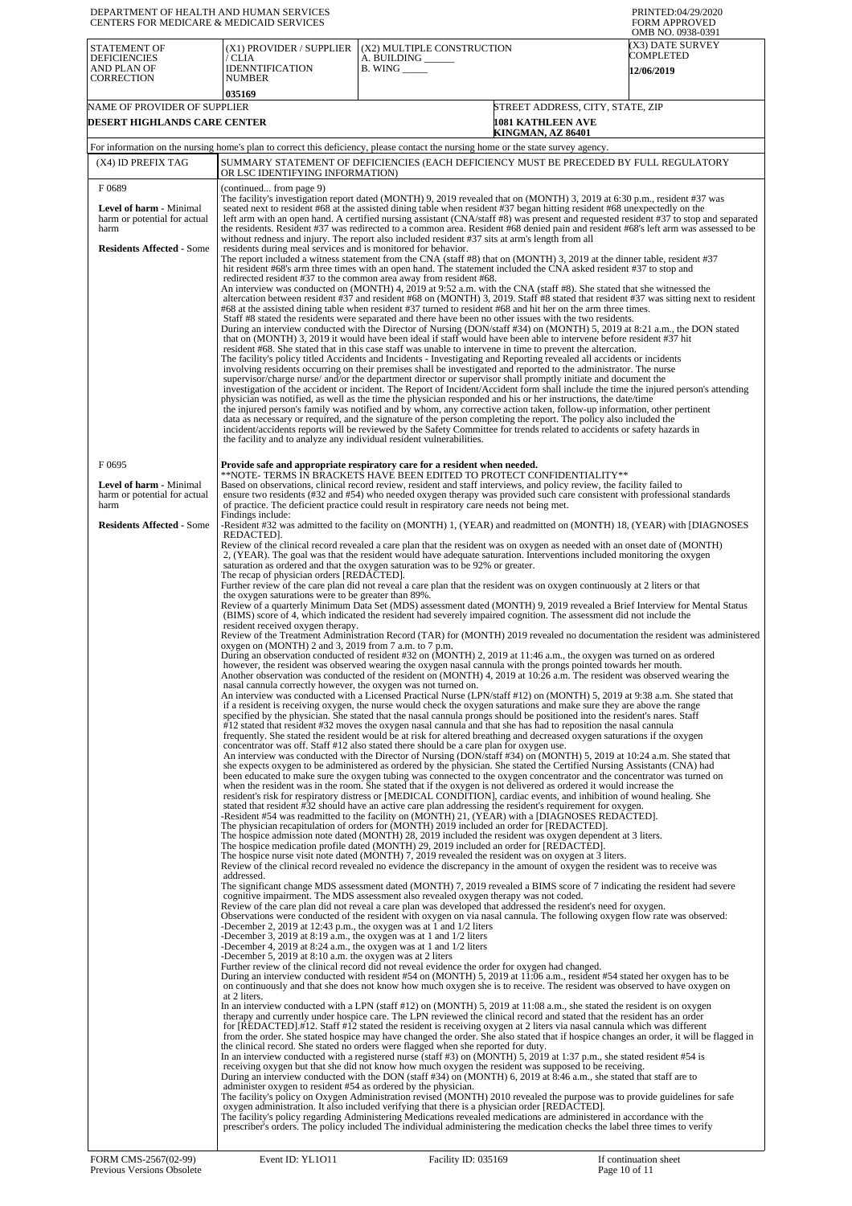| (X3) DATE SURVEY<br>STATEMENT OF<br>(X1) PROVIDER / SUPPLIER<br>(X2) MULTIPLE CONSTRUCTION<br>COMPLETED<br><b>DEFICIENCIES</b><br>/ CLIA<br>A. BUILDING ______<br>AND PLAN OF<br><b>IDENNTIFICATION</b><br>$B.$ WING $\_\_\_\_\_\_\$<br>12/06/2019<br>CORRECTION<br><b>NUMBER</b><br>035169<br>NAME OF PROVIDER OF SUPPLIER<br>STREET ADDRESS, CITY, STATE, ZIP<br>DESERT HIGHLANDS CARE CENTER<br>1081 KATHLEEN AVE<br>KINGMAN, AZ 86401<br>For information on the nursing home's plan to correct this deficiency, please contact the nursing home or the state survey agency.<br>SUMMARY STATEMENT OF DEFICIENCIES (EACH DEFICIENCY MUST BE PRECEDED BY FULL REGULATORY<br>(X4) ID PREFIX TAG<br>OR LSC IDENTIFYING INFORMATION)<br>F0689<br>(continued from page 9)<br>The facility's investigation report dated (MONTH) 9, 2019 revealed that on (MONTH) 3, 2019 at 6:30 p.m., resident #37 was<br>seated next to resident #68 at the assisted dining table when resident #37 began hitting resident #68 unexpectedly on the<br>Level of harm - Minimal<br>left arm with an open hand. A certified nursing assistant (CNA/staff #8) was present and requested resident #37 to stop and separated<br>harm or potential for actual<br>the residents. Resident #37 was redirected to a common area. Resident #68 denied pain and resident #68's left arm was assessed to be<br>harm<br>without redness and injury. The report also included resident #37 sits at arm's length from all<br><b>Residents Affected - Some</b><br>residents during meal services and is monitored for behavior.<br>The report included a witness statement from the CNA (staff #8) that on (MONTH) 3, 2019 at the dinner table, resident #37<br>hit resident #68's arm three times with an open hand. The statement included the CNA asked resident #37 to stop and<br>redirected resident #37 to the common area away from resident #68.<br>An interview was conducted on (MONTH) 4, 2019 at 9:52 a.m. with the CNA (staff #8). She stated that she witnessed the<br>altercation between resident #37 and resident #68 on (MONTH) 3, 2019. Staff #8 stated that resident #37 was sitting next to resident<br>#68 at the assisted dining table when resident #37 turned to resident #68 and hit her on the arm three times.<br>Staff #8 stated the residents were separated and there have been no other issues with the two residents.<br>During an interview conducted with the Director of Nursing (DON/staff #34) on (MONTH) 5, 2019 at 8:21 a.m., the DON stated<br>that on (MONTH) 3, 2019 it would have been ideal if staff would have been able to intervene before resident #37 hit<br>resident #68. She stated that in this case staff was unable to intervene in time to prevent the altercation.<br>The facility's policy titled Accidents and Incidents - Investigating and Reporting revealed all accidents or incidents<br>involving residents occurring on their premises shall be investigated and reported to the administrator. The nurse<br>supervisor/charge nurse/ and/or the department director or supervisor shall promptly initiate and document the<br>investigation of the accident or incident. The Report of Incident/Accident form shall include the time the injured person's attending<br>physician was notified, as well as the time the physician responded and his or her instructions, the date/time<br>the injured person's family was notified and by whom, any corrective action taken, follow-up information, other pertinent<br>data as necessary or required, and the signature of the person completing the report. The policy also included the<br>incident/accidents reports will be reviewed by the Safety Committee for trends related to accidents or safety hazards in<br>the facility and to analyze any individual resident vulnerabilities.<br>F0695<br>Provide safe and appropriate respiratory care for a resident when needed.<br>**NOTE- TERMS IN BRACKETS HAVE BEEN EDITED TO PROTECT CONFIDENTIALITY**<br>Based on observations, clinical record review, resident and staff interviews, and policy review, the facility failed to<br>Level of harm - Minimal<br>ensure two residents (#32 and #54) who needed oxygen therapy was provided such care consistent with professional standards<br>harm or potential for actual<br>of practice. The deficient practice could result in respiratory care needs not being met.<br>harm<br>Findings include:<br><b>Residents Affected - Some</b><br>-Resident #32 was admitted to the facility on (MONTH) 1, (YEAR) and readmitted on (MONTH) 18, (YEAR) with [DIAGNOSES<br>REDACTED].<br>Review of the clinical record revealed a care plan that the resident was on oxygen as needed with an onset date of (MONTH)<br>2, (YEAR). The goal was that the resident would have adequate saturation. Interventions included monitoring the oxygen<br>saturation as ordered and that the oxygen saturation was to be 92% or greater.<br>The recap of physician orders [REDACTED].<br>Further review of the care plan did not reveal a care plan that the resident was on oxygen continuously at 2 liters or that<br>the oxygen saturations were to be greater than 89%.<br>Review of a quarterly Minimum Data Set (MDS) assessment dated (MONTH) 9, 2019 revealed a Brief Interview for Mental Status<br>(BIMS) score of 4, which indicated the resident had severely impaired cognition. The assessment did not include the<br>resident received oxygen therapy.<br>Review of the Treatment Administration Record (TAR) for (MONTH) 2019 revealed no documentation the resident was administered<br>oxygen on (MONTH) 2 and 3, 2019 from 7 a.m. to 7 p.m.<br>During an observation conducted of resident #32 on (MONTH) 2, 2019 at 11:46 a.m., the oxygen was turned on as ordered<br>however, the resident was observed wearing the oxygen nasal cannula with the prongs pointed towards her mouth.<br>Another observation was conducted of the resident on (MONTH) 4, 2019 at 10:26 a.m. The resident was observed wearing the<br>nasal cannula correctly however, the oxygen was not turned on.<br>An interview was conducted with a Licensed Practical Nurse (LPN/staff #12) on (MONTH) 5, 2019 at 9:38 a.m. She stated that<br>if a resident is receiving oxygen, the nurse would check the oxygen saturations and make sure they are above the range<br>specified by the physician. She stated that the nasal cannula prongs should be positioned into the resident's nares. Staff<br>#12 stated that resident #32 moves the oxygen nasal cannula and that she has had to reposition the nasal cannula<br>frequently. She stated the resident would be at risk for altered breathing and decreased oxygen saturations if the oxygen<br>concentrator was off. Staff #12 also stated there should be a care plan for oxygen use.<br>An interview was conducted with the Director of Nursing (DON/staff #34) on (MONTH) 5, 2019 at 10:24 a.m. She stated that<br>she expects oxygen to be administered as ordered by the physician. She stated the Certified Nursing Assistants (CNA) had<br>been educated to make sure the oxygen tubing was connected to the oxygen concentrator and the concentrator was turned on<br>when the resident was in the room. She stated that if the oxygen is not delivered as ordered it would increase the<br>resident's risk for respiratory distress or [MEDICAL CONDITION], cardiac events, and inhibition of wound healing. She<br>stated that resident #32 should have an active care plan addressing the resident's requirement for oxygen.<br>Resident #54 was readmitted to the facility on (MONTH) 21, (YEAR) with a [DIAGNOSES REDACTED].<br>The physician recapitulation of orders for (MONTH) 2019 included an order for [REDACTED].<br>The hospice admission note dated (MONTH) 28, 2019 included the resident was oxygen dependent at 3 liters.<br>The hospice medication profile dated (MONTH) 29, 2019 included an order for [REDACTED].<br>The hospice nurse visit note dated (MONTH) 7, 2019 revealed the resident was on oxygen at 3 liters.<br>Review of the clinical record revealed no evidence the discrepancy in the amount of oxygen the resident was to receive was<br>addressed.<br>The significant change MDS assessment dated (MONTH) 7, 2019 revealed a BIMS score of 7 indicating the resident had severe<br>cognitive impairment. The MDS assessment also revealed oxygen therapy was not coded.<br>Review of the care plan did not reveal a care plan was developed that addressed the resident's need for oxygen.<br>Observations were conducted of the resident with oxygen on via nasal cannula. The following oxygen flow rate was observed:<br>-December 2, 2019 at 12:43 p.m., the oxygen was at 1 and 1/2 liters<br>-December 3, 2019 at 8:19 a.m., the oxygen was at 1 and 1/2 liters<br>-December 4, 2019 at 8:24 a.m., the oxygen was at 1 and 1/2 liters<br>-December 5, 2019 at 8:10 a.m. the oxygen was at 2 liters<br>Further review of the clinical record did not reveal evidence the order for oxygen had changed.<br>During an interview conducted with resident #54 on (MONTH) 5, 2019 at 11:06 a.m., resident #54 stated her oxygen has to be<br>on continuously and that she does not know how much oxygen she is to receive. The resident was observed to have oxygen on<br>at 2 liters.<br>In an interview conducted with a LPN (staff #12) on (MONTH) 5, 2019 at 11:08 a.m., she stated the resident is on oxygen<br>therapy and currently under hospice care. The LPN reviewed the clinical record and stated that the resident has an order<br>for [REDACTED].#12. Staff #12 stated the resident is receiving oxygen at 2 liters via nasal cannula which was different<br>from the order. She stated hospice may have changed the order. She also stated that if hospice changes an order, it will be flagged in<br>the clinical record. She stated no orders were flagged when she reported for duty.<br>In an interview conducted with a registered nurse (staff #3) on (MONTH) 5, 2019 at 1:37 p.m., she stated resident #54 is<br>receiving oxygen but that she did not know how much oxygen the resident was supposed to be receiving.<br>During an interview conducted with the DON (staff #34) on (MONTH) 6, 2019 at 8:46 a.m., she stated that staff are to<br>administer oxygen to resident #54 as ordered by the physician.<br>The facility's policy on Oxygen Administration revised (MONTH) 2010 revealed the purpose was to provide guidelines for safe<br>oxygen administration. It also included verifying that there is a physician order [REDACTED].<br>The facility's policy regarding Administering Medications revealed medications are administered in accordance with the<br>prescriber's orders. The policy included The individual administering the medication checks the label three times to verify | DEPARTMENT OF HEALTH AND HUMAN SERVICES<br>CENTERS FOR MEDICARE & MEDICAID SERVICES |  | PRINTED:04/29/2020<br><b>FORM APPROVED</b><br>OMB NO. 0938-0391 |
|------------------------------------------------------------------------------------------------------------------------------------------------------------------------------------------------------------------------------------------------------------------------------------------------------------------------------------------------------------------------------------------------------------------------------------------------------------------------------------------------------------------------------------------------------------------------------------------------------------------------------------------------------------------------------------------------------------------------------------------------------------------------------------------------------------------------------------------------------------------------------------------------------------------------------------------------------------------------------------------------------------------------------------------------------------------------------------------------------------------------------------------------------------------------------------------------------------------------------------------------------------------------------------------------------------------------------------------------------------------------------------------------------------------------------------------------------------------------------------------------------------------------------------------------------------------------------------------------------------------------------------------------------------------------------------------------------------------------------------------------------------------------------------------------------------------------------------------------------------------------------------------------------------------------------------------------------------------------------------------------------------------------------------------------------------------------------------------------------------------------------------------------------------------------------------------------------------------------------------------------------------------------------------------------------------------------------------------------------------------------------------------------------------------------------------------------------------------------------------------------------------------------------------------------------------------------------------------------------------------------------------------------------------------------------------------------------------------------------------------------------------------------------------------------------------------------------------------------------------------------------------------------------------------------------------------------------------------------------------------------------------------------------------------------------------------------------------------------------------------------------------------------------------------------------------------------------------------------------------------------------------------------------------------------------------------------------------------------------------------------------------------------------------------------------------------------------------------------------------------------------------------------------------------------------------------------------------------------------------------------------------------------------------------------------------------------------------------------------------------------------------------------------------------------------------------------------------------------------------------------------------------------------------------------------------------------------------------------------------------------------------------------------------------------------------------------------------------------------------------------------------------------------------------------------------------------------------------------------------------------------------------------------------------------------------------------------------------------------------------------------------------------------------------------------------------------------------------------------------------------------------------------------------------------------------------------------------------------------------------------------------------------------------------------------------------------------------------------------------------------------------------------------------------------------------------------------------------------------------------------------------------------------------------------------------------------------------------------------------------------------------------------------------------------------------------------------------------------------------------------------------------------------------------------------------------------------------------------------------------------------------------------------------------------------------------------------------------------------------------------------------------------------------------------------------------------------------------------------------------------------------------------------------------------------------------------------------------------------------------------------------------------------------------------------------------------------------------------------------------------------------------------------------------------------------------------------------------------------------------------------------------------------------------------------------------------------------------------------------------------------------------------------------------------------------------------------------------------------------------------------------------------------------------------------------------------------------------------------------------------------------------------------------------------------------------------------------------------------------------------------------------------------------------------------------------------------------------------------------------------------------------------------------------------------------------------------------------------------------------------------------------------------------------------------------------------------------------------------------------------------------------------------------------------------------------------------------------------------------------------------------------------------------------------------------------------------------------------------------------------------------------------------------------------------------------------------------------------------------------------------------------------------------------------------------------------------------------------------------------------------------------------------------------------------------------------------------------------------------------------------------------------------------------------------------------------------------------------------------------------------------------------------------------------------------------------------------------------------------------------------------------------------------------------------------------------------------------------------------------------------------------------------------------------------------------------------------------------------------------------------------------------------------------------------------------------------------------------------------------------------------------------------------------------------------------------------------------------------------------------------------------------------------------------------------------------------------------------------------------------------------------------------------------------------------------------------------------------------------------------------------------------------------------------------------------------------------------------------------------------------------------------------------------------------------------------------------------------------------------------------------------------------------------------------------------------------------------------------------------------------------------------------------------------------------------------------------------------------------------------------------------------------------------------------------------------------------------------------------------------------------------------------------------------------------------------------------------------------------------------------------------------------------------------------------------------------------------------------------------------------------------------------------------------------------------------------------------------------------------------------------------------------------------------------------------------------------------------------------------------------------------------------------------------------------------------------------------------------------------------------------------------------------------------------------------------------------------------------------------------------------------------------------------------------------------------------------------------------------------------------------------------------------------------------------------------------------------------------------------------------------------------------------------------------------------------------------------------------------------------------------------------------------------------------------------------------------------------------------------------------------------------------------------------------------------------------------------------------------------------------------------------------------------------------------------------------------------------------------------------------------------------------------------------------------------------------------------------------------------------------------------------------------------------------------------------------------------------------------------------------------------------------------------------------------------------------------------------------------------------------------------------------------------------------------------------------------------------------------------------------------|-------------------------------------------------------------------------------------|--|-----------------------------------------------------------------|
|                                                                                                                                                                                                                                                                                                                                                                                                                                                                                                                                                                                                                                                                                                                                                                                                                                                                                                                                                                                                                                                                                                                                                                                                                                                                                                                                                                                                                                                                                                                                                                                                                                                                                                                                                                                                                                                                                                                                                                                                                                                                                                                                                                                                                                                                                                                                                                                                                                                                                                                                                                                                                                                                                                                                                                                                                                                                                                                                                                                                                                                                                                                                                                                                                                                                                                                                                                                                                                                                                                                                                                                                                                                                                                                                                                                                                                                                                                                                                                                                                                                                                                                                                                                                                                                                                                                                                                                                                                                                                                                                                                                                                                                                                                                                                                                                                                                                                                                                                                                                                                                                                                                                                                                                                                                                                                                                                                                                                                                                                                                                                                                                                                                                                                                                                                                                                                                                                                                                                                                                                                                                                                                                                                                                                                                                                                                                                                                                                                                                                                                                                                                                                                                                                                                                                                                                                                                                                                                                                                                                                                                                                                                                                                                                                                                                                                                                                                                                                                                                                                                                                                                                                                                                                                                                                                                                                                                                                                                                                                                                                                                                                                                                                                                                                                                                                                                                                                                                                                                                                                                                                                                                                                                                                                                                                                                                                                                                                                                                                                                                                                                                                                                                                                                                                                                                                                                                                                                                                                                                                                                                                                                                                                                                                                                                                                                                                                                                                                                                                                                                                                                                                                                                                                                                                                                                                                                                                                                                                                                                                                                                                                                                                                                                                                                                                                                                                                                                                                                                                                                                            |                                                                                     |  |                                                                 |
|                                                                                                                                                                                                                                                                                                                                                                                                                                                                                                                                                                                                                                                                                                                                                                                                                                                                                                                                                                                                                                                                                                                                                                                                                                                                                                                                                                                                                                                                                                                                                                                                                                                                                                                                                                                                                                                                                                                                                                                                                                                                                                                                                                                                                                                                                                                                                                                                                                                                                                                                                                                                                                                                                                                                                                                                                                                                                                                                                                                                                                                                                                                                                                                                                                                                                                                                                                                                                                                                                                                                                                                                                                                                                                                                                                                                                                                                                                                                                                                                                                                                                                                                                                                                                                                                                                                                                                                                                                                                                                                                                                                                                                                                                                                                                                                                                                                                                                                                                                                                                                                                                                                                                                                                                                                                                                                                                                                                                                                                                                                                                                                                                                                                                                                                                                                                                                                                                                                                                                                                                                                                                                                                                                                                                                                                                                                                                                                                                                                                                                                                                                                                                                                                                                                                                                                                                                                                                                                                                                                                                                                                                                                                                                                                                                                                                                                                                                                                                                                                                                                                                                                                                                                                                                                                                                                                                                                                                                                                                                                                                                                                                                                                                                                                                                                                                                                                                                                                                                                                                                                                                                                                                                                                                                                                                                                                                                                                                                                                                                                                                                                                                                                                                                                                                                                                                                                                                                                                                                                                                                                                                                                                                                                                                                                                                                                                                                                                                                                                                                                                                                                                                                                                                                                                                                                                                                                                                                                                                                                                                                                                                                                                                                                                                                                                                                                                                                                                                                                                                                                                            |                                                                                     |  |                                                                 |
|                                                                                                                                                                                                                                                                                                                                                                                                                                                                                                                                                                                                                                                                                                                                                                                                                                                                                                                                                                                                                                                                                                                                                                                                                                                                                                                                                                                                                                                                                                                                                                                                                                                                                                                                                                                                                                                                                                                                                                                                                                                                                                                                                                                                                                                                                                                                                                                                                                                                                                                                                                                                                                                                                                                                                                                                                                                                                                                                                                                                                                                                                                                                                                                                                                                                                                                                                                                                                                                                                                                                                                                                                                                                                                                                                                                                                                                                                                                                                                                                                                                                                                                                                                                                                                                                                                                                                                                                                                                                                                                                                                                                                                                                                                                                                                                                                                                                                                                                                                                                                                                                                                                                                                                                                                                                                                                                                                                                                                                                                                                                                                                                                                                                                                                                                                                                                                                                                                                                                                                                                                                                                                                                                                                                                                                                                                                                                                                                                                                                                                                                                                                                                                                                                                                                                                                                                                                                                                                                                                                                                                                                                                                                                                                                                                                                                                                                                                                                                                                                                                                                                                                                                                                                                                                                                                                                                                                                                                                                                                                                                                                                                                                                                                                                                                                                                                                                                                                                                                                                                                                                                                                                                                                                                                                                                                                                                                                                                                                                                                                                                                                                                                                                                                                                                                                                                                                                                                                                                                                                                                                                                                                                                                                                                                                                                                                                                                                                                                                                                                                                                                                                                                                                                                                                                                                                                                                                                                                                                                                                                                                                                                                                                                                                                                                                                                                                                                                                                                                                                                                                            |                                                                                     |  |                                                                 |
|                                                                                                                                                                                                                                                                                                                                                                                                                                                                                                                                                                                                                                                                                                                                                                                                                                                                                                                                                                                                                                                                                                                                                                                                                                                                                                                                                                                                                                                                                                                                                                                                                                                                                                                                                                                                                                                                                                                                                                                                                                                                                                                                                                                                                                                                                                                                                                                                                                                                                                                                                                                                                                                                                                                                                                                                                                                                                                                                                                                                                                                                                                                                                                                                                                                                                                                                                                                                                                                                                                                                                                                                                                                                                                                                                                                                                                                                                                                                                                                                                                                                                                                                                                                                                                                                                                                                                                                                                                                                                                                                                                                                                                                                                                                                                                                                                                                                                                                                                                                                                                                                                                                                                                                                                                                                                                                                                                                                                                                                                                                                                                                                                                                                                                                                                                                                                                                                                                                                                                                                                                                                                                                                                                                                                                                                                                                                                                                                                                                                                                                                                                                                                                                                                                                                                                                                                                                                                                                                                                                                                                                                                                                                                                                                                                                                                                                                                                                                                                                                                                                                                                                                                                                                                                                                                                                                                                                                                                                                                                                                                                                                                                                                                                                                                                                                                                                                                                                                                                                                                                                                                                                                                                                                                                                                                                                                                                                                                                                                                                                                                                                                                                                                                                                                                                                                                                                                                                                                                                                                                                                                                                                                                                                                                                                                                                                                                                                                                                                                                                                                                                                                                                                                                                                                                                                                                                                                                                                                                                                                                                                                                                                                                                                                                                                                                                                                                                                                                                                                                                                                            |                                                                                     |  |                                                                 |
|                                                                                                                                                                                                                                                                                                                                                                                                                                                                                                                                                                                                                                                                                                                                                                                                                                                                                                                                                                                                                                                                                                                                                                                                                                                                                                                                                                                                                                                                                                                                                                                                                                                                                                                                                                                                                                                                                                                                                                                                                                                                                                                                                                                                                                                                                                                                                                                                                                                                                                                                                                                                                                                                                                                                                                                                                                                                                                                                                                                                                                                                                                                                                                                                                                                                                                                                                                                                                                                                                                                                                                                                                                                                                                                                                                                                                                                                                                                                                                                                                                                                                                                                                                                                                                                                                                                                                                                                                                                                                                                                                                                                                                                                                                                                                                                                                                                                                                                                                                                                                                                                                                                                                                                                                                                                                                                                                                                                                                                                                                                                                                                                                                                                                                                                                                                                                                                                                                                                                                                                                                                                                                                                                                                                                                                                                                                                                                                                                                                                                                                                                                                                                                                                                                                                                                                                                                                                                                                                                                                                                                                                                                                                                                                                                                                                                                                                                                                                                                                                                                                                                                                                                                                                                                                                                                                                                                                                                                                                                                                                                                                                                                                                                                                                                                                                                                                                                                                                                                                                                                                                                                                                                                                                                                                                                                                                                                                                                                                                                                                                                                                                                                                                                                                                                                                                                                                                                                                                                                                                                                                                                                                                                                                                                                                                                                                                                                                                                                                                                                                                                                                                                                                                                                                                                                                                                                                                                                                                                                                                                                                                                                                                                                                                                                                                                                                                                                                                                                                                                                                                            |                                                                                     |  |                                                                 |
|                                                                                                                                                                                                                                                                                                                                                                                                                                                                                                                                                                                                                                                                                                                                                                                                                                                                                                                                                                                                                                                                                                                                                                                                                                                                                                                                                                                                                                                                                                                                                                                                                                                                                                                                                                                                                                                                                                                                                                                                                                                                                                                                                                                                                                                                                                                                                                                                                                                                                                                                                                                                                                                                                                                                                                                                                                                                                                                                                                                                                                                                                                                                                                                                                                                                                                                                                                                                                                                                                                                                                                                                                                                                                                                                                                                                                                                                                                                                                                                                                                                                                                                                                                                                                                                                                                                                                                                                                                                                                                                                                                                                                                                                                                                                                                                                                                                                                                                                                                                                                                                                                                                                                                                                                                                                                                                                                                                                                                                                                                                                                                                                                                                                                                                                                                                                                                                                                                                                                                                                                                                                                                                                                                                                                                                                                                                                                                                                                                                                                                                                                                                                                                                                                                                                                                                                                                                                                                                                                                                                                                                                                                                                                                                                                                                                                                                                                                                                                                                                                                                                                                                                                                                                                                                                                                                                                                                                                                                                                                                                                                                                                                                                                                                                                                                                                                                                                                                                                                                                                                                                                                                                                                                                                                                                                                                                                                                                                                                                                                                                                                                                                                                                                                                                                                                                                                                                                                                                                                                                                                                                                                                                                                                                                                                                                                                                                                                                                                                                                                                                                                                                                                                                                                                                                                                                                                                                                                                                                                                                                                                                                                                                                                                                                                                                                                                                                                                                                                                                                                                                            |                                                                                     |  |                                                                 |
|                                                                                                                                                                                                                                                                                                                                                                                                                                                                                                                                                                                                                                                                                                                                                                                                                                                                                                                                                                                                                                                                                                                                                                                                                                                                                                                                                                                                                                                                                                                                                                                                                                                                                                                                                                                                                                                                                                                                                                                                                                                                                                                                                                                                                                                                                                                                                                                                                                                                                                                                                                                                                                                                                                                                                                                                                                                                                                                                                                                                                                                                                                                                                                                                                                                                                                                                                                                                                                                                                                                                                                                                                                                                                                                                                                                                                                                                                                                                                                                                                                                                                                                                                                                                                                                                                                                                                                                                                                                                                                                                                                                                                                                                                                                                                                                                                                                                                                                                                                                                                                                                                                                                                                                                                                                                                                                                                                                                                                                                                                                                                                                                                                                                                                                                                                                                                                                                                                                                                                                                                                                                                                                                                                                                                                                                                                                                                                                                                                                                                                                                                                                                                                                                                                                                                                                                                                                                                                                                                                                                                                                                                                                                                                                                                                                                                                                                                                                                                                                                                                                                                                                                                                                                                                                                                                                                                                                                                                                                                                                                                                                                                                                                                                                                                                                                                                                                                                                                                                                                                                                                                                                                                                                                                                                                                                                                                                                                                                                                                                                                                                                                                                                                                                                                                                                                                                                                                                                                                                                                                                                                                                                                                                                                                                                                                                                                                                                                                                                                                                                                                                                                                                                                                                                                                                                                                                                                                                                                                                                                                                                                                                                                                                                                                                                                                                                                                                                                                                                                                                                                            |                                                                                     |  |                                                                 |
|                                                                                                                                                                                                                                                                                                                                                                                                                                                                                                                                                                                                                                                                                                                                                                                                                                                                                                                                                                                                                                                                                                                                                                                                                                                                                                                                                                                                                                                                                                                                                                                                                                                                                                                                                                                                                                                                                                                                                                                                                                                                                                                                                                                                                                                                                                                                                                                                                                                                                                                                                                                                                                                                                                                                                                                                                                                                                                                                                                                                                                                                                                                                                                                                                                                                                                                                                                                                                                                                                                                                                                                                                                                                                                                                                                                                                                                                                                                                                                                                                                                                                                                                                                                                                                                                                                                                                                                                                                                                                                                                                                                                                                                                                                                                                                                                                                                                                                                                                                                                                                                                                                                                                                                                                                                                                                                                                                                                                                                                                                                                                                                                                                                                                                                                                                                                                                                                                                                                                                                                                                                                                                                                                                                                                                                                                                                                                                                                                                                                                                                                                                                                                                                                                                                                                                                                                                                                                                                                                                                                                                                                                                                                                                                                                                                                                                                                                                                                                                                                                                                                                                                                                                                                                                                                                                                                                                                                                                                                                                                                                                                                                                                                                                                                                                                                                                                                                                                                                                                                                                                                                                                                                                                                                                                                                                                                                                                                                                                                                                                                                                                                                                                                                                                                                                                                                                                                                                                                                                                                                                                                                                                                                                                                                                                                                                                                                                                                                                                                                                                                                                                                                                                                                                                                                                                                                                                                                                                                                                                                                                                                                                                                                                                                                                                                                                                                                                                                                                                                                                                                            |                                                                                     |  |                                                                 |
|                                                                                                                                                                                                                                                                                                                                                                                                                                                                                                                                                                                                                                                                                                                                                                                                                                                                                                                                                                                                                                                                                                                                                                                                                                                                                                                                                                                                                                                                                                                                                                                                                                                                                                                                                                                                                                                                                                                                                                                                                                                                                                                                                                                                                                                                                                                                                                                                                                                                                                                                                                                                                                                                                                                                                                                                                                                                                                                                                                                                                                                                                                                                                                                                                                                                                                                                                                                                                                                                                                                                                                                                                                                                                                                                                                                                                                                                                                                                                                                                                                                                                                                                                                                                                                                                                                                                                                                                                                                                                                                                                                                                                                                                                                                                                                                                                                                                                                                                                                                                                                                                                                                                                                                                                                                                                                                                                                                                                                                                                                                                                                                                                                                                                                                                                                                                                                                                                                                                                                                                                                                                                                                                                                                                                                                                                                                                                                                                                                                                                                                                                                                                                                                                                                                                                                                                                                                                                                                                                                                                                                                                                                                                                                                                                                                                                                                                                                                                                                                                                                                                                                                                                                                                                                                                                                                                                                                                                                                                                                                                                                                                                                                                                                                                                                                                                                                                                                                                                                                                                                                                                                                                                                                                                                                                                                                                                                                                                                                                                                                                                                                                                                                                                                                                                                                                                                                                                                                                                                                                                                                                                                                                                                                                                                                                                                                                                                                                                                                                                                                                                                                                                                                                                                                                                                                                                                                                                                                                                                                                                                                                                                                                                                                                                                                                                                                                                                                                                                                                                                                                            |                                                                                     |  |                                                                 |
|                                                                                                                                                                                                                                                                                                                                                                                                                                                                                                                                                                                                                                                                                                                                                                                                                                                                                                                                                                                                                                                                                                                                                                                                                                                                                                                                                                                                                                                                                                                                                                                                                                                                                                                                                                                                                                                                                                                                                                                                                                                                                                                                                                                                                                                                                                                                                                                                                                                                                                                                                                                                                                                                                                                                                                                                                                                                                                                                                                                                                                                                                                                                                                                                                                                                                                                                                                                                                                                                                                                                                                                                                                                                                                                                                                                                                                                                                                                                                                                                                                                                                                                                                                                                                                                                                                                                                                                                                                                                                                                                                                                                                                                                                                                                                                                                                                                                                                                                                                                                                                                                                                                                                                                                                                                                                                                                                                                                                                                                                                                                                                                                                                                                                                                                                                                                                                                                                                                                                                                                                                                                                                                                                                                                                                                                                                                                                                                                                                                                                                                                                                                                                                                                                                                                                                                                                                                                                                                                                                                                                                                                                                                                                                                                                                                                                                                                                                                                                                                                                                                                                                                                                                                                                                                                                                                                                                                                                                                                                                                                                                                                                                                                                                                                                                                                                                                                                                                                                                                                                                                                                                                                                                                                                                                                                                                                                                                                                                                                                                                                                                                                                                                                                                                                                                                                                                                                                                                                                                                                                                                                                                                                                                                                                                                                                                                                                                                                                                                                                                                                                                                                                                                                                                                                                                                                                                                                                                                                                                                                                                                                                                                                                                                                                                                                                                                                                                                                                                                                                                                                            |                                                                                     |  |                                                                 |
|                                                                                                                                                                                                                                                                                                                                                                                                                                                                                                                                                                                                                                                                                                                                                                                                                                                                                                                                                                                                                                                                                                                                                                                                                                                                                                                                                                                                                                                                                                                                                                                                                                                                                                                                                                                                                                                                                                                                                                                                                                                                                                                                                                                                                                                                                                                                                                                                                                                                                                                                                                                                                                                                                                                                                                                                                                                                                                                                                                                                                                                                                                                                                                                                                                                                                                                                                                                                                                                                                                                                                                                                                                                                                                                                                                                                                                                                                                                                                                                                                                                                                                                                                                                                                                                                                                                                                                                                                                                                                                                                                                                                                                                                                                                                                                                                                                                                                                                                                                                                                                                                                                                                                                                                                                                                                                                                                                                                                                                                                                                                                                                                                                                                                                                                                                                                                                                                                                                                                                                                                                                                                                                                                                                                                                                                                                                                                                                                                                                                                                                                                                                                                                                                                                                                                                                                                                                                                                                                                                                                                                                                                                                                                                                                                                                                                                                                                                                                                                                                                                                                                                                                                                                                                                                                                                                                                                                                                                                                                                                                                                                                                                                                                                                                                                                                                                                                                                                                                                                                                                                                                                                                                                                                                                                                                                                                                                                                                                                                                                                                                                                                                                                                                                                                                                                                                                                                                                                                                                                                                                                                                                                                                                                                                                                                                                                                                                                                                                                                                                                                                                                                                                                                                                                                                                                                                                                                                                                                                                                                                                                                                                                                                                                                                                                                                                                                                                                                                                                                                                                                            |                                                                                     |  |                                                                 |
|                                                                                                                                                                                                                                                                                                                                                                                                                                                                                                                                                                                                                                                                                                                                                                                                                                                                                                                                                                                                                                                                                                                                                                                                                                                                                                                                                                                                                                                                                                                                                                                                                                                                                                                                                                                                                                                                                                                                                                                                                                                                                                                                                                                                                                                                                                                                                                                                                                                                                                                                                                                                                                                                                                                                                                                                                                                                                                                                                                                                                                                                                                                                                                                                                                                                                                                                                                                                                                                                                                                                                                                                                                                                                                                                                                                                                                                                                                                                                                                                                                                                                                                                                                                                                                                                                                                                                                                                                                                                                                                                                                                                                                                                                                                                                                                                                                                                                                                                                                                                                                                                                                                                                                                                                                                                                                                                                                                                                                                                                                                                                                                                                                                                                                                                                                                                                                                                                                                                                                                                                                                                                                                                                                                                                                                                                                                                                                                                                                                                                                                                                                                                                                                                                                                                                                                                                                                                                                                                                                                                                                                                                                                                                                                                                                                                                                                                                                                                                                                                                                                                                                                                                                                                                                                                                                                                                                                                                                                                                                                                                                                                                                                                                                                                                                                                                                                                                                                                                                                                                                                                                                                                                                                                                                                                                                                                                                                                                                                                                                                                                                                                                                                                                                                                                                                                                                                                                                                                                                                                                                                                                                                                                                                                                                                                                                                                                                                                                                                                                                                                                                                                                                                                                                                                                                                                                                                                                                                                                                                                                                                                                                                                                                                                                                                                                                                                                                                                                                                                                                                                            |                                                                                     |  |                                                                 |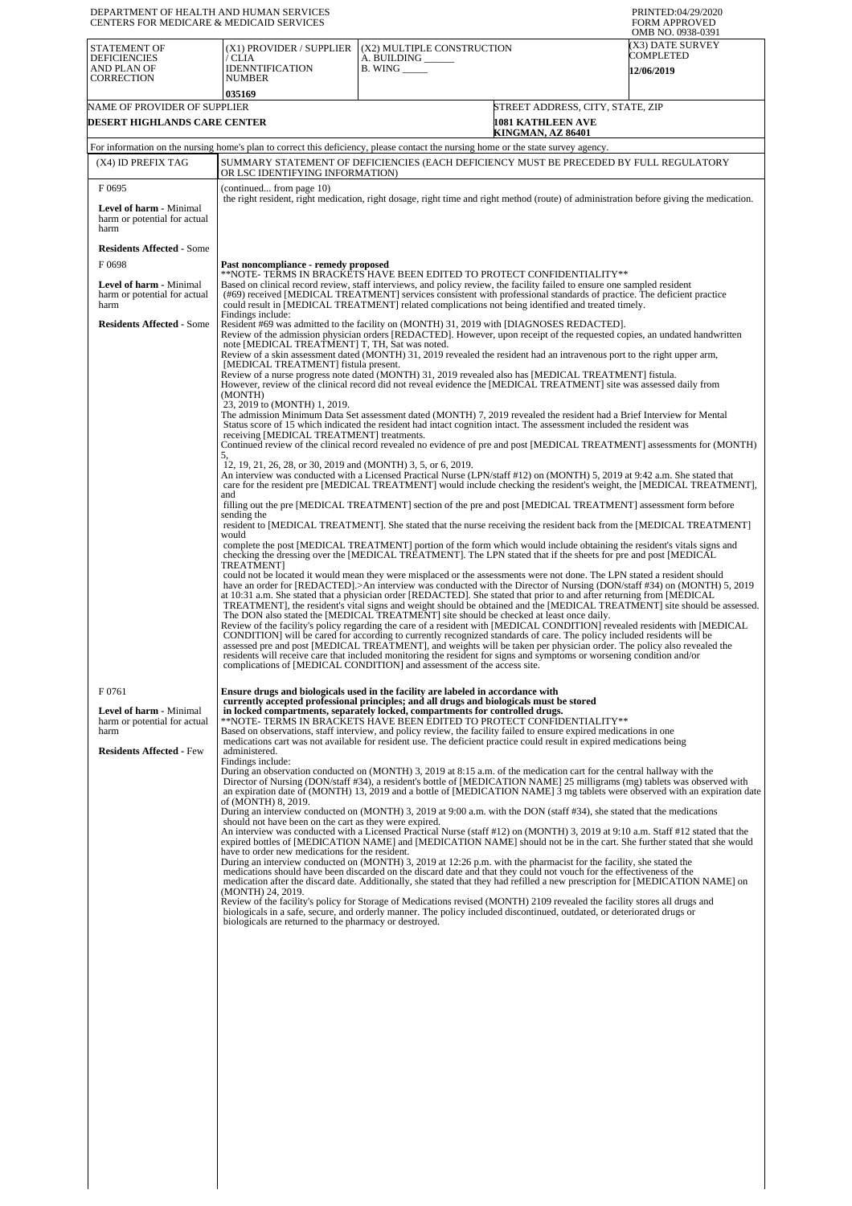| <b>STATEMENT OF</b>                                                     | (X1) PROVIDER / SUPPLIER                                                                                                     | (X2) MULTIPLE CONSTRUCTION                                                                                                                                                                                                                                                                                                                                                                                                                                                                                                                        | OMB NO. 0938-0391<br>(X3) DATE SURVEY                                                                                                                                                                                                                                                                                                                                                                                                                                                                         |
|-------------------------------------------------------------------------|------------------------------------------------------------------------------------------------------------------------------|---------------------------------------------------------------------------------------------------------------------------------------------------------------------------------------------------------------------------------------------------------------------------------------------------------------------------------------------------------------------------------------------------------------------------------------------------------------------------------------------------------------------------------------------------|---------------------------------------------------------------------------------------------------------------------------------------------------------------------------------------------------------------------------------------------------------------------------------------------------------------------------------------------------------------------------------------------------------------------------------------------------------------------------------------------------------------|
| <b>DEFICIENCIES</b><br>AND PLAN OF<br><b>CORRECTION</b>                 | / CLIA<br><b>IDENNTIFICATION</b><br><b>NUMBER</b>                                                                            | A. BUILDING<br>$B.$ WING $\_\_\_\_\_\_\$                                                                                                                                                                                                                                                                                                                                                                                                                                                                                                          | COMPLETED<br><b>12/06/2019</b>                                                                                                                                                                                                                                                                                                                                                                                                                                                                                |
|                                                                         | 035169                                                                                                                       |                                                                                                                                                                                                                                                                                                                                                                                                                                                                                                                                                   |                                                                                                                                                                                                                                                                                                                                                                                                                                                                                                               |
| NAME OF PROVIDER OF SUPPLIER<br>DESERT HIGHLANDS CARE CENTER            |                                                                                                                              |                                                                                                                                                                                                                                                                                                                                                                                                                                                                                                                                                   | STREET ADDRESS, CITY, STATE, ZIP<br>1081 KATHLEEN AVE                                                                                                                                                                                                                                                                                                                                                                                                                                                         |
|                                                                         |                                                                                                                              | <b>KINGMAN, AZ 86401</b><br>For information on the nursing home's plan to correct this deficiency, please contact the nursing home or the state survey agency.                                                                                                                                                                                                                                                                                                                                                                                    |                                                                                                                                                                                                                                                                                                                                                                                                                                                                                                               |
| (X4) ID PREFIX TAG                                                      | OR LSC IDENTIFYING INFORMATION)                                                                                              |                                                                                                                                                                                                                                                                                                                                                                                                                                                                                                                                                   | SUMMARY STATEMENT OF DEFICIENCIES (EACH DEFICIENCY MUST BE PRECEDED BY FULL REGULATORY                                                                                                                                                                                                                                                                                                                                                                                                                        |
| F0695                                                                   | (continued from page 10)                                                                                                     |                                                                                                                                                                                                                                                                                                                                                                                                                                                                                                                                                   |                                                                                                                                                                                                                                                                                                                                                                                                                                                                                                               |
| <b>Level of harm - Minimal</b><br>harm or potential for actual<br>harm  |                                                                                                                              |                                                                                                                                                                                                                                                                                                                                                                                                                                                                                                                                                   | the right resident, right medication, right dosage, right time and right method (route) of administration before giving the medication.                                                                                                                                                                                                                                                                                                                                                                       |
| <b>Residents Affected - Some</b><br>F0698                               | Past noncompliance - remedy proposed                                                                                         | **NOTE- TERMS IN BRACKETS HAVE BEEN EDITED TO PROTECT CONFIDENTIALITY**                                                                                                                                                                                                                                                                                                                                                                                                                                                                           |                                                                                                                                                                                                                                                                                                                                                                                                                                                                                                               |
| <b>Level of harm - Minimal</b><br>harm or potential for actual<br>harm  | Findings include:                                                                                                            | Based on clinical record review, staff interviews, and policy review, the facility failed to ensure one sampled resident<br>(#69) received [MEDICAL TREATMENT] services consistent with professional standards of practice. The deficient practice<br>could result in [MEDICAL TREATMENT] related complications not being identified and treated timely.                                                                                                                                                                                          |                                                                                                                                                                                                                                                                                                                                                                                                                                                                                                               |
| <b>Residents Affected - Some</b>                                        | note [MEDICAL TREATMENT] T, TH, Sat was noted.                                                                               | Resident #69 was admitted to the facility on (MONTH) 31, 2019 with [DIAGNOSES REDACTED].<br>Review of a skin assessment dated (MONTH) 31, 2019 revealed the resident had an intravenous port to the right upper arm,                                                                                                                                                                                                                                                                                                                              | Review of the admission physician orders [REDACTED]. However, upon receipt of the requested copies, an undated handwritten                                                                                                                                                                                                                                                                                                                                                                                    |
|                                                                         | [MEDICAL TREATMENT] fistula present.<br>(MONTH)                                                                              | Review of a nurse progress note dated (MONTH) 31, 2019 revealed also has [MEDICAL TREATMENT] fistula.<br>However, review of the clinical record did not reveal evidence the [MEDICAL TREATMENT] site was assessed daily from                                                                                                                                                                                                                                                                                                                      |                                                                                                                                                                                                                                                                                                                                                                                                                                                                                                               |
|                                                                         | 23, 2019 to (MONTH) 1, 2019.<br>receiving [MEDICAL TREATMENT] treatments.                                                    | The admission Minimum Data Set assessment dated (MONTH) 7, 2019 revealed the resident had a Brief Interview for Mental<br>Status score of 15 which indicated the resident had intact cognition intact. The assessment included the resident was                                                                                                                                                                                                                                                                                                   | Continued review of the clinical record revealed no evidence of pre and post [MEDICAL TREATMENT] assessments for (MONTH)                                                                                                                                                                                                                                                                                                                                                                                      |
|                                                                         | 5.<br>12, 19, 21, 26, 28, or 30, 2019 and (MONTH) 3, 5, or 6, 2019.                                                          |                                                                                                                                                                                                                                                                                                                                                                                                                                                                                                                                                   | An interview was conducted with a Licensed Practical Nurse (LPN/staff #12) on (MONTH) 5, 2019 at 9:42 a.m. She stated that<br>care for the resident pre [MEDICAL TREATMENT] would include checking the resident's weight, the [MEDICAL TREATMENT],                                                                                                                                                                                                                                                            |
|                                                                         | and<br>sending the                                                                                                           |                                                                                                                                                                                                                                                                                                                                                                                                                                                                                                                                                   | filling out the pre [MEDICAL TREATMENT] section of the pre and post [MEDICAL TREATMENT] assessment form before                                                                                                                                                                                                                                                                                                                                                                                                |
|                                                                         | resident to [MEDICAL TREATMENT]. She stated that the nurse receiving the resident back from the [MEDICAL TREATMENT]<br>would |                                                                                                                                                                                                                                                                                                                                                                                                                                                                                                                                                   |                                                                                                                                                                                                                                                                                                                                                                                                                                                                                                               |
|                                                                         | TREATMENT]                                                                                                                   | checking the dressing over the [MEDICAL TREATMENT]. The LPN stated that if the sheets for pre and post [MEDICAL<br>could not be located it would mean they were misplaced or the assessments were not done. The LPN stated a resident should                                                                                                                                                                                                                                                                                                      | complete the post [MEDICAL TREATMENT] portion of the form which would include obtaining the resident's vitals signs and                                                                                                                                                                                                                                                                                                                                                                                       |
|                                                                         |                                                                                                                              | at 10:31 a.m. She stated that a physician order [REDACTED]. She stated that prior to and after returning from [MEDICAL<br>The DON also stated the [MEDICAL TREATMENT] site should be checked at least once daily.<br>CONDITION] will be cared for according to currently recognized standards of care. The policy included residents will be<br>residents will receive care that included monitoring the resident for signs and symptoms or worsening condition and/or<br>complications of [MEDICAL CONDITION] and assessment of the access site. | have an order for [REDACTED].>An interview was conducted with the Director of Nursing (DON/staff #34) on (MONTH) 5, 2019<br>TREATMENT], the resident's vital signs and weight should be obtained and the [MEDICAL TREATMENT] site should be assessed.<br>Review of the facility's policy regarding the care of a resident with [MEDICAL CONDITION] revealed residents with [MEDICAL<br>assessed pre and post [MEDICAL TREATMENT], and weights will be taken per physician order. The policy also revealed the |
| F 0761<br>Level of harm - Minimal                                       |                                                                                                                              | Ensure drugs and biologicals used in the facility are labeled in accordance with<br>currently accepted professional principles; and all drugs and biologicals must be stored<br>in locked compartments, separately locked, compartments for controlled drugs.                                                                                                                                                                                                                                                                                     |                                                                                                                                                                                                                                                                                                                                                                                                                                                                                                               |
| harm or potential for actual<br>harm<br><b>Residents Affected - Few</b> | administered.                                                                                                                | **NOTE- TERMS IN BRACKETS HAVE BEEN EDITED TO PROTECT CONFIDENTIALITY**<br>Based on observations, staff interview, and policy review, the facility failed to ensure expired medications in one<br>medications cart was not available for resident use. The deficient practice could result in expired medications being                                                                                                                                                                                                                           |                                                                                                                                                                                                                                                                                                                                                                                                                                                                                                               |
|                                                                         | Findings include:                                                                                                            | During an observation conducted on (MONTH) 3, 2019 at 8:15 a.m. of the medication cart for the central hallway with the                                                                                                                                                                                                                                                                                                                                                                                                                           | Director of Nursing (DON/staff #34), a resident's bottle of [MEDICATION NAME] 25 milligrams (mg) tablets was observed with<br>an expiration date of (MONTH) 13, 2019 and a bottle of [MEDICATION NAME] 3 mg tablets were observed with an expiration date                                                                                                                                                                                                                                                     |
|                                                                         | of (MONTH) 8, 2019.<br>should not have been on the cart as they were expired.                                                | During an interview conducted on (MONTH) 3, 2019 at 9:00 a.m. with the DON (staff #34), she stated that the medications                                                                                                                                                                                                                                                                                                                                                                                                                           | An interview was conducted with a Licensed Practical Nurse (staff #12) on (MONTH) 3, 2019 at 9:10 a.m. Staff #12 stated that the<br>expired bottles of [MEDICATION NAME] and [MEDICATION NAME] should not be in the cart. She further stated that she would                                                                                                                                                                                                                                                   |
|                                                                         | have to order new medications for the resident.                                                                              | During an interview conducted on (MONTH) 3, 2019 at 12:26 p.m. with the pharmacist for the facility, she stated the<br>medications should have been discarded on the discard date and that they could not vouch for the effectiveness of the                                                                                                                                                                                                                                                                                                      | medication after the discard date. Additionally, she stated that they had refilled a new prescription for [MEDICATION NAME] on                                                                                                                                                                                                                                                                                                                                                                                |
|                                                                         | (MONTH) 24, 2019.<br>biologicals are returned to the pharmacy or destroyed.                                                  | Review of the facility's policy for Storage of Medications revised (MONTH) 2109 revealed the facility stores all drugs and<br>biologicals in a safe, secure, and orderly manner. The policy included discontinued, outdated, or deteriorated drugs or                                                                                                                                                                                                                                                                                             |                                                                                                                                                                                                                                                                                                                                                                                                                                                                                                               |
|                                                                         |                                                                                                                              |                                                                                                                                                                                                                                                                                                                                                                                                                                                                                                                                                   |                                                                                                                                                                                                                                                                                                                                                                                                                                                                                                               |
|                                                                         |                                                                                                                              |                                                                                                                                                                                                                                                                                                                                                                                                                                                                                                                                                   |                                                                                                                                                                                                                                                                                                                                                                                                                                                                                                               |
|                                                                         |                                                                                                                              |                                                                                                                                                                                                                                                                                                                                                                                                                                                                                                                                                   |                                                                                                                                                                                                                                                                                                                                                                                                                                                                                                               |
|                                                                         |                                                                                                                              |                                                                                                                                                                                                                                                                                                                                                                                                                                                                                                                                                   |                                                                                                                                                                                                                                                                                                                                                                                                                                                                                                               |
|                                                                         |                                                                                                                              |                                                                                                                                                                                                                                                                                                                                                                                                                                                                                                                                                   |                                                                                                                                                                                                                                                                                                                                                                                                                                                                                                               |
|                                                                         |                                                                                                                              |                                                                                                                                                                                                                                                                                                                                                                                                                                                                                                                                                   |                                                                                                                                                                                                                                                                                                                                                                                                                                                                                                               |
|                                                                         |                                                                                                                              |                                                                                                                                                                                                                                                                                                                                                                                                                                                                                                                                                   |                                                                                                                                                                                                                                                                                                                                                                                                                                                                                                               |
|                                                                         |                                                                                                                              |                                                                                                                                                                                                                                                                                                                                                                                                                                                                                                                                                   |                                                                                                                                                                                                                                                                                                                                                                                                                                                                                                               |
|                                                                         |                                                                                                                              |                                                                                                                                                                                                                                                                                                                                                                                                                                                                                                                                                   |                                                                                                                                                                                                                                                                                                                                                                                                                                                                                                               |
|                                                                         |                                                                                                                              |                                                                                                                                                                                                                                                                                                                                                                                                                                                                                                                                                   |                                                                                                                                                                                                                                                                                                                                                                                                                                                                                                               |
|                                                                         |                                                                                                                              |                                                                                                                                                                                                                                                                                                                                                                                                                                                                                                                                                   |                                                                                                                                                                                                                                                                                                                                                                                                                                                                                                               |